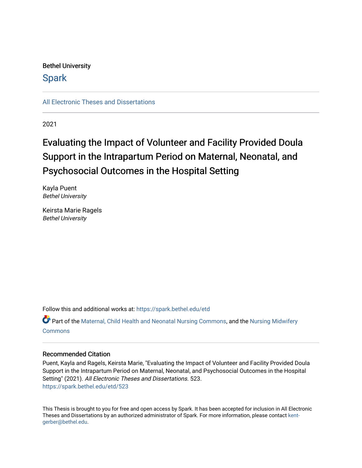## Bethel University

## **Spark**

[All Electronic Theses and Dissertations](https://spark.bethel.edu/etd) 

2021

# Evaluating the Impact of Volunteer and Facility Provided Doula Support in the Intrapartum Period on Maternal, Neonatal, and Psychosocial Outcomes in the Hospital Setting

Kayla Puent Bethel University

Keirsta Marie Ragels Bethel University

Follow this and additional works at: [https://spark.bethel.edu/etd](https://spark.bethel.edu/etd?utm_source=spark.bethel.edu%2Fetd%2F523&utm_medium=PDF&utm_campaign=PDFCoverPages)

Part of the [Maternal, Child Health and Neonatal Nursing Commons,](http://network.bepress.com/hgg/discipline/721?utm_source=spark.bethel.edu%2Fetd%2F523&utm_medium=PDF&utm_campaign=PDFCoverPages) and the [Nursing Midwifery](http://network.bepress.com/hgg/discipline/722?utm_source=spark.bethel.edu%2Fetd%2F523&utm_medium=PDF&utm_campaign=PDFCoverPages)  **[Commons](http://network.bepress.com/hgg/discipline/722?utm_source=spark.bethel.edu%2Fetd%2F523&utm_medium=PDF&utm_campaign=PDFCoverPages)** 

#### Recommended Citation

Puent, Kayla and Ragels, Keirsta Marie, "Evaluating the Impact of Volunteer and Facility Provided Doula Support in the Intrapartum Period on Maternal, Neonatal, and Psychosocial Outcomes in the Hospital Setting" (2021). All Electronic Theses and Dissertations. 523. [https://spark.bethel.edu/etd/523](https://spark.bethel.edu/etd/523?utm_source=spark.bethel.edu%2Fetd%2F523&utm_medium=PDF&utm_campaign=PDFCoverPages)

This Thesis is brought to you for free and open access by Spark. It has been accepted for inclusion in All Electronic Theses and Dissertations by an authorized administrator of Spark. For more information, please contact [kent](mailto:kent-gerber@bethel.edu)[gerber@bethel.edu.](mailto:kent-gerber@bethel.edu)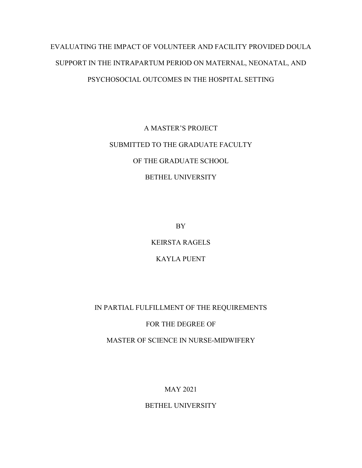# EVALUATING THE IMPACT OF VOLUNTEER AND FACILITY PROVIDED DOULA SUPPORT IN THE INTRAPARTUM PERIOD ON MATERNAL, NEONATAL, AND PSYCHOSOCIAL OUTCOMES IN THE HOSPITAL SETTING

# A MASTER'S PROJECT SUBMITTED TO THE GRADUATE FACULTY OF THE GRADUATE SCHOOL BETHEL UNIVERSITY

BY

KEIRSTA RAGELS

## KAYLA PUENT

## IN PARTIAL FULFILLMENT OF THE REQUIREMENTS

## FOR THE DEGREE OF

MASTER OF SCIENCE IN NURSE-MIDWIFERY

## MAY 2021

## BETHEL UNIVERSITY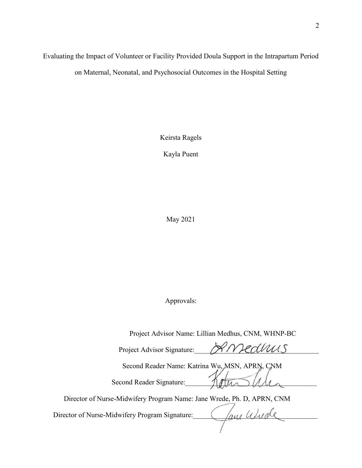## Evaluating the Impact of Volunteer or Facility Provided Doula Support in the Intrapartum Period on Maternal, Neonatal, and Psychosocial Outcomes in the Hospital Setting

Keirsta Ragels

Kayla Puent

May 2021

Approvals:

Project Advisor Name: Lillian Medhus, CNM, WHNP-BC

Project Advisor Signature: PAMedWUS Second Reader Name: Katrina Wu, MSN, APRN, CNM Second Reader Signature: 100 Director of Nurse-Midwifery Program Name: Jane Wrede, Ph. D, APRN, CNM Director of Nurse-Midwifery Program Signature: \_\_\_\_\_\_\_\_\_\_\_\_\_\_\_\_\_\_\_\_\_\_\_\_\_\_\_\_\_\_\_\_\_\_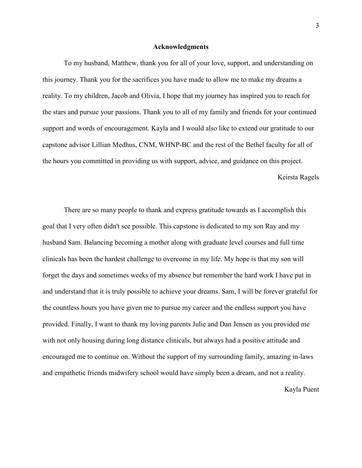#### **Acknowledgments**

 To my husband, Matthew, thank you for all of your love, support, and understanding on this journey. Thank you for the sacrifices you have made to allow me to make my dreams a reality. To my children, Jacob and Olivia, I hope that my journey has inspired you to reach for the stars and pursue your passions. Thank you to all of my family and friends for your continued support and words of encouragement. Kayla and I would also like to extend our gratitude to our capstone advisor Lillian Medhus, CNM, WHNP-BC and the rest of the Bethel faculty for all of the hours you committed in providing us with support, advice, and guidance on this project. Keirsta Ragels

There are so many people to thank and express gratitude towards as I accomplish this goal that I very often didn't see possible. This capstone is dedicated to my son Ray and my husband Sam. Balancing becoming a mother along with graduate level courses and full time clinicals has been the hardest challenge to overcome in my life. My hope is that my son will forget the days and sometimes weeks of my absence but remember the hard work I have put in and understand that it is truly possible to achieve your dreams. Sam, I will be forever grateful for the countless hours you have given me to pursue my career and the endless support you have provided. Finally, I want to thank my loving parents Julie and Dan Jensen as you provided me with not only housing during long distance clinicals, but always had a positive attitude and encouraged me to continue on. Without the support of my surrounding family, amazing in-laws and empathetic friends midwifery school would have simply been a dream, and not a reality.

Kayla Puent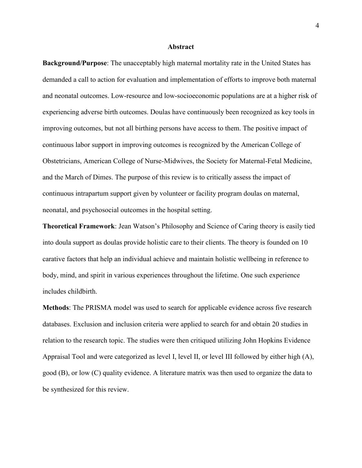#### **Abstract**

**Background/Purpose**: The unacceptably high maternal mortality rate in the United States has demanded a call to action for evaluation and implementation of efforts to improve both maternal and neonatal outcomes. Low-resource and low-socioeconomic populations are at a higher risk of experiencing adverse birth outcomes. Doulas have continuously been recognized as key tools in improving outcomes, but not all birthing persons have access to them. The positive impact of continuous labor support in improving outcomes is recognized by the American College of Obstetricians, American College of Nurse-Midwives, the Society for Maternal-Fetal Medicine, and the March of Dimes. The purpose of this review is to critically assess the impact of continuous intrapartum support given by volunteer or facility program doulas on maternal, neonatal, and psychosocial outcomes in the hospital setting.

**Theoretical Framework**: Jean Watson's Philosophy and Science of Caring theory is easily tied into doula support as doulas provide holistic care to their clients. The theory is founded on 10 carative factors that help an individual achieve and maintain holistic wellbeing in reference to body, mind, and spirit in various experiences throughout the lifetime. One such experience includes childbirth.

**Methods**: The PRISMA model was used to search for applicable evidence across five research databases. Exclusion and inclusion criteria were applied to search for and obtain 20 studies in relation to the research topic. The studies were then critiqued utilizing John Hopkins Evidence Appraisal Tool and were categorized as level I, level II, or level III followed by either high (A), good (B), or low (C) quality evidence. A literature matrix was then used to organize the data to be synthesized for this review.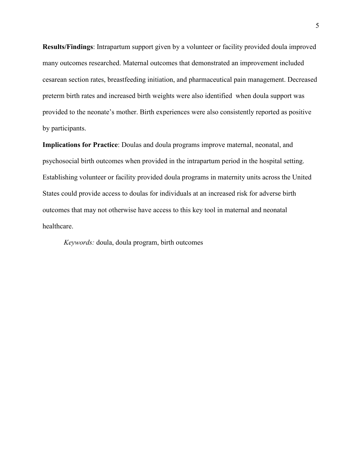**Results/Findings**: Intrapartum support given by a volunteer or facility provided doula improved many outcomes researched. Maternal outcomes that demonstrated an improvement included cesarean section rates, breastfeeding initiation, and pharmaceutical pain management. Decreased preterm birth rates and increased birth weights were also identified when doula support was provided to the neonate's mother. Birth experiences were also consistently reported as positive by participants.

**Implications for Practice**: Doulas and doula programs improve maternal, neonatal, and psychosocial birth outcomes when provided in the intrapartum period in the hospital setting. Establishing volunteer or facility provided doula programs in maternity units across the United States could provide access to doulas for individuals at an increased risk for adverse birth outcomes that may not otherwise have access to this key tool in maternal and neonatal healthcare.

*Keywords:* doula, doula program, birth outcomes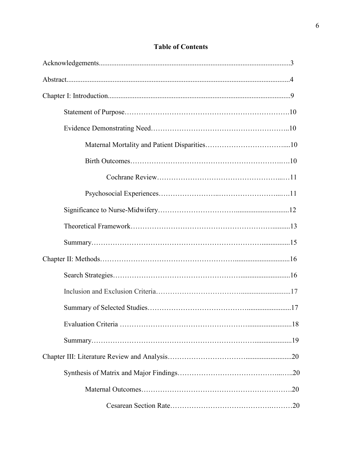| .18 |
|-----|
|     |
|     |
|     |
|     |
|     |

## **Table of Contents**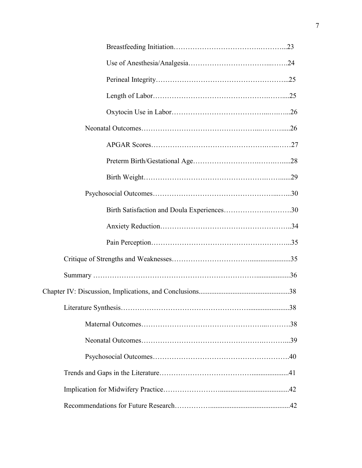| Birth Satisfaction and Doula Experiences30 |  |
|--------------------------------------------|--|
|                                            |  |
|                                            |  |
|                                            |  |
|                                            |  |
|                                            |  |
|                                            |  |
|                                            |  |
|                                            |  |
|                                            |  |
|                                            |  |
|                                            |  |
|                                            |  |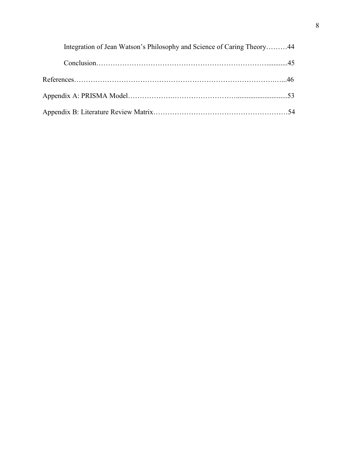| Integration of Jean Watson's Philosophy and Science of Caring Theory44 |  |
|------------------------------------------------------------------------|--|
|                                                                        |  |
|                                                                        |  |
|                                                                        |  |
|                                                                        |  |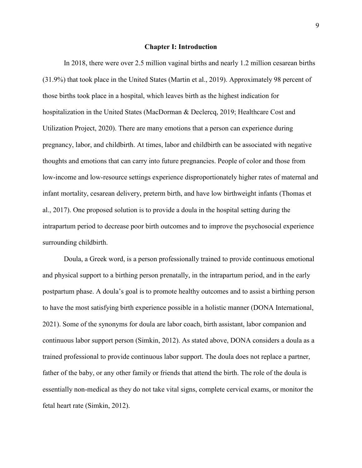#### **Chapter I: Introduction**

In 2018, there were over 2.5 million vaginal births and nearly 1.2 million cesarean births (31.9%) that took place in the United States (Martin et al., 2019). Approximately 98 percent of those births took place in a hospital, which leaves birth as the highest indication for hospitalization in the United States (MacDorman & Declercq, 2019; Healthcare Cost and Utilization Project, 2020). There are many emotions that a person can experience during pregnancy, labor, and childbirth. At times, labor and childbirth can be associated with negative thoughts and emotions that can carry into future pregnancies. People of color and those from low-income and low-resource settings experience disproportionately higher rates of maternal and infant mortality, cesarean delivery, preterm birth, and have low birthweight infants (Thomas et al., 2017). One proposed solution is to provide a doula in the hospital setting during the intrapartum period to decrease poor birth outcomes and to improve the psychosocial experience surrounding childbirth.

Doula, a Greek word, is a person professionally trained to provide continuous emotional and physical support to a birthing person prenatally, in the intrapartum period, and in the early postpartum phase. A doula's goal is to promote healthy outcomes and to assist a birthing person to have the most satisfying birth experience possible in a holistic manner (DONA International, 2021). Some of the synonyms for doula are labor coach, birth assistant, labor companion and continuous labor support person (Simkin, 2012). As stated above, DONA considers a doula as a trained professional to provide continuous labor support. The doula does not replace a partner, father of the baby, or any other family or friends that attend the birth. The role of the doula is essentially non-medical as they do not take vital signs, complete cervical exams, or monitor the fetal heart rate (Simkin, 2012).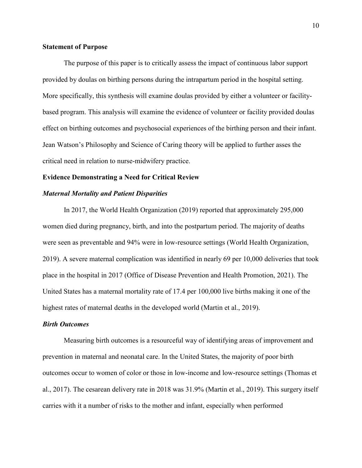#### **Statement of Purpose**

The purpose of this paper is to critically assess the impact of continuous labor support provided by doulas on birthing persons during the intrapartum period in the hospital setting. More specifically, this synthesis will examine doulas provided by either a volunteer or facilitybased program. This analysis will examine the evidence of volunteer or facility provided doulas effect on birthing outcomes and psychosocial experiences of the birthing person and their infant. Jean Watson's Philosophy and Science of Caring theory will be applied to further asses the critical need in relation to nurse-midwifery practice.

#### **Evidence Demonstrating a Need for Critical Review**

#### *Maternal Mortality and Patient Disparities*

In 2017, the World Health Organization (2019) reported that approximately 295,000 women died during pregnancy, birth, and into the postpartum period. The majority of deaths were seen as preventable and 94% were in low-resource settings (World Health Organization, 2019). A severe maternal complication was identified in nearly 69 per 10,000 deliveries that took place in the hospital in 2017 (Office of Disease Prevention and Health Promotion, 2021). The United States has a maternal mortality rate of 17.4 per 100,000 live births making it one of the highest rates of maternal deaths in the developed world (Martin et al., 2019).

#### *Birth Outcomes*

Measuring birth outcomes is a resourceful way of identifying areas of improvement and prevention in maternal and neonatal care. In the United States, the majority of poor birth outcomes occur to women of color or those in low-income and low-resource settings (Thomas et al., 2017). The cesarean delivery rate in 2018 was 31.9% (Martin et al., 2019). This surgery itself carries with it a number of risks to the mother and infant, especially when performed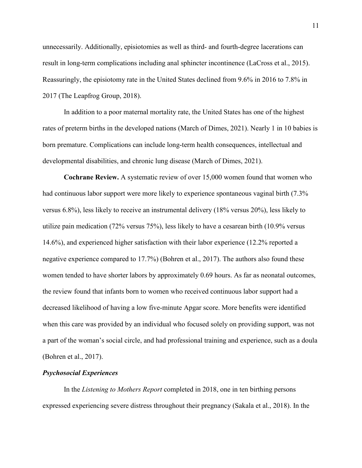unnecessarily. Additionally, episiotomies as well as third- and fourth-degree lacerations can result in long-term complications including anal sphincter incontinence (LaCross et al., 2015). Reassuringly, the episiotomy rate in the United States declined from 9.6% in 2016 to 7.8% in 2017 (The Leapfrog Group, 2018).

In addition to a poor maternal mortality rate, the United States has one of the highest rates of preterm births in the developed nations (March of Dimes, 2021). Nearly 1 in 10 babies is born premature. Complications can include long-term health consequences, intellectual and developmental disabilities, and chronic lung disease (March of Dimes, 2021).

**Cochrane Review.** A systematic review of over 15,000 women found that women who had continuous labor support were more likely to experience spontaneous vaginal birth (7.3% versus 6.8%), less likely to receive an instrumental delivery (18% versus 20%), less likely to utilize pain medication (72% versus 75%), less likely to have a cesarean birth (10.9% versus 14.6%), and experienced higher satisfaction with their labor experience (12.2% reported a negative experience compared to 17.7%) (Bohren et al., 2017). The authors also found these women tended to have shorter labors by approximately 0.69 hours. As far as neonatal outcomes, the review found that infants born to women who received continuous labor support had a decreased likelihood of having a low five-minute Apgar score. More benefits were identified when this care was provided by an individual who focused solely on providing support, was not a part of the woman's social circle, and had professional training and experience, such as a doula (Bohren et al., 2017).

#### *Psychosocial Experiences*

In the *Listening to Mothers Report* completed in 2018, one in ten birthing persons expressed experiencing severe distress throughout their pregnancy (Sakala et al., 2018). In the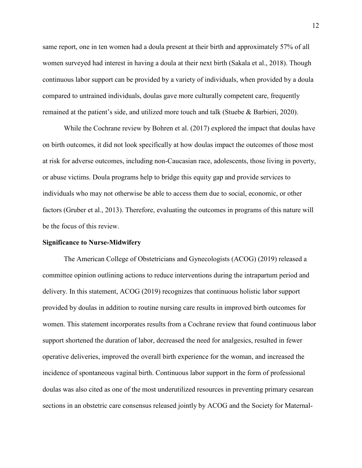same report, one in ten women had a doula present at their birth and approximately 57% of all women surveyed had interest in having a doula at their next birth (Sakala et al., 2018). Though continuous labor support can be provided by a variety of individuals, when provided by a doula compared to untrained individuals, doulas gave more culturally competent care, frequently remained at the patient's side, and utilized more touch and talk (Stuebe & Barbieri, 2020).

While the Cochrane review by Bohren et al. (2017) explored the impact that doulas have on birth outcomes, it did not look specifically at how doulas impact the outcomes of those most at risk for adverse outcomes, including non-Caucasian race, adolescents, those living in poverty, or abuse victims. Doula programs help to bridge this equity gap and provide services to individuals who may not otherwise be able to access them due to social, economic, or other factors (Gruber et al., 2013). Therefore, evaluating the outcomes in programs of this nature will be the focus of this review.

#### **Significance to Nurse-Midwifery**

The American College of Obstetricians and Gynecologists (ACOG) (2019) released a committee opinion outlining actions to reduce interventions during the intrapartum period and delivery. In this statement, ACOG (2019) recognizes that continuous holistic labor support provided by doulas in addition to routine nursing care results in improved birth outcomes for women. This statement incorporates results from a Cochrane review that found continuous labor support shortened the duration of labor, decreased the need for analgesics, resulted in fewer operative deliveries, improved the overall birth experience for the woman, and increased the incidence of spontaneous vaginal birth. Continuous labor support in the form of professional doulas was also cited as one of the most underutilized resources in preventing primary cesarean sections in an obstetric care consensus released jointly by ACOG and the Society for Maternal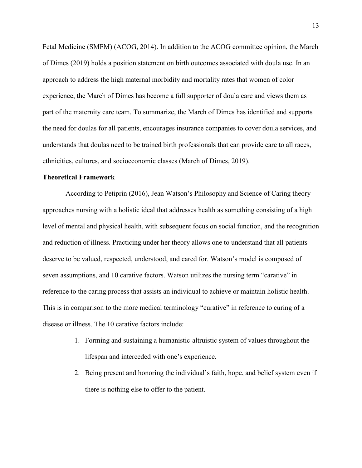Fetal Medicine (SMFM) (ACOG, 2014). In addition to the ACOG committee opinion, the March of Dimes (2019) holds a position statement on birth outcomes associated with doula use. In an approach to address the high maternal morbidity and mortality rates that women of color experience, the March of Dimes has become a full supporter of doula care and views them as part of the maternity care team. To summarize, the March of Dimes has identified and supports the need for doulas for all patients, encourages insurance companies to cover doula services, and understands that doulas need to be trained birth professionals that can provide care to all races, ethnicities, cultures, and socioeconomic classes (March of Dimes, 2019).

#### **Theoretical Framework**

 According to Petiprin (2016), Jean Watson's Philosophy and Science of Caring theory approaches nursing with a holistic ideal that addresses health as something consisting of a high level of mental and physical health, with subsequent focus on social function, and the recognition and reduction of illness. Practicing under her theory allows one to understand that all patients deserve to be valued, respected, understood, and cared for. Watson's model is composed of seven assumptions, and 10 carative factors. Watson utilizes the nursing term "carative" in reference to the caring process that assists an individual to achieve or maintain holistic health. This is in comparison to the more medical terminology "curative" in reference to curing of a disease or illness. The 10 carative factors include:

- 1. Forming and sustaining a humanistic-altruistic system of values throughout the lifespan and interceded with one's experience.
- 2. Being present and honoring the individual's faith, hope, and belief system even if there is nothing else to offer to the patient.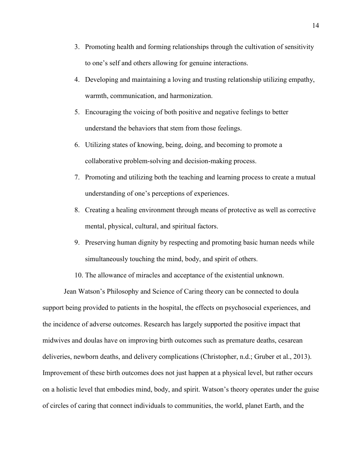- 3. Promoting health and forming relationships through the cultivation of sensitivity to one's self and others allowing for genuine interactions.
- 4. Developing and maintaining a loving and trusting relationship utilizing empathy, warmth, communication, and harmonization.
- 5. Encouraging the voicing of both positive and negative feelings to better understand the behaviors that stem from those feelings.
- 6. Utilizing states of knowing, being, doing, and becoming to promote a collaborative problem-solving and decision-making process.
- 7. Promoting and utilizing both the teaching and learning process to create a mutual understanding of one's perceptions of experiences.
- 8. Creating a healing environment through means of protective as well as corrective mental, physical, cultural, and spiritual factors.
- 9. Preserving human dignity by respecting and promoting basic human needs while simultaneously touching the mind, body, and spirit of others.
- 10. The allowance of miracles and acceptance of the existential unknown.

Jean Watson's Philosophy and Science of Caring theory can be connected to doula support being provided to patients in the hospital, the effects on psychosocial experiences, and the incidence of adverse outcomes. Research has largely supported the positive impact that midwives and doulas have on improving birth outcomes such as premature deaths, cesarean deliveries, newborn deaths, and delivery complications (Christopher, n.d.; Gruber et al., 2013). Improvement of these birth outcomes does not just happen at a physical level, but rather occurs on a holistic level that embodies mind, body, and spirit. Watson's theory operates under the guise of circles of caring that connect individuals to communities, the world, planet Earth, and the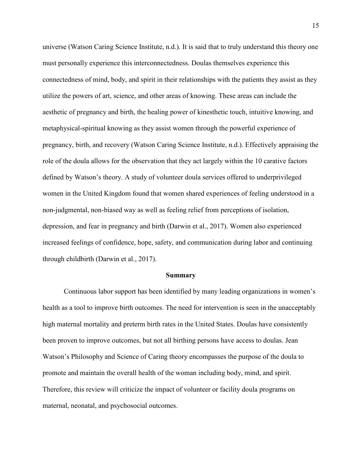universe (Watson Caring Science Institute, n.d.). It is said that to truly understand this theory one must personally experience this interconnectedness. Doulas themselves experience this connectedness of mind, body, and spirit in their relationships with the patients they assist as they utilize the powers of art, science, and other areas of knowing. These areas can include the aesthetic of pregnancy and birth, the healing power of kinesthetic touch, intuitive knowing, and metaphysical-spiritual knowing as they assist women through the powerful experience of pregnancy, birth, and recovery (Watson Caring Science Institute, n.d.). Effectively appraising the role of the doula allows for the observation that they act largely within the 10 carative factors defined by Watson's theory. A study of volunteer doula services offered to underprivileged women in the United Kingdom found that women shared experiences of feeling understood in a non-judgmental, non-biased way as well as feeling relief from perceptions of isolation, depression, and fear in pregnancy and birth (Darwin et al., 2017). Women also experienced increased feelings of confidence, hope, safety, and communication during labor and continuing through childbirth (Darwin et al., 2017).

#### **Summary**

Continuous labor support has been identified by many leading organizations in women's health as a tool to improve birth outcomes. The need for intervention is seen in the unacceptably high maternal mortality and preterm birth rates in the United States. Doulas have consistently been proven to improve outcomes, but not all birthing persons have access to doulas. Jean Watson's Philosophy and Science of Caring theory encompasses the purpose of the doula to promote and maintain the overall health of the woman including body, mind, and spirit. Therefore, this review will criticize the impact of volunteer or facility doula programs on maternal, neonatal, and psychosocial outcomes.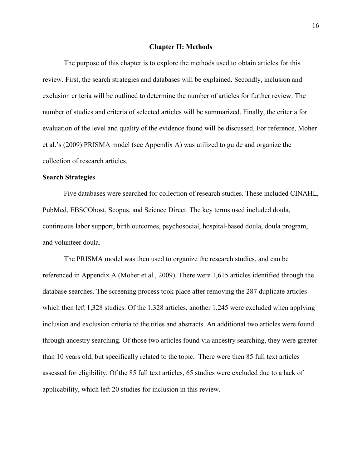#### **Chapter II: Methods**

The purpose of this chapter is to explore the methods used to obtain articles for this review. First, the search strategies and databases will be explained. Secondly, inclusion and exclusion criteria will be outlined to determine the number of articles for further review. The number of studies and criteria of selected articles will be summarized. Finally, the criteria for evaluation of the level and quality of the evidence found will be discussed. For reference, Moher et al.'s (2009) PRISMA model (see Appendix A) was utilized to guide and organize the collection of research articles.

#### **Search Strategies**

Five databases were searched for collection of research studies. These included CINAHL, PubMed, EBSCOhost, Scopus, and Science Direct. The key terms used included doula, continuous labor support, birth outcomes, psychosocial, hospital-based doula, doula program, and volunteer doula.

 The PRISMA model was then used to organize the research studies, and can be referenced in Appendix A (Moher et al., 2009). There were 1,615 articles identified through the database searches. The screening process took place after removing the 287 duplicate articles which then left 1,328 studies. Of the 1,328 articles, another 1,245 were excluded when applying inclusion and exclusion criteria to the titles and abstracts. An additional two articles were found through ancestry searching. Of those two articles found via ancestry searching, they were greater than 10 years old, but specifically related to the topic. There were then 85 full text articles assessed for eligibility. Of the 85 full text articles, 65 studies were excluded due to a lack of applicability, which left 20 studies for inclusion in this review.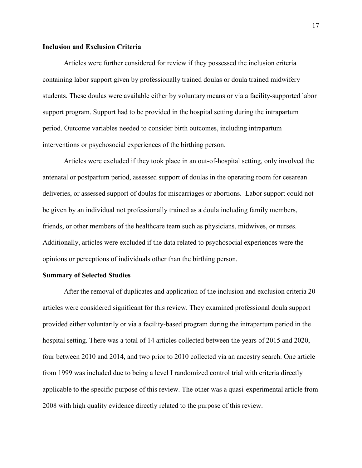#### **Inclusion and Exclusion Criteria**

Articles were further considered for review if they possessed the inclusion criteria containing labor support given by professionally trained doulas or doula trained midwifery students. These doulas were available either by voluntary means or via a facility-supported labor support program. Support had to be provided in the hospital setting during the intrapartum period. Outcome variables needed to consider birth outcomes, including intrapartum interventions or psychosocial experiences of the birthing person.

Articles were excluded if they took place in an out-of-hospital setting, only involved the antenatal or postpartum period, assessed support of doulas in the operating room for cesarean deliveries, or assessed support of doulas for miscarriages or abortions. Labor support could not be given by an individual not professionally trained as a doula including family members, friends, or other members of the healthcare team such as physicians, midwives, or nurses. Additionally, articles were excluded if the data related to psychosocial experiences were the opinions or perceptions of individuals other than the birthing person.

#### **Summary of Selected Studies**

After the removal of duplicates and application of the inclusion and exclusion criteria 20 articles were considered significant for this review. They examined professional doula support provided either voluntarily or via a facility-based program during the intrapartum period in the hospital setting. There was a total of 14 articles collected between the years of 2015 and 2020, four between 2010 and 2014, and two prior to 2010 collected via an ancestry search. One article from 1999 was included due to being a level I randomized control trial with criteria directly applicable to the specific purpose of this review. The other was a quasi-experimental article from 2008 with high quality evidence directly related to the purpose of this review.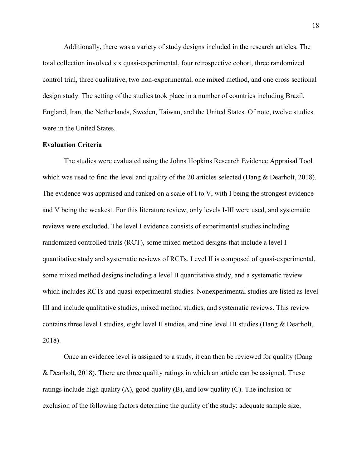Additionally, there was a variety of study designs included in the research articles. The total collection involved six quasi-experimental, four retrospective cohort, three randomized control trial, three qualitative, two non-experimental, one mixed method, and one cross sectional design study. The setting of the studies took place in a number of countries including Brazil, England, Iran, the Netherlands, Sweden, Taiwan, and the United States. Of note, twelve studies were in the United States.

#### **Evaluation Criteria**

 The studies were evaluated using the Johns Hopkins Research Evidence Appraisal Tool which was used to find the level and quality of the 20 articles selected (Dang & Dearholt, 2018). The evidence was appraised and ranked on a scale of I to V, with I being the strongest evidence and V being the weakest. For this literature review, only levels I-III were used, and systematic reviews were excluded. The level I evidence consists of experimental studies including randomized controlled trials (RCT), some mixed method designs that include a level I quantitative study and systematic reviews of RCTs. Level II is composed of quasi-experimental, some mixed method designs including a level II quantitative study, and a systematic review which includes RCTs and quasi-experimental studies. Nonexperimental studies are listed as level III and include qualitative studies, mixed method studies, and systematic reviews. This review contains three level I studies, eight level II studies, and nine level III studies (Dang & Dearholt, 2018).

Once an evidence level is assigned to a study, it can then be reviewed for quality (Dang & Dearholt, 2018). There are three quality ratings in which an article can be assigned. These ratings include high quality  $(A)$ , good quality  $(B)$ , and low quality  $(C)$ . The inclusion or exclusion of the following factors determine the quality of the study: adequate sample size,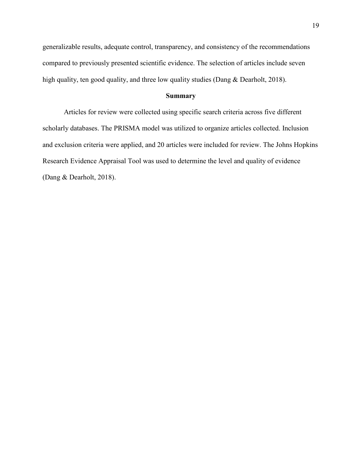generalizable results, adequate control, transparency, and consistency of the recommendations compared to previously presented scientific evidence. The selection of articles include seven high quality, ten good quality, and three low quality studies (Dang & Dearholt, 2018).

#### **Summary**

Articles for review were collected using specific search criteria across five different scholarly databases. The PRISMA model was utilized to organize articles collected. Inclusion and exclusion criteria were applied, and 20 articles were included for review. The Johns Hopkins Research Evidence Appraisal Tool was used to determine the level and quality of evidence (Dang & Dearholt, 2018).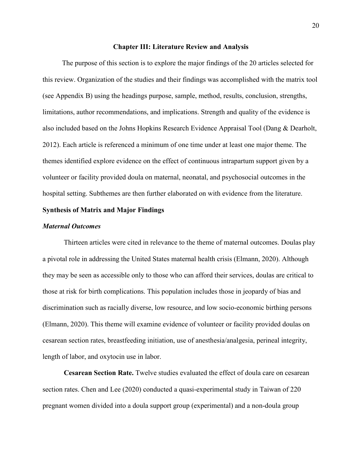#### **Chapter III: Literature Review and Analysis**

 The purpose of this section is to explore the major findings of the 20 articles selected for this review. Organization of the studies and their findings was accomplished with the matrix tool (see Appendix B) using the headings purpose, sample, method, results, conclusion, strengths, limitations, author recommendations, and implications. Strength and quality of the evidence is also included based on the Johns Hopkins Research Evidence Appraisal Tool (Dang & Dearholt, 2012). Each article is referenced a minimum of one time under at least one major theme. The themes identified explore evidence on the effect of continuous intrapartum support given by a volunteer or facility provided doula on maternal, neonatal, and psychosocial outcomes in the hospital setting. Subthemes are then further elaborated on with evidence from the literature.

#### **Synthesis of Matrix and Major Findings**

#### *Maternal Outcomes*

Thirteen articles were cited in relevance to the theme of maternal outcomes. Doulas play a pivotal role in addressing the United States maternal health crisis (Elmann, 2020). Although they may be seen as accessible only to those who can afford their services, doulas are critical to those at risk for birth complications. This population includes those in jeopardy of bias and discrimination such as racially diverse, low resource, and low socio-economic birthing persons (Elmann, 2020). This theme will examine evidence of volunteer or facility provided doulas on cesarean section rates, breastfeeding initiation, use of anesthesia/analgesia, perineal integrity, length of labor, and oxytocin use in labor.

 **Cesarean Section Rate.** Twelve studies evaluated the effect of doula care on cesarean section rates. Chen and Lee (2020) conducted a quasi-experimental study in Taiwan of 220 pregnant women divided into a doula support group (experimental) and a non-doula group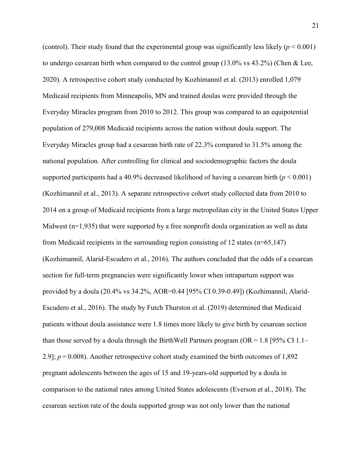(control). Their study found that the experimental group was significantly less likely  $(p < 0.001)$ to undergo cesarean birth when compared to the control group (13.0% vs 43.2%) (Chen & Lee, 2020). A retrospective cohort study conducted by Kozhimannil et al. (2013) enrolled 1,079 Medicaid recipients from Minneapolis, MN and trained doulas were provided through the Everyday Miracles program from 2010 to 2012. This group was compared to an equipotential population of 279,008 Medicaid recipients across the nation without doula support. The Everyday Miracles group had a cesarean birth rate of 22.3% compared to 31.5% among the national population. After controlling for clinical and sociodemographic factors the doula supported participants had a 40.9% decreased likelihood of having a cesarean birth (*p* < 0.001) (Kozhimannil et al., 2013). A separate retrospective cohort study collected data from 2010 to 2014 on a group of Medicaid recipients from a large metropolitan city in the United States Upper Midwest  $(n=1,935)$  that were supported by a free nonprofit doula organization as well as data from Medicaid recipients in the surrounding region consisting of 12 states (n=65,147) (Kozhimannil, Alarid-Escudero et al., 2016). The authors concluded that the odds of a cesarean section for full-term pregnancies were significantly lower when intrapartum support was provided by a doula (20.4% vs 34.2%, AOR=0.44 [95% CI 0.39-0.49]) (Kozhimannil, Alarid-Escudero et al., 2016). The study by Futch Thurston et al. (2019) determined that Medicaid patients without doula assistance were 1.8 times more likely to give birth by cesarean section than those served by a doula through the BirthWell Partners program (OR = 1.8 [95% CI 1.1– 2.9]; *p* = 0.008). Another retrospective cohort study examined the birth outcomes of 1,892 pregnant adolescents between the ages of 15 and 19-years-old supported by a doula in comparison to the national rates among United States adolescents (Everson et al., 2018). The cesarean section rate of the doula supported group was not only lower than the national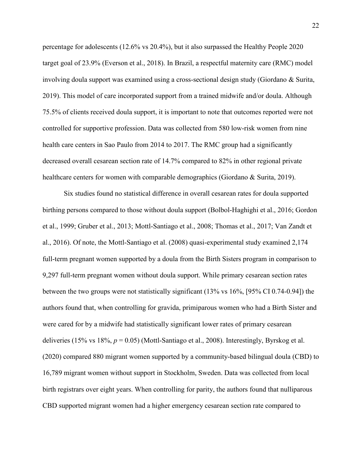percentage for adolescents (12.6% vs 20.4%), but it also surpassed the Healthy People 2020 target goal of 23.9% (Everson et al., 2018). In Brazil, a respectful maternity care (RMC) model involving doula support was examined using a cross-sectional design study (Giordano & Surita, 2019). This model of care incorporated support from a trained midwife and/or doula. Although 75.5% of clients received doula support, it is important to note that outcomes reported were not controlled for supportive profession. Data was collected from 580 low-risk women from nine health care centers in Sao Paulo from 2014 to 2017. The RMC group had a significantly decreased overall cesarean section rate of 14.7% compared to 82% in other regional private healthcare centers for women with comparable demographics (Giordano & Surita, 2019).

 Six studies found no statistical difference in overall cesarean rates for doula supported birthing persons compared to those without doula support (Bolbol-Haghighi et al., 2016; Gordon et al., 1999; Gruber et al., 2013; Mottl-Santiago et al., 2008; Thomas et al., 2017; Van Zandt et al., 2016). Of note, the Mottl-Santiago et al. (2008) quasi-experimental study examined 2,174 full-term pregnant women supported by a doula from the Birth Sisters program in comparison to 9,297 full-term pregnant women without doula support. While primary cesarean section rates between the two groups were not statistically significant (13% vs 16%, [95% CI 0.74-0.94]) the authors found that, when controlling for gravida, primiparous women who had a Birth Sister and were cared for by a midwife had statistically significant lower rates of primary cesarean deliveries (15% vs 18%, *p* = 0.05) (Mottl-Santiago et al., 2008). Interestingly, Byrskog et al. (2020) compared 880 migrant women supported by a community-based bilingual doula (CBD) to 16,789 migrant women without support in Stockholm, Sweden. Data was collected from local birth registrars over eight years. When controlling for parity, the authors found that nulliparous CBD supported migrant women had a higher emergency cesarean section rate compared to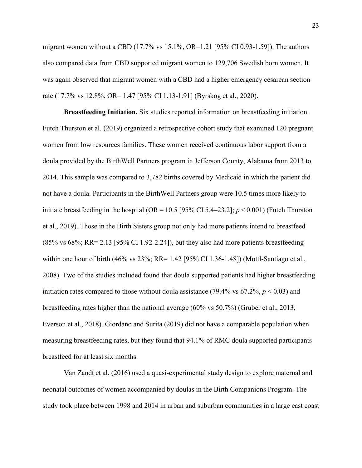migrant women without a CBD (17.7% vs 15.1%, OR=1.21 [95% CI 0.93-1.59]). The authors also compared data from CBD supported migrant women to 129,706 Swedish born women. It was again observed that migrant women with a CBD had a higher emergency cesarean section rate (17.7% vs 12.8%, OR= 1.47 [95% CI 1.13-1.91] (Byrskog et al., 2020).

 **Breastfeeding Initiation.** Six studies reported information on breastfeeding initiation. Futch Thurston et al. (2019) organized a retrospective cohort study that examined 120 pregnant women from low resources families. These women received continuous labor support from a doula provided by the BirthWell Partners program in Jefferson County, Alabama from 2013 to 2014. This sample was compared to 3,782 births covered by Medicaid in which the patient did not have a doula. Participants in the BirthWell Partners group were 10.5 times more likely to initiate breastfeeding in the hospital (OR =  $10.5$  [95% CI 5.4–23.2];  $p < 0.001$ ) (Futch Thurston et al., 2019). Those in the Birth Sisters group not only had more patients intend to breastfeed (85% vs 68%; RR= 2.13 [95% CI 1.92-2.24]), but they also had more patients breastfeeding within one hour of birth (46% vs 23%; RR= 1.42 [95% CI 1.36-1.48]) (Mottl-Santiago et al., 2008). Two of the studies included found that doula supported patients had higher breastfeeding initiation rates compared to those without doula assistance (79.4% vs  $67.2\%$ ,  $p < 0.03$ ) and breastfeeding rates higher than the national average (60% vs 50.7%) (Gruber et al., 2013; Everson et al., 2018). Giordano and Surita (2019) did not have a comparable population when measuring breastfeeding rates, but they found that 94.1% of RMC doula supported participants breastfeed for at least six months.

Van Zandt et al. (2016) used a quasi-experimental study design to explore maternal and neonatal outcomes of women accompanied by doulas in the Birth Companions Program. The study took place between 1998 and 2014 in urban and suburban communities in a large east coast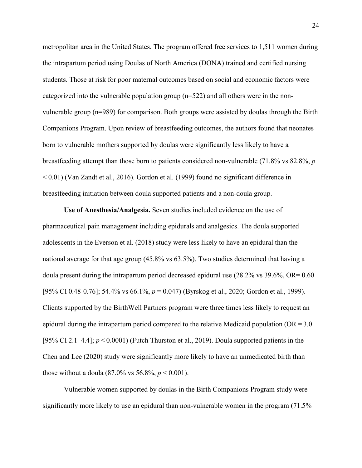metropolitan area in the United States. The program offered free services to 1,511 women during the intrapartum period using Doulas of North America (DONA) trained and certified nursing students. Those at risk for poor maternal outcomes based on social and economic factors were categorized into the vulnerable population group (n=522) and all others were in the nonvulnerable group (n=989) for comparison. Both groups were assisted by doulas through the Birth Companions Program. Upon review of breastfeeding outcomes, the authors found that neonates born to vulnerable mothers supported by doulas were significantly less likely to have a breastfeeding attempt than those born to patients considered non-vulnerable (71.8% vs 82.8%, *p* < 0.01) (Van Zandt et al., 2016). Gordon et al. (1999) found no significant difference in breastfeeding initiation between doula supported patients and a non-doula group.

 **Use of Anesthesia/Analgesia.** Seven studies included evidence on the use of pharmaceutical pain management including epidurals and analgesics. The doula supported adolescents in the Everson et al. (2018) study were less likely to have an epidural than the national average for that age group (45.8% vs 63.5%). Two studies determined that having a doula present during the intrapartum period decreased epidural use  $(28.2\% \text{ vs } 39.6\%, \text{ OR} = 0.60)$ [95% CI 0.48-0.76]; 54.4% vs 66.1%, *p* = 0.047) (Byrskog et al., 2020; Gordon et al., 1999). Clients supported by the BirthWell Partners program were three times less likely to request an epidural during the intrapartum period compared to the relative Medicaid population (OR = 3.0 [95% CI 2.1–4.4];  $p \le 0.0001$  (Futch Thurston et al., 2019). Doula supported patients in the Chen and Lee (2020) study were significantly more likely to have an unmedicated birth than those without a doula  $(87.0\% \text{ vs } 56.8\%, p < 0.001)$ .

Vulnerable women supported by doulas in the Birth Companions Program study were significantly more likely to use an epidural than non-vulnerable women in the program (71.5%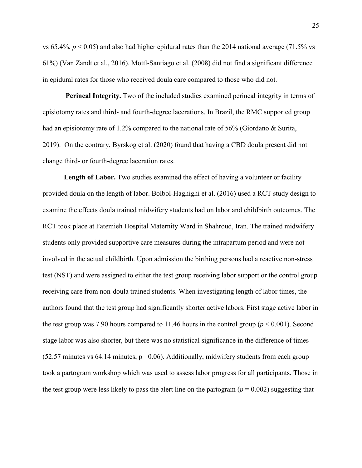vs  $65.4\%$ ,  $p < 0.05$ ) and also had higher epidural rates than the 2014 national average (71.5% vs 61%) (Van Zandt et al., 2016). Mottl-Santiago et al. (2008) did not find a significant difference in epidural rates for those who received doula care compared to those who did not.

**Perineal Integrity.** Two of the included studies examined perineal integrity in terms of episiotomy rates and third- and fourth-degree lacerations. In Brazil, the RMC supported group had an episiotomy rate of 1.2% compared to the national rate of 56% (Giordano & Surita, 2019). On the contrary, Byrskog et al. (2020) found that having a CBD doula present did not change third- or fourth-degree laceration rates.

Length of Labor. Two studies examined the effect of having a volunteer or facility provided doula on the length of labor. Bolbol-Haghighi et al. (2016) used a RCT study design to examine the effects doula trained midwifery students had on labor and childbirth outcomes. The RCT took place at Fatemieh Hospital Maternity Ward in Shahroud, Iran. The trained midwifery students only provided supportive care measures during the intrapartum period and were not involved in the actual childbirth. Upon admission the birthing persons had a reactive non-stress test (NST) and were assigned to either the test group receiving labor support or the control group receiving care from non-doula trained students. When investigating length of labor times, the authors found that the test group had significantly shorter active labors. First stage active labor in the test group was 7.90 hours compared to 11.46 hours in the control group ( $p < 0.001$ ). Second stage labor was also shorter, but there was no statistical significance in the difference of times  $(52.57 \text{ minutes vs } 64.14 \text{ minutes}, p= 0.06)$ . Additionally, midwifery students from each group took a partogram workshop which was used to assess labor progress for all participants. Those in the test group were less likely to pass the alert line on the partogram  $(p = 0.002)$  suggesting that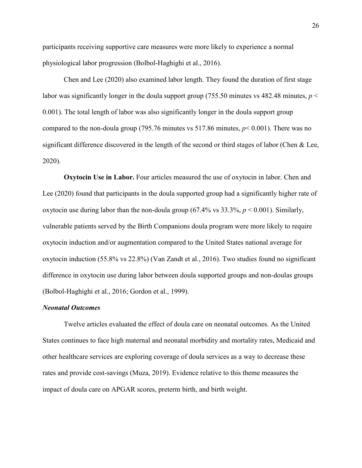participants receiving supportive care measures were more likely to experience a normal physiological labor progression (Bolbol-Haghighi et al., 2016).

Chen and Lee (2020) also examined labor length. They found the duration of first stage labor was significantly longer in the doula support group (755.50 minutes vs 482.48 minutes,  $p <$ 0.001). The total length of labor was also significantly longer in the doula support group compared to the non-doula group (795.76 minutes vs 517.86 minutes, *p*< 0.001). There was no significant difference discovered in the length of the second or third stages of labor (Chen & Lee, 2020).

**Oxytocin Use in Labor.** Four articles measured the use of oxytocin in labor. Chen and Lee (2020) found that participants in the doula supported group had a significantly higher rate of oxytocin use during labor than the non-doula group (67.4% vs  $33.3\%$ ,  $p < 0.001$ ). Similarly, vulnerable patients served by the Birth Companions doula program were more likely to require oxytocin induction and/or augmentation compared to the United States national average for oxytocin induction (55.8% vs 22.8%) (Van Zandt et al., 2016). Two studies found no significant difference in oxytocin use during labor between doula supported groups and non-doulas groups (Bolbol-Haghighi et al., 2016; Gordon et al., 1999).

#### *Neonatal Outcomes*

Twelve articles evaluated the effect of doula care on neonatal outcomes. As the United States continues to face high maternal and neonatal morbidity and mortality rates, Medicaid and other healthcare services are exploring coverage of doula services as a way to decrease these rates and provide cost-savings (Muza, 2019). Evidence relative to this theme measures the impact of doula care on APGAR scores, preterm birth, and birth weight.

26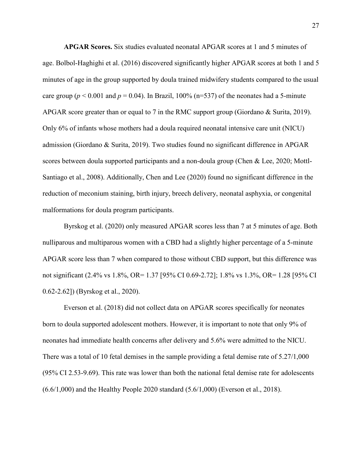**APGAR Scores.** Six studies evaluated neonatal APGAR scores at 1 and 5 minutes of age. Bolbol-Haghighi et al. (2016) discovered significantly higher APGAR scores at both 1 and 5 minutes of age in the group supported by doula trained midwifery students compared to the usual care group ( $p < 0.001$  and  $p = 0.04$ ). In Brazil, 100% (n=537) of the neonates had a 5-minute APGAR score greater than or equal to 7 in the RMC support group (Giordano & Surita, 2019). Only 6% of infants whose mothers had a doula required neonatal intensive care unit (NICU) admission (Giordano & Surita, 2019). Two studies found no significant difference in APGAR scores between doula supported participants and a non-doula group (Chen & Lee, 2020; Mottl-Santiago et al., 2008). Additionally, Chen and Lee (2020) found no significant difference in the reduction of meconium staining, birth injury, breech delivery, neonatal asphyxia, or congenital malformations for doula program participants.

 Byrskog et al. (2020) only measured APGAR scores less than 7 at 5 minutes of age. Both nulliparous and multiparous women with a CBD had a slightly higher percentage of a 5-minute APGAR score less than 7 when compared to those without CBD support, but this difference was not significant (2.4% vs 1.8%, OR= 1.37 [95% CI 0.69-2.72]; 1.8% vs 1.3%, OR= 1.28 [95% CI 0.62-2.62]) (Byrskog et al., 2020).

Everson et al. (2018) did not collect data on APGAR scores specifically for neonates born to doula supported adolescent mothers. However, it is important to note that only 9% of neonates had immediate health concerns after delivery and 5.6% were admitted to the NICU. There was a total of 10 fetal demises in the sample providing a fetal demise rate of 5.27/1,000 (95% CI 2.53-9.69). This rate was lower than both the national fetal demise rate for adolescents (6.6/1,000) and the Healthy People 2020 standard (5.6/1,000) (Everson et al., 2018).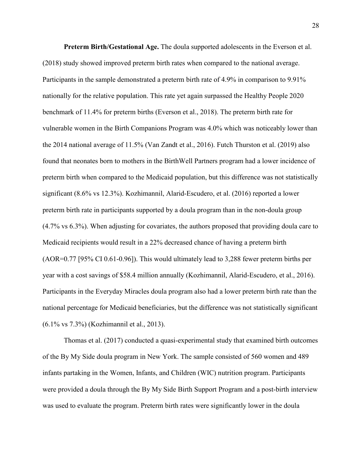**Preterm Birth/Gestational Age.** The doula supported adolescents in the Everson et al. (2018) study showed improved preterm birth rates when compared to the national average. Participants in the sample demonstrated a preterm birth rate of 4.9% in comparison to 9.91% nationally for the relative population. This rate yet again surpassed the Healthy People 2020 benchmark of 11.4% for preterm births (Everson et al., 2018). The preterm birth rate for vulnerable women in the Birth Companions Program was 4.0% which was noticeably lower than the 2014 national average of 11.5% (Van Zandt et al., 2016). Futch Thurston et al. (2019) also found that neonates born to mothers in the BirthWell Partners program had a lower incidence of preterm birth when compared to the Medicaid population, but this difference was not statistically significant (8.6% vs 12.3%). Kozhimannil, Alarid-Escudero, et al. (2016) reported a lower preterm birth rate in participants supported by a doula program than in the non-doula group (4.7% vs 6.3%). When adjusting for covariates, the authors proposed that providing doula care to Medicaid recipients would result in a 22% decreased chance of having a preterm birth (AOR=0.77 [95% CI 0.61-0.96]). This would ultimately lead to 3,288 fewer preterm births per year with a cost savings of \$58.4 million annually (Kozhimannil, Alarid-Escudero, et al., 2016). Participants in the Everyday Miracles doula program also had a lower preterm birth rate than the national percentage for Medicaid beneficiaries, but the difference was not statistically significant (6.1% vs 7.3%) (Kozhimannil et al., 2013).

 Thomas et al. (2017) conducted a quasi-experimental study that examined birth outcomes of the By My Side doula program in New York. The sample consisted of 560 women and 489 infants partaking in the Women, Infants, and Children (WIC) nutrition program. Participants were provided a doula through the By My Side Birth Support Program and a post-birth interview was used to evaluate the program. Preterm birth rates were significantly lower in the doula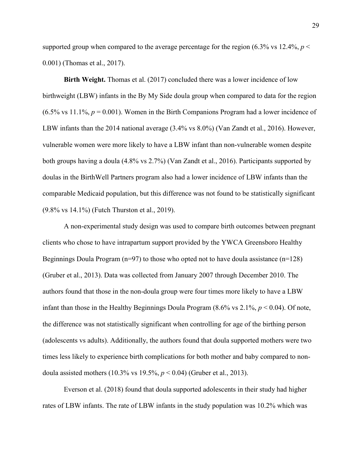supported group when compared to the average percentage for the region  $(6.3\% \text{ vs } 12.4\%, p <$ 0.001) (Thomas et al., 2017).

**Birth Weight.** Thomas et al. (2017) concluded there was a lower incidence of low birthweight (LBW) infants in the By My Side doula group when compared to data for the region  $(6.5\% \text{ vs } 11.1\%, p = 0.001)$ . Women in the Birth Companions Program had a lower incidence of LBW infants than the 2014 national average (3.4% vs 8.0%) (Van Zandt et al., 2016). However, vulnerable women were more likely to have a LBW infant than non-vulnerable women despite both groups having a doula (4.8% vs 2.7%) (Van Zandt et al., 2016). Participants supported by doulas in the BirthWell Partners program also had a lower incidence of LBW infants than the comparable Medicaid population, but this difference was not found to be statistically significant (9.8% vs 14.1%) (Futch Thurston et al., 2019).

 A non-experimental study design was used to compare birth outcomes between pregnant clients who chose to have intrapartum support provided by the YWCA Greensboro Healthy Beginnings Doula Program ( $n=97$ ) to those who opted not to have doula assistance ( $n=128$ ) (Gruber et al., 2013). Data was collected from January 2007 through December 2010. The authors found that those in the non-doula group were four times more likely to have a LBW infant than those in the Healthy Beginnings Doula Program (8.6% vs 2.1%, *p* < 0.04). Of note, the difference was not statistically significant when controlling for age of the birthing person (adolescents vs adults). Additionally, the authors found that doula supported mothers were two times less likely to experience birth complications for both mother and baby compared to nondoula assisted mothers (10.3% vs 19.5%, *p* < 0.04) (Gruber et al., 2013).

 Everson et al. (2018) found that doula supported adolescents in their study had higher rates of LBW infants. The rate of LBW infants in the study population was 10.2% which was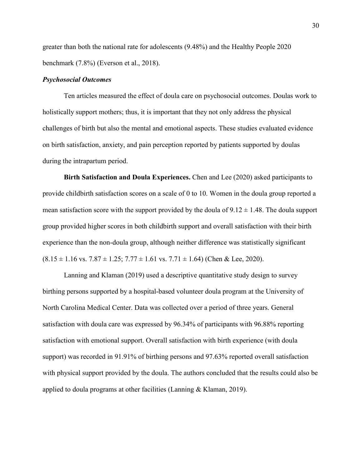greater than both the national rate for adolescents (9.48%) and the Healthy People 2020 benchmark (7.8%) (Everson et al., 2018).

#### *Psychosocial Outcomes*

Ten articles measured the effect of doula care on psychosocial outcomes. Doulas work to holistically support mothers; thus, it is important that they not only address the physical challenges of birth but also the mental and emotional aspects. These studies evaluated evidence on birth satisfaction, anxiety, and pain perception reported by patients supported by doulas during the intrapartum period.

 **Birth Satisfaction and Doula Experiences.** Chen and Lee (2020) asked participants to provide childbirth satisfaction scores on a scale of 0 to 10. Women in the doula group reported a mean satisfaction score with the support provided by the doula of  $9.12 \pm 1.48$ . The doula support group provided higher scores in both childbirth support and overall satisfaction with their birth experience than the non-doula group, although neither difference was statistically significant  $(8.15 \pm 1.16 \text{ vs. } 7.87 \pm 1.25; 7.77 \pm 1.61 \text{ vs. } 7.71 \pm 1.64)$  (Chen & Lee, 2020).

 Lanning and Klaman (2019) used a descriptive quantitative study design to survey birthing persons supported by a hospital-based volunteer doula program at the University of North Carolina Medical Center. Data was collected over a period of three years. General satisfaction with doula care was expressed by 96.34% of participants with 96.88% reporting satisfaction with emotional support. Overall satisfaction with birth experience (with doula support) was recorded in 91.91% of birthing persons and 97.63% reported overall satisfaction with physical support provided by the doula. The authors concluded that the results could also be applied to doula programs at other facilities (Lanning & Klaman, 2019).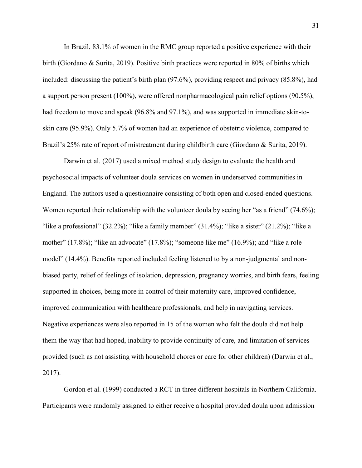In Brazil, 83.1% of women in the RMC group reported a positive experience with their birth (Giordano & Surita, 2019). Positive birth practices were reported in 80% of births which included: discussing the patient's birth plan (97.6%), providing respect and privacy (85.8%), had a support person present (100%), were offered nonpharmacological pain relief options (90.5%), had freedom to move and speak (96.8% and 97.1%), and was supported in immediate skin-toskin care (95.9%). Only 5.7% of women had an experience of obstetric violence, compared to Brazil's 25% rate of report of mistreatment during childbirth care (Giordano & Surita, 2019).

 Darwin et al. (2017) used a mixed method study design to evaluate the health and psychosocial impacts of volunteer doula services on women in underserved communities in England. The authors used a questionnaire consisting of both open and closed-ended questions. Women reported their relationship with the volunteer doula by seeing her "as a friend" (74.6%); "like a professional"  $(32.2\%)$ ; "like a family member"  $(31.4\%)$ ; "like a sister"  $(21.2\%)$ ; "like a mother" (17.8%); "like an advocate" (17.8%); "someone like me" (16.9%); and "like a role model" (14.4%). Benefits reported included feeling listened to by a non-judgmental and nonbiased party, relief of feelings of isolation, depression, pregnancy worries, and birth fears, feeling supported in choices, being more in control of their maternity care, improved confidence, improved communication with healthcare professionals, and help in navigating services. Negative experiences were also reported in 15 of the women who felt the doula did not help them the way that had hoped, inability to provide continuity of care, and limitation of services provided (such as not assisting with household chores or care for other children) (Darwin et al., 2017).

 Gordon et al. (1999) conducted a RCT in three different hospitals in Northern California. Participants were randomly assigned to either receive a hospital provided doula upon admission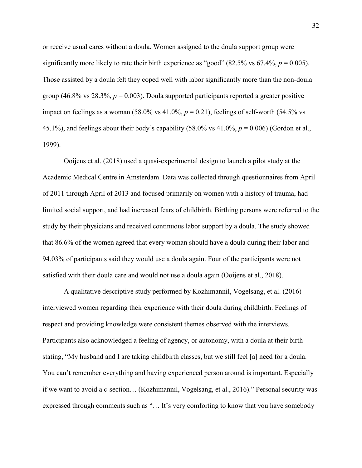or receive usual cares without a doula. Women assigned to the doula support group were significantly more likely to rate their birth experience as "good"  $(82.5\% \text{ vs } 67.4\%, p = 0.005)$ . Those assisted by a doula felt they coped well with labor significantly more than the non-doula group (46.8% vs 28.3%,  $p = 0.003$ ). Doula supported participants reported a greater positive impact on feelings as a woman  $(58.0\% \text{ vs } 41.0\%, p = 0.21)$ , feelings of self-worth  $(54.5\% \text{ vs } 41.0\%)$ 45.1%), and feelings about their body's capability  $(58.0\% \text{ vs } 41.0\%, p = 0.006)$  (Gordon et al., 1999).

 Ooijens et al. (2018) used a quasi-experimental design to launch a pilot study at the Academic Medical Centre in Amsterdam. Data was collected through questionnaires from April of 2011 through April of 2013 and focused primarily on women with a history of trauma, had limited social support, and had increased fears of childbirth. Birthing persons were referred to the study by their physicians and received continuous labor support by a doula. The study showed that 86.6% of the women agreed that every woman should have a doula during their labor and 94.03% of participants said they would use a doula again. Four of the participants were not satisfied with their doula care and would not use a doula again (Ooijens et al., 2018).

 A qualitative descriptive study performed by Kozhimannil, Vogelsang, et al. (2016) interviewed women regarding their experience with their doula during childbirth. Feelings of respect and providing knowledge were consistent themes observed with the interviews. Participants also acknowledged a feeling of agency, or autonomy, with a doula at their birth stating, "My husband and I are taking childbirth classes, but we still feel [a] need for a doula. You can't remember everything and having experienced person around is important. Especially if we want to avoid a c-section… (Kozhimannil, Vogelsang, et al., 2016)." Personal security was expressed through comments such as "… It's very comforting to know that you have somebody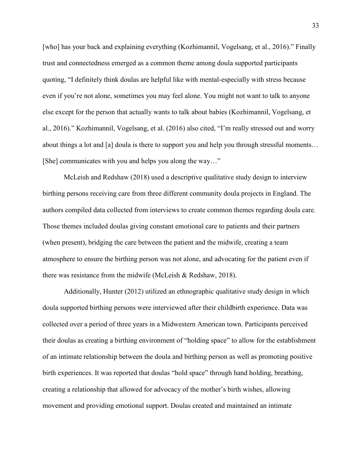[who] has your back and explaining everything (Kozhimannil, Vogelsang, et al., 2016)." Finally trust and connectedness emerged as a common theme among doula supported participants quoting, "I definitely think doulas are helpful like with mental-especially with stress because even if you're not alone, sometimes you may feel alone. You might not want to talk to anyone else except for the person that actually wants to talk about babies (Kozhimannil, Vogelsang, et al., 2016)." Kozhimannil, Vogelsang, et al. (2016) also cited, "I'm really stressed out and worry about things a lot and [a] doula is there to support you and help you through stressful moments… [She] communicates with you and helps you along the way..."

 McLeish and Redshaw (2018) used a descriptive qualitative study design to interview birthing persons receiving care from three different community doula projects in England. The authors compiled data collected from interviews to create common themes regarding doula care. Those themes included doulas giving constant emotional care to patients and their partners (when present), bridging the care between the patient and the midwife, creating a team atmosphere to ensure the birthing person was not alone, and advocating for the patient even if there was resistance from the midwife (McLeish & Redshaw, 2018).

 Additionally, Hunter (2012) utilized an ethnographic qualitative study design in which doula supported birthing persons were interviewed after their childbirth experience. Data was collected over a period of three years in a Midwestern American town. Participants perceived their doulas as creating a birthing environment of "holding space" to allow for the establishment of an intimate relationship between the doula and birthing person as well as promoting positive birth experiences. It was reported that doulas "hold space" through hand holding, breathing, creating a relationship that allowed for advocacy of the mother's birth wishes, allowing movement and providing emotional support. Doulas created and maintained an intimate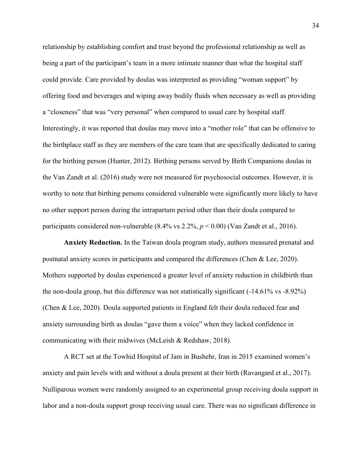relationship by establishing comfort and trust beyond the professional relationship as well as being a part of the participant's team in a more intimate manner than what the hospital staff could provide. Care provided by doulas was interpreted as providing "woman support" by offering food and beverages and wiping away bodily fluids when necessary as well as providing a "closeness" that was "very personal" when compared to usual care by hospital staff. Interestingly, it was reported that doulas may move into a "mother role" that can be offensive to the birthplace staff as they are members of the care team that are specifically dedicated to caring for the birthing person (Hunter, 2012). Birthing persons served by Birth Companions doulas in the Van Zandt et al. (2016) study were not measured for psychosocial outcomes. However, it is worthy to note that birthing persons considered vulnerable were significantly more likely to have no other support person during the intrapartum period other than their doula compared to participants considered non-vulnerable (8.4% vs 2.2%, *p* < 0.00) (Van Zandt et al., 2016).

 **Anxiety Reduction.** In the Taiwan doula program study, authors measured prenatal and postnatal anxiety scores in participants and compared the differences (Chen & Lee, 2020). Mothers supported by doulas experienced a greater level of anxiety reduction in childbirth than the non-doula group, but this difference was not statistically significant (-14.61% vs -8.92%) (Chen & Lee, 2020). Doula supported patients in England felt their doula reduced fear and anxiety surrounding birth as doulas "gave them a voice" when they lacked confidence in communicating with their midwives (McLeish & Redshaw, 2018).

 A RCT set at the Towhid Hospital of Jam in Bushehr, Iran in 2015 examined women's anxiety and pain levels with and without a doula present at their birth (Ravangard et al., 2017). Nulliparous women were randomly assigned to an experimental group receiving doula support in labor and a non-doula support group receiving usual care. There was no significant difference in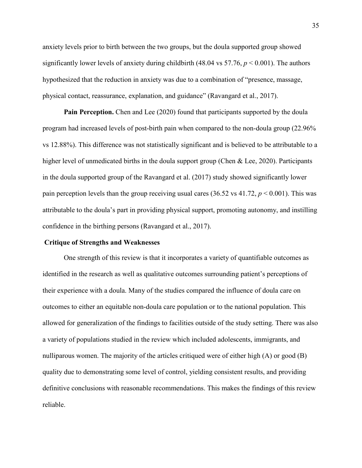anxiety levels prior to birth between the two groups, but the doula supported group showed significantly lower levels of anxiety during childbirth (48.04 vs 57.76, *p* < 0.001). The authors hypothesized that the reduction in anxiety was due to a combination of "presence, massage, physical contact, reassurance, explanation, and guidance" (Ravangard et al., 2017).

**Pain Perception.** Chen and Lee (2020) found that participants supported by the doula program had increased levels of post-birth pain when compared to the non-doula group (22.96% vs 12.88%). This difference was not statistically significant and is believed to be attributable to a higher level of unmedicated births in the doula support group (Chen & Lee, 2020). Participants in the doula supported group of the Ravangard et al. (2017) study showed significantly lower pain perception levels than the group receiving usual cares (36.52 vs 41.72, *p* < 0.001). This was attributable to the doula's part in providing physical support, promoting autonomy, and instilling confidence in the birthing persons (Ravangard et al., 2017).

#### **Critique of Strengths and Weaknesses**

One strength of this review is that it incorporates a variety of quantifiable outcomes as identified in the research as well as qualitative outcomes surrounding patient's perceptions of their experience with a doula. Many of the studies compared the influence of doula care on outcomes to either an equitable non-doula care population or to the national population. This allowed for generalization of the findings to facilities outside of the study setting. There was also a variety of populations studied in the review which included adolescents, immigrants, and nulliparous women. The majority of the articles critiqued were of either high (A) or good (B) quality due to demonstrating some level of control, yielding consistent results, and providing definitive conclusions with reasonable recommendations. This makes the findings of this review reliable.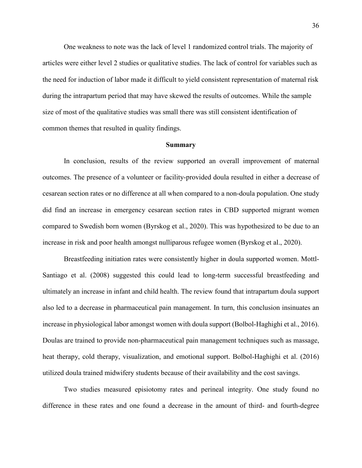One weakness to note was the lack of level 1 randomized control trials. The majority of articles were either level 2 studies or qualitative studies. The lack of control for variables such as the need for induction of labor made it difficult to yield consistent representation of maternal risk during the intrapartum period that may have skewed the results of outcomes. While the sample size of most of the qualitative studies was small there was still consistent identification of common themes that resulted in quality findings.

#### **Summary**

In conclusion, results of the review supported an overall improvement of maternal outcomes. The presence of a volunteer or facility-provided doula resulted in either a decrease of cesarean section rates or no difference at all when compared to a non-doula population. One study did find an increase in emergency cesarean section rates in CBD supported migrant women compared to Swedish born women (Byrskog et al., 2020). This was hypothesized to be due to an increase in risk and poor health amongst nulliparous refugee women (Byrskog et al., 2020).

Breastfeeding initiation rates were consistently higher in doula supported women. Mottl-Santiago et al. (2008) suggested this could lead to long-term successful breastfeeding and ultimately an increase in infant and child health. The review found that intrapartum doula support also led to a decrease in pharmaceutical pain management. In turn, this conclusion insinuates an increase in physiological labor amongst women with doula support (Bolbol-Haghighi et al., 2016). Doulas are trained to provide non-pharmaceutical pain management techniques such as massage, heat therapy, cold therapy, visualization, and emotional support. Bolbol-Haghighi et al. (2016) utilized doula trained midwifery students because of their availability and the cost savings.

Two studies measured episiotomy rates and perineal integrity. One study found no difference in these rates and one found a decrease in the amount of third- and fourth-degree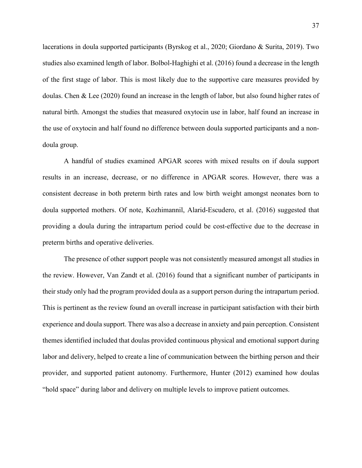lacerations in doula supported participants (Byrskog et al., 2020; Giordano & Surita, 2019). Two studies also examined length of labor. Bolbol-Haghighi et al. (2016) found a decrease in the length of the first stage of labor. This is most likely due to the supportive care measures provided by doulas. Chen & Lee (2020) found an increase in the length of labor, but also found higher rates of natural birth. Amongst the studies that measured oxytocin use in labor, half found an increase in the use of oxytocin and half found no difference between doula supported participants and a nondoula group.

A handful of studies examined APGAR scores with mixed results on if doula support results in an increase, decrease, or no difference in APGAR scores. However, there was a consistent decrease in both preterm birth rates and low birth weight amongst neonates born to doula supported mothers. Of note, Kozhimannil, Alarid-Escudero, et al. (2016) suggested that providing a doula during the intrapartum period could be cost-effective due to the decrease in preterm births and operative deliveries.

The presence of other support people was not consistently measured amongst all studies in the review. However, Van Zandt et al. (2016) found that a significant number of participants in their study only had the program provided doula as a support person during the intrapartum period. This is pertinent as the review found an overall increase in participant satisfaction with their birth experience and doula support. There was also a decrease in anxiety and pain perception. Consistent themes identified included that doulas provided continuous physical and emotional support during labor and delivery, helped to create a line of communication between the birthing person and their provider, and supported patient autonomy. Furthermore, Hunter (2012) examined how doulas "hold space" during labor and delivery on multiple levels to improve patient outcomes.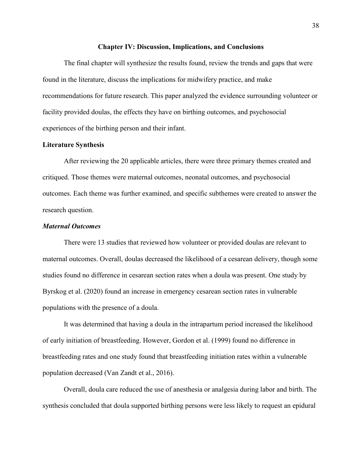#### **Chapter IV: Discussion, Implications, and Conclusions**

The final chapter will synthesize the results found, review the trends and gaps that were found in the literature, discuss the implications for midwifery practice, and make recommendations for future research. This paper analyzed the evidence surrounding volunteer or facility provided doulas, the effects they have on birthing outcomes, and psychosocial experiences of the birthing person and their infant.

## **Literature Synthesis**

After reviewing the 20 applicable articles, there were three primary themes created and critiqued. Those themes were maternal outcomes, neonatal outcomes, and psychosocial outcomes. Each theme was further examined, and specific subthemes were created to answer the research question.

#### *Maternal Outcomes*

There were 13 studies that reviewed how volunteer or provided doulas are relevant to maternal outcomes. Overall, doulas decreased the likelihood of a cesarean delivery, though some studies found no difference in cesarean section rates when a doula was present. One study by Byrskog et al. (2020) found an increase in emergency cesarean section rates in vulnerable populations with the presence of a doula.

It was determined that having a doula in the intrapartum period increased the likelihood of early initiation of breastfeeding. However, Gordon et al. (1999) found no difference in breastfeeding rates and one study found that breastfeeding initiation rates within a vulnerable population decreased (Van Zandt et al., 2016).

Overall, doula care reduced the use of anesthesia or analgesia during labor and birth. The synthesis concluded that doula supported birthing persons were less likely to request an epidural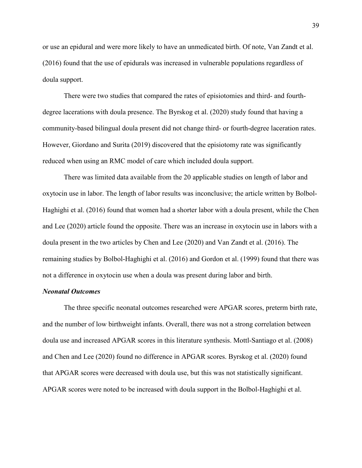or use an epidural and were more likely to have an unmedicated birth. Of note, Van Zandt et al. (2016) found that the use of epidurals was increased in vulnerable populations regardless of doula support.

There were two studies that compared the rates of episiotomies and third- and fourthdegree lacerations with doula presence. The Byrskog et al. (2020) study found that having a community-based bilingual doula present did not change third- or fourth-degree laceration rates. However, Giordano and Surita (2019) discovered that the episiotomy rate was significantly reduced when using an RMC model of care which included doula support.

There was limited data available from the 20 applicable studies on length of labor and oxytocin use in labor. The length of labor results was inconclusive; the article written by Bolbol-Haghighi et al. (2016) found that women had a shorter labor with a doula present, while the Chen and Lee (2020) article found the opposite. There was an increase in oxytocin use in labors with a doula present in the two articles by Chen and Lee (2020) and Van Zandt et al. (2016). The remaining studies by Bolbol-Haghighi et al. (2016) and Gordon et al. (1999) found that there was not a difference in oxytocin use when a doula was present during labor and birth.

## *Neonatal Outcomes*

The three specific neonatal outcomes researched were APGAR scores, preterm birth rate, and the number of low birthweight infants. Overall, there was not a strong correlation between doula use and increased APGAR scores in this literature synthesis. Mottl-Santiago et al. (2008) and Chen and Lee (2020) found no difference in APGAR scores. Byrskog et al. (2020) found that APGAR scores were decreased with doula use, but this was not statistically significant. APGAR scores were noted to be increased with doula support in the Bolbol-Haghighi et al.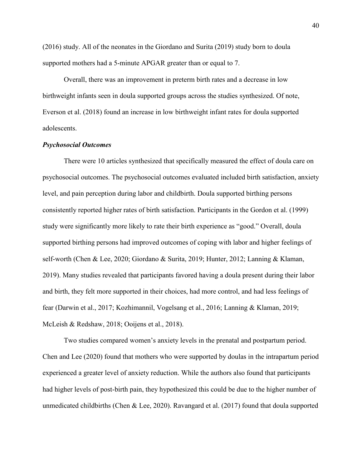(2016) study. All of the neonates in the Giordano and Surita (2019) study born to doula supported mothers had a 5-minute APGAR greater than or equal to 7.

Overall, there was an improvement in preterm birth rates and a decrease in low birthweight infants seen in doula supported groups across the studies synthesized. Of note, Everson et al. (2018) found an increase in low birthweight infant rates for doula supported adolescents.

## *Psychosocial Outcomes*

There were 10 articles synthesized that specifically measured the effect of doula care on psychosocial outcomes. The psychosocial outcomes evaluated included birth satisfaction, anxiety level, and pain perception during labor and childbirth. Doula supported birthing persons consistently reported higher rates of birth satisfaction. Participants in the Gordon et al. (1999) study were significantly more likely to rate their birth experience as "good." Overall, doula supported birthing persons had improved outcomes of coping with labor and higher feelings of self-worth (Chen & Lee, 2020; Giordano & Surita, 2019; Hunter, 2012; Lanning & Klaman, 2019). Many studies revealed that participants favored having a doula present during their labor and birth, they felt more supported in their choices, had more control, and had less feelings of fear (Darwin et al., 2017; Kozhimannil, Vogelsang et al., 2016; Lanning & Klaman, 2019; McLeish & Redshaw, 2018; Ooijens et al., 2018).

 Two studies compared women's anxiety levels in the prenatal and postpartum period. Chen and Lee (2020) found that mothers who were supported by doulas in the intrapartum period experienced a greater level of anxiety reduction. While the authors also found that participants had higher levels of post-birth pain, they hypothesized this could be due to the higher number of unmedicated childbirths (Chen & Lee, 2020). Ravangard et al. (2017) found that doula supported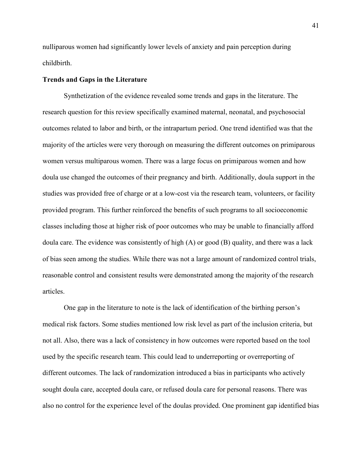nulliparous women had significantly lower levels of anxiety and pain perception during childbirth.

## **Trends and Gaps in the Literature**

Synthetization of the evidence revealed some trends and gaps in the literature. The research question for this review specifically examined maternal, neonatal, and psychosocial outcomes related to labor and birth, or the intrapartum period. One trend identified was that the majority of the articles were very thorough on measuring the different outcomes on primiparous women versus multiparous women. There was a large focus on primiparous women and how doula use changed the outcomes of their pregnancy and birth. Additionally, doula support in the studies was provided free of charge or at a low-cost via the research team, volunteers, or facility provided program. This further reinforced the benefits of such programs to all socioeconomic classes including those at higher risk of poor outcomes who may be unable to financially afford doula care. The evidence was consistently of high (A) or good (B) quality, and there was a lack of bias seen among the studies. While there was not a large amount of randomized control trials, reasonable control and consistent results were demonstrated among the majority of the research articles.

 One gap in the literature to note is the lack of identification of the birthing person's medical risk factors. Some studies mentioned low risk level as part of the inclusion criteria, but not all. Also, there was a lack of consistency in how outcomes were reported based on the tool used by the specific research team. This could lead to underreporting or overreporting of different outcomes. The lack of randomization introduced a bias in participants who actively sought doula care, accepted doula care, or refused doula care for personal reasons. There was also no control for the experience level of the doulas provided. One prominent gap identified bias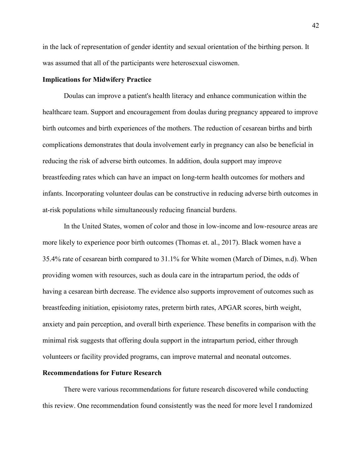in the lack of representation of gender identity and sexual orientation of the birthing person. It was assumed that all of the participants were heterosexual ciswomen.

#### **Implications for Midwifery Practice**

Doulas can improve a patient's health literacy and enhance communication within the healthcare team. Support and encouragement from doulas during pregnancy appeared to improve birth outcomes and birth experiences of the mothers. The reduction of cesarean births and birth complications demonstrates that doula involvement early in pregnancy can also be beneficial in reducing the risk of adverse birth outcomes. In addition, doula support may improve breastfeeding rates which can have an impact on long-term health outcomes for mothers and infants. Incorporating volunteer doulas can be constructive in reducing adverse birth outcomes in at-risk populations while simultaneously reducing financial burdens.

In the United States, women of color and those in low-income and low-resource areas are more likely to experience poor birth outcomes (Thomas et. al., 2017). Black women have a 35.4% rate of cesarean birth compared to 31.1% for White women (March of Dimes, n.d). When providing women with resources, such as doula care in the intrapartum period, the odds of having a cesarean birth decrease. The evidence also supports improvement of outcomes such as breastfeeding initiation, episiotomy rates, preterm birth rates, APGAR scores, birth weight, anxiety and pain perception, and overall birth experience. These benefits in comparison with the minimal risk suggests that offering doula support in the intrapartum period, either through volunteers or facility provided programs, can improve maternal and neonatal outcomes.

## **Recommendations for Future Research**

There were various recommendations for future research discovered while conducting this review. One recommendation found consistently was the need for more level I randomized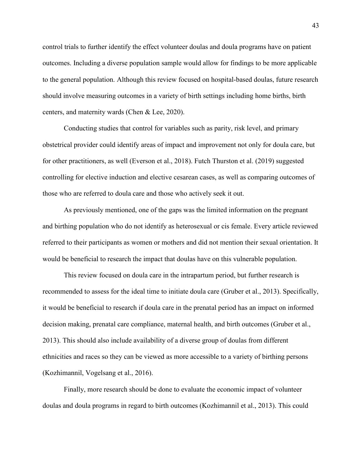control trials to further identify the effect volunteer doulas and doula programs have on patient outcomes. Including a diverse population sample would allow for findings to be more applicable to the general population. Although this review focused on hospital-based doulas, future research should involve measuring outcomes in a variety of birth settings including home births, birth centers, and maternity wards (Chen & Lee, 2020).

 Conducting studies that control for variables such as parity, risk level, and primary obstetrical provider could identify areas of impact and improvement not only for doula care, but for other practitioners, as well (Everson et al., 2018). Futch Thurston et al. (2019) suggested controlling for elective induction and elective cesarean cases, as well as comparing outcomes of those who are referred to doula care and those who actively seek it out.

 As previously mentioned, one of the gaps was the limited information on the pregnant and birthing population who do not identify as heterosexual or cis female. Every article reviewed referred to their participants as women or mothers and did not mention their sexual orientation. It would be beneficial to research the impact that doulas have on this vulnerable population.

This review focused on doula care in the intrapartum period, but further research is recommended to assess for the ideal time to initiate doula care (Gruber et al., 2013). Specifically, it would be beneficial to research if doula care in the prenatal period has an impact on informed decision making, prenatal care compliance, maternal health, and birth outcomes (Gruber et al., 2013). This should also include availability of a diverse group of doulas from different ethnicities and races so they can be viewed as more accessible to a variety of birthing persons (Kozhimannil, Vogelsang et al., 2016).

 Finally, more research should be done to evaluate the economic impact of volunteer doulas and doula programs in regard to birth outcomes (Kozhimannil et al., 2013). This could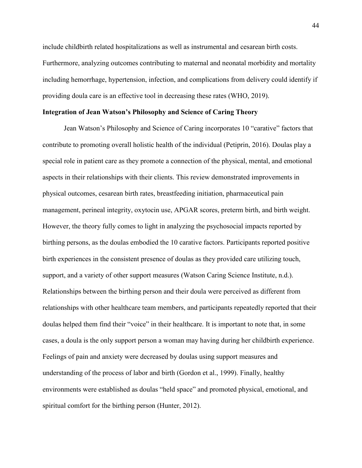include childbirth related hospitalizations as well as instrumental and cesarean birth costs. Furthermore, analyzing outcomes contributing to maternal and neonatal morbidity and mortality including hemorrhage, hypertension, infection, and complications from delivery could identify if providing doula care is an effective tool in decreasing these rates (WHO, 2019).

## **Integration of Jean Watson's Philosophy and Science of Caring Theory**

Jean Watson's Philosophy and Science of Caring incorporates 10 "carative" factors that contribute to promoting overall holistic health of the individual (Petiprin, 2016). Doulas play a special role in patient care as they promote a connection of the physical, mental, and emotional aspects in their relationships with their clients. This review demonstrated improvements in physical outcomes, cesarean birth rates, breastfeeding initiation, pharmaceutical pain management, perineal integrity, oxytocin use, APGAR scores, preterm birth, and birth weight. However, the theory fully comes to light in analyzing the psychosocial impacts reported by birthing persons, as the doulas embodied the 10 carative factors. Participants reported positive birth experiences in the consistent presence of doulas as they provided care utilizing touch, support, and a variety of other support measures (Watson Caring Science Institute, n.d.). Relationships between the birthing person and their doula were perceived as different from relationships with other healthcare team members, and participants repeatedly reported that their doulas helped them find their "voice" in their healthcare. It is important to note that, in some cases, a doula is the only support person a woman may having during her childbirth experience. Feelings of pain and anxiety were decreased by doulas using support measures and understanding of the process of labor and birth (Gordon et al., 1999). Finally, healthy environments were established as doulas "held space" and promoted physical, emotional, and spiritual comfort for the birthing person (Hunter, 2012).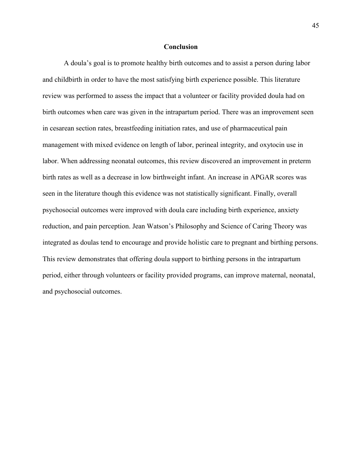#### **Conclusion**

 A doula's goal is to promote healthy birth outcomes and to assist a person during labor and childbirth in order to have the most satisfying birth experience possible. This literature review was performed to assess the impact that a volunteer or facility provided doula had on birth outcomes when care was given in the intrapartum period. There was an improvement seen in cesarean section rates, breastfeeding initiation rates, and use of pharmaceutical pain management with mixed evidence on length of labor, perineal integrity, and oxytocin use in labor. When addressing neonatal outcomes, this review discovered an improvement in preterm birth rates as well as a decrease in low birthweight infant. An increase in APGAR scores was seen in the literature though this evidence was not statistically significant. Finally, overall psychosocial outcomes were improved with doula care including birth experience, anxiety reduction, and pain perception. Jean Watson's Philosophy and Science of Caring Theory was integrated as doulas tend to encourage and provide holistic care to pregnant and birthing persons. This review demonstrates that offering doula support to birthing persons in the intrapartum period, either through volunteers or facility provided programs, can improve maternal, neonatal, and psychosocial outcomes.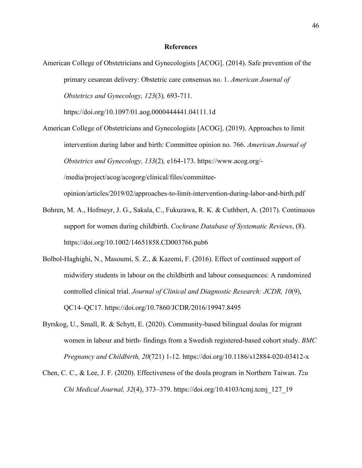#### **References**

American College of Obstetricians and Gynecologists [ACOG]. (2014). Safe prevention of the primary cesarean delivery: Obstetric care consensus no. 1. *American Journal of Obstetrics and Gynecology, 123*(3)*,* 693-711.

https://doi.org/10.1097/01.aog.0000444441.04111.1d

- American College of Obstetricians and Gynecologists [ACOG]. (2019). Approaches to limit intervention during labor and birth: Committee opinion no. 766. *American Journal of Obstetrics and Gynecology, 133*(2)*,* e164-173. https://www.acog.org/- /media/project/acog/acogorg/clinical/files/committeeopinion/articles/2019/02/approaches-to-limit-intervention-during-labor-and-birth.pdf
- Bohren, M. A., Hofmeyr, J. G., Sakala, C., Fukuzawa, R. K. & Cuthbert, A. (2017). Continuous support for women during childbirth. *Cochrane Database of Systematic Reviews*, (8). https://doi.org/10.1002/14651858.CD003766.pub6
- Bolbol-Haghighi, N., Masoumi, S. Z., & Kazemi, F. (2016). Effect of continued support of midwifery students in labour on the childbirth and labour consequences: A randomized controlled clinical trial. *Journal of Clinical and Diagnostic Research: JCDR, 10*(9), QC14–QC17. https://doi.org/10.7860/JCDR/2016/19947.8495
- Byrskog, U., Small, R. & Schytt, E. (2020). Community-based bilingual doulas for migrant women in labour and birth- findings from a Swedish registered-based cohort study. *BMC Pregnancy and Childbirth, 20*(721) 1-12. https://doi.org/10.1186/s12884-020-03412-x
- Chen, C. C., & Lee, J. F. (2020). Effectiveness of the doula program in Northern Taiwan. *Tzu Chi Medical Journal, 32*(4), 373–379. https://doi.org/10.4103/tcmj.tcmj\_127\_19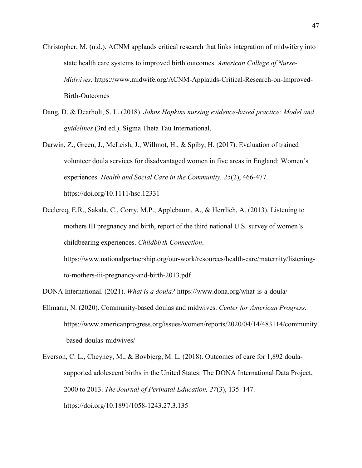- Christopher, M. (n.d.). ACNM applauds critical research that links integration of midwifery into state health care systems to improved birth outcomes. *American College of Nurse-Midwives.* https://www.midwife.org/ACNM-Applauds-Critical-Research-on-Improved-Birth-Outcomes
- Dang, D. & Dearholt, S. L. (2018). *Johns Hopkins nursing evidence-based practice: Model and guidelines* (3rd ed.). Sigma Theta Tau International.
- Darwin, Z., Green, J., McLeish, J., Willmot, H., & Spiby, H. (2017). Evaluation of trained volunteer doula services for disadvantaged women in five areas in England: Women's experiences. *Health and Social Care in the Community, 25*(2), 466-477. https://doi.org/10.1111/hsc.12331
- Declercq, E.R., Sakala, C., Corry, M.P., Applebaum, A., & Herrlich, A. (2013). Listening to mothers III pregnancy and birth, report of the third national U.S. survey of women's childbearing experiences. *Childbirth Connection*. https://www.nationalpartnership.org/our-work/resources/health-care/maternity/listening-

to-mothers-iii-pregnancy-and-birth-2013.pdf

- DONA International. (2021). *What is a doula?* https://www.dona.org/what-is-a-doula/
- Ellmann, N. (2020). Community-based doulas and midwives. *Center for American Progress.*  https://www.americanprogress.org/issues/women/reports/2020/04/14/483114/community -based-doulas-midwives/
- Everson, C. L., Cheyney, M., & Bovbjerg, M. L. (2018). Outcomes of care for 1,892 doulasupported adolescent births in the United States: The DONA International Data Project, 2000 to 2013. *The Journal of Perinatal Education, 27*(3), 135–147. https://doi.org/10.1891/1058-1243.27.3.135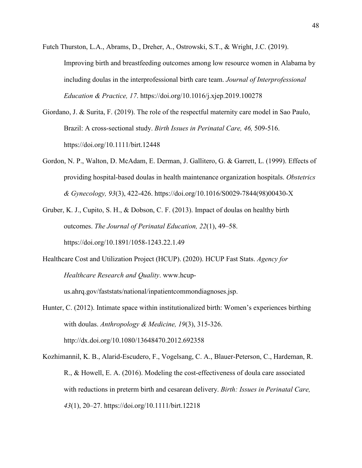- Futch Thurston, L.A., Abrams, D., Dreher, A., Ostrowski, S.T., & Wright, J.C. (2019). Improving birth and breastfeeding outcomes among low resource women in Alabama by including doulas in the interprofessional birth care team. *Journal of Interprofessional Education & Practice, 17*. https://doi.org/10.1016/j.xjep.2019.100278
- Giordano, J. & Surita, F. (2019). The role of the respectful maternity care model in Sao Paulo, Brazil: A cross-sectional study. *Birth Issues in Perinatal Care, 46,* 509-516. https://doi.org/10.1111/birt.12448
- Gordon, N. P., Walton, D. McAdam, E. Derman, J. Gallitero, G. & Garrett, L. (1999). Effects of providing hospital-based doulas in health maintenance organization hospitals. *Obstetrics & Gynecology, 93*(3), 422-426. https://doi.org/10.1016/S0029-7844(98)00430-X
- Gruber, K. J., Cupito, S. H., & Dobson, C. F. (2013). Impact of doulas on healthy birth outcomes. *The Journal of Perinatal Education, 22*(1), 49–58. https://doi.org/10.1891/1058-1243.22.1.49
- Healthcare Cost and Utilization Project (HCUP). (2020). HCUP Fast Stats. *Agency for Healthcare Research and Quality*. www.hcup-

us.ahrq.gov/faststats/national/inpatientcommondiagnoses.jsp.

- Hunter, C. (2012). Intimate space within institutionalized birth: Women's experiences birthing with doulas. *Anthropology & Medicine, 19*(3), 315-326. http://dx.doi.org/10.1080/13648470.2012.692358
- Kozhimannil, K. B., Alarid-Escudero, F., Vogelsang, C. A., Blauer-Peterson, C., Hardeman, R. R., & Howell, E. A. (2016). Modeling the cost-effectiveness of doula care associated with reductions in preterm birth and cesarean delivery. *Birth: Issues in Perinatal Care, 43*(1), 20–27. https://doi.org/10.1111/birt.12218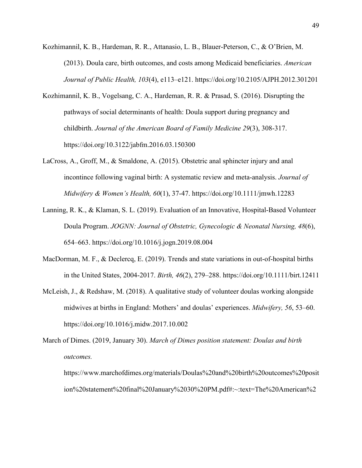- Kozhimannil, K. B., Hardeman, R. R., Attanasio, L. B., Blauer-Peterson, C., & O'Brien, M. (2013). Doula care, birth outcomes, and costs among Medicaid beneficiaries. *American Journal of Public Health, 103*(4), e113–e121. https://doi.org/10.2105/AJPH.2012.301201
- Kozhimannil, K. B., Vogelsang, C. A., Hardeman, R. R. & Prasad, S. (2016). Disrupting the pathways of social determinants of health: Doula support during pregnancy and childbirth. *Journal of the American Board of Family Medicine 29*(3), 308-317. https://doi.org/10.3122/jabfm.2016.03.150300
- LaCross, A., Groff, M., & Smaldone, A. (2015). Obstetric anal sphincter injury and anal incontince following vaginal birth: A systematic review and meta-analysis. *Journal of Midwifery & Women's Health, 60*(1), 37-47. https://doi.org/10.1111/jmwh.12283
- Lanning, R. K., & Klaman, S. L. (2019). Evaluation of an Innovative, Hospital-Based Volunteer Doula Program. *JOGNN: Journal of Obstetric, Gynecologic & Neonatal Nursing, 48*(6), 654–663. https://doi.org/10.1016/j.jogn.2019.08.004
- MacDorman, M. F., & Declercq, E. (2019). Trends and state variations in out-of-hospital births in the United States, 2004-2017. *Birth, 46*(2), 279–288. https://doi.org/10.1111/birt.12411
- McLeish, J., & Redshaw, M. (2018). A qualitative study of volunteer doulas working alongside midwives at births in England: Mothers' and doulas' experiences. *Midwifery, 56*, 53–60. https://doi.org/10.1016/j.midw.2017.10.002
- March of Dimes. (2019, January 30). *March of Dimes position statement: Doulas and birth outcomes.*

https://www.marchofdimes.org/materials/Doulas%20and%20birth%20outcomes%20posit ion%20statement%20final%20January%2030%20PM.pdf#:~:text=The%20American%2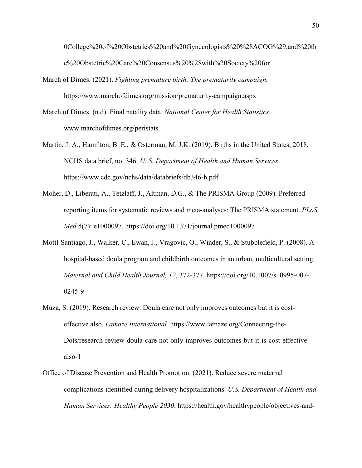0College%20of%20Obstetrics%20and%20Gynecologists%20%28ACOG%29,and%20th e%20Obstetric%20Care%20Consensus%20%28with%20Society%20for

- March of Dimes. (2021). *Fighting premature birth: The prematurity campaign.*  https://www.marchofdimes.org/mission/prematurity-campaign.aspx
- March of Dimes. (n.d). Final natality data. *National Center for Health Statistics*. www.marchofdimes.org/peristats.
- Martin, J. A., Hamilton, B. E., & Osterman, M. J.K. (2019). Births in the United States, 2018, NCHS data brief, no. 346. *U. S. Department of Health and Human Services*. https://www.cdc.gov/nchs/data/databriefs/db346-h.pdf
- Moher, D., Liberati, A., Tetzlaff, J., Altman, D.G., & The PRISMA Group (2009). Preferred reporting items for systematic reviews and meta-analyses: The PRISMA statement. *PLoS Med 6*(7): e1000097. https://doi.org/10.1371/journal.pmed1000097
- Mottl-Santiago, J., Walker, C., Ewan, J., Vragovic, O., Winder, S., & Stubblefield, P. (2008). A hospital-based doula program and childbirth outcomes in an urban, multicultural setting. *Maternal and Child Health Journal, 12*, 372-377. https://doi.org/10.1007/s10995-007- 0245-9
- Muza, S. (2019). Research review: Doula care not only improves outcomes but it is costeffective also. *Lamaze International.* https://www.lamaze.org/Connecting-the-Dots/research-review-doula-care-not-only-improves-outcomes-but-it-is-cost-effectivealso-1
- Office of Disease Prevention and Health Promotion. (2021). Reduce severe maternal complications identified during delivery hospitalizations. *U.S. Department of Health and Human Services: Healthy People 2030*. https://health.gov/healthypeople/objectives-and-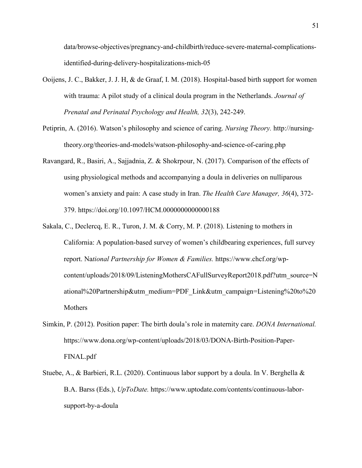data/browse-objectives/pregnancy-and-childbirth/reduce-severe-maternal-complicationsidentified-during-delivery-hospitalizations-mich-05

- Ooijens, J. C., Bakker, J. J. H, & de Graaf, I. M. (2018). Hospital-based birth support for women with trauma: A pilot study of a clinical doula program in the Netherlands. *Journal of Prenatal and Perinatal Psychology and Health, 32*(3), 242-249.
- Petiprin, A. (2016). Watson's philosophy and science of caring. *Nursing Theory.* http://nursingtheory.org/theories-and-models/watson-philosophy-and-science-of-caring.php
- Ravangard, R., Basiri, A., Sajjadnia, Z. & Shokrpour, N. (2017). Comparison of the effects of using physiological methods and accompanying a doula in deliveries on nulliparous women's anxiety and pain: A case study in Iran. *The Health Care Manager, 36*(4), 372- 379. https://doi.org/10.1097/HCM.0000000000000188
- Sakala, C., Declercq, E. R., Turon, J. M. & Corry, M. P. (2018). Listening to mothers in California: A population-based survey of women's childbearing experiences, full survey report. Na*tional Partnership for Women & Families.* https://www.chcf.org/wpcontent/uploads/2018/09/ListeningMothersCAFullSurveyReport2018.pdf?utm\_source=N ational%20Partnership&utm\_medium=PDF\_Link&utm\_campaign=Listening%20to%20 Mothers
- Simkin, P. (2012). Position paper: The birth doula's role in maternity care. *DONA International.* https://www.dona.org/wp-content/uploads/2018/03/DONA-Birth-Position-Paper-FINAL.pdf
- Stuebe, A., & Barbieri, R.L. (2020). Continuous labor support by a doula. In V. Berghella & B.A. Barss (Eds.), *UpToDate.* https://www.uptodate.com/contents/continuous-laborsupport-by-a-doula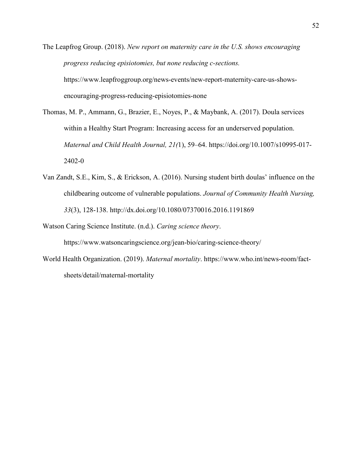The Leapfrog Group. (2018). *New report on maternity care in the U.S. shows encouraging progress reducing episiotomies, but none reducing c-sections.*  https://www.leapfroggroup.org/news-events/new-report-maternity-care-us-showsencouraging-progress-reducing-episiotomies-none

Thomas, M. P., Ammann, G., Brazier, E., Noyes, P., & Maybank, A. (2017). Doula services within a Healthy Start Program: Increasing access for an underserved population. *Maternal and Child Health Journal, 21(*1), 59–64. https://doi.org/10.1007/s10995-017- 2402-0

Van Zandt, S.E., Kim, S., & Erickson, A. (2016). Nursing student birth doulas' influence on the childbearing outcome of vulnerable populations. *Journal of Community Health Nursing, 33*(3), 128-138. http://dx.doi.org/10.1080/07370016.2016.1191869

Watson Caring Science Institute. (n.d.). *Caring science theory*. https://www.watsoncaringscience.org/jean-bio/caring-science-theory/

World Health Organization. (2019). *Maternal mortality*. https://www.who.int/news-room/factsheets/detail/maternal-mortality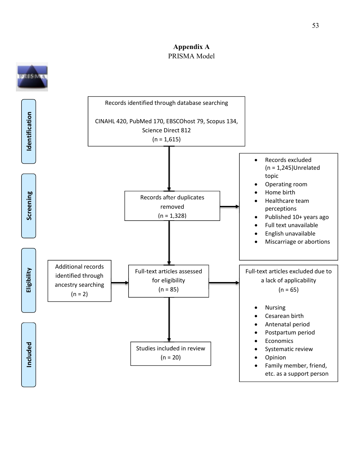## **Appendix A** PRISMA Model



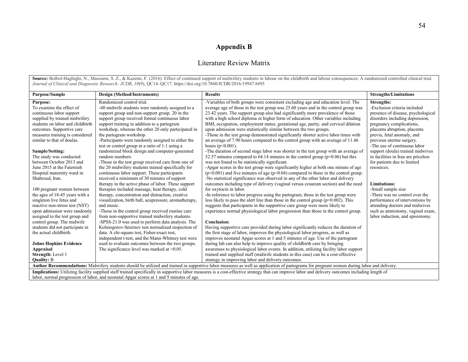# **Appendix B**

## Literature Review Matrix

Source: Bolbol-Haghighi, N., Masoumi, S. Z., & Kazemi, F. (2016). Effect of continued support of midwifery students in labour on the childbirth and labour consequences: A randomized controlled clinical trial. *Journal of Clinical and Diagnostic Research: JCDR*, *10*(9), QC14–QC17. https://doi.org/10.7860/JCDR/2016/19947.8495

| <b>Purpose/Sample</b>            | <b>Design (Method/Instruments)</b>                                                       | <b>Results</b>                                                                                                                                                                                  | <b>Strengths/Limitations</b>        |  |  |
|----------------------------------|------------------------------------------------------------------------------------------|-------------------------------------------------------------------------------------------------------------------------------------------------------------------------------------------------|-------------------------------------|--|--|
| <b>Purpose:</b>                  | Randomized control trial.                                                                | -Variables of both groups were consistent excluding age and education level. The                                                                                                                | <b>Strengths:</b>                   |  |  |
| To examine the effect of         | -40 midwife students were randomly assigned to a                                         | average age of those in the test group was 25.60 years and in the control group was                                                                                                             | -Exclusion criteria included        |  |  |
| continuous labor support         | support group and non-support group. 20 in the                                           | 23.42 years. The support group also had significantly more prevalence of those                                                                                                                  | presence of disease, psychological  |  |  |
| supplied by trained midwifery    | support group received formal continuous labor                                           | with a high school diploma or higher form of education. Other variables including                                                                                                               | disorders including depression,     |  |  |
| students on labor and childbirth | support training in addition to a partogram                                              | BMI, occupation, employment status, gestational age, parity, and cervical dilation                                                                                                              | pregnancy complications,            |  |  |
| outcomes. Supportive care        | workshop, whereas the other 20 only participated in                                      | upon admission were statistically similar between the two groups.                                                                                                                               | placenta abruption, placenta        |  |  |
| measures training is considered  | the partogram workshop.                                                                  | -Those in the test group demonstrated significantly shorter active labor times with                                                                                                             | previa, fetal anomaly, and          |  |  |
| similar to that of doulas.       | -Participants were randomly assigned to either the                                       | an average of 7.90 hours compared to the control group with an average of 11.46                                                                                                                 | previous uterine surgery.           |  |  |
|                                  | test or control group in a ratio of 1:1 using a                                          | hours ( $p < 0.001$ ).                                                                                                                                                                          | -The use of continuous labor        |  |  |
| Sample/Setting:                  | randomized block design and computer-generated                                           | -The duration of second stage labor was shorter in the test group with an average of                                                                                                            | support (doula) trained midwives    |  |  |
| The study was conducted          | random numbers.                                                                          | 52.57 minutes compared to 64.14 minutes in the control group ( $p=0.06$ ) but this                                                                                                              | in facilities in Iran are priceless |  |  |
| between October 2013 and         | -Those in the test group received care from one of                                       | was not found to be statistically significant.                                                                                                                                                  | for patients due to limited         |  |  |
| June 2015 at the Fatemieh        | the 20 midwifery students trained specifically for                                       | -Apgar scores in the test group were significantly higher at both one minute of age                                                                                                             | resources.                          |  |  |
| Hospital maternity ward in       | continuous labor support. These participants                                             | $(p<0.001)$ and five minutes of age $(p=0.04)$ compared to those in the control group.                                                                                                          |                                     |  |  |
| Shahroud, Iran.                  | received a minimum of 30 minutes of support                                              | -No statistical significance was observed in any of the other labor and delivery                                                                                                                |                                     |  |  |
|                                  | therapy in the active phase of labor. These support                                      | outcomes including type of delivery (vaginal versus cesarean section) and the need                                                                                                              | <b>Limitations:</b>                 |  |  |
| 100 pregnant women between       | therapies included massage, heat therapy, cold                                           | for oxytocin in labor.                                                                                                                                                                          | -Small sample size                  |  |  |
| the ages of 18-45 years with a   | therapy, concentration and distraction, creative                                         | -In reference to labor progress using the partogram, those in the test group were                                                                                                               | -There was no control over the      |  |  |
| singleton live fetus and         | visualization, birth ball, acupressure, aromatherapy,                                    | less likely to pass the alert line than those in the control group ( $p=0.002$ ). This                                                                                                          | performance of interventions by     |  |  |
| reactive non-stress test (NST)   | and music.                                                                               | suggests that participants in the supportive care group were more likely to                                                                                                                     | attending doctors and midwives      |  |  |
| upon admission were randomly     | -Those in the control group received routine care                                        | experience normal physiological labor progression than those in the control group.                                                                                                              | such as amniotomy, vaginal exam,    |  |  |
| assigned to the test group and   | from non-supportive trained midwifery students.                                          |                                                                                                                                                                                                 | labor induction, and episiotomy.    |  |  |
| control group. The midwife       | -SPSS-21.0 was used to perform data analysis. The                                        | <b>Conclusion:</b>                                                                                                                                                                              |                                     |  |  |
| students did not participate in  | Kolmogorov-Smirnov test normalized inspection of                                         | Having supportive care provided during labor significantly reduces the duration of                                                                                                              |                                     |  |  |
| the actual childbirth.           | data. A chi-square test, Fisher-exact test,                                              | the first stage of labor, improves the physiological labor progress, as well as                                                                                                                 |                                     |  |  |
|                                  | independent t-test, and the Mann-Whitney test were                                       | improves neonatal Apgar scores at 1 and 5 minutes of age. Use of the partogram                                                                                                                  |                                     |  |  |
| <b>Johns Hopkins Evidence</b>    | used to evaluate outcomes between the two groups.                                        | during lab can also help to improve quality of childbirth care by bringing                                                                                                                      |                                     |  |  |
| <b>Appraisal</b>                 | The significance level was marked at $>0.05$ .                                           | awareness to physiological labor events. In addition, utilizing facility labor support                                                                                                          |                                     |  |  |
| <b>Strength:</b> Level 1         |                                                                                          | trained and supplied staff (midwife students in this case) can be a cost-effective                                                                                                              |                                     |  |  |
| <b>Quality: B</b>                |                                                                                          | strategy in improving labor and delivery outcomes.                                                                                                                                              |                                     |  |  |
|                                  |                                                                                          | Author Recommendations: Midwifery students should be utilized and trained in supportive labor measures as well as application of partograms for pregnant women during labor and delivery.       |                                     |  |  |
|                                  |                                                                                          | Implications: Utilizing facility supplied staff trained specifically in supportive labor measures is a cost-effective strategy that can improve labor and delivery outcomes including length of |                                     |  |  |
|                                  | labor, normal progression of labor, and neonatal Apgar scores at 1 and 5 minutes of age. |                                                                                                                                                                                                 |                                     |  |  |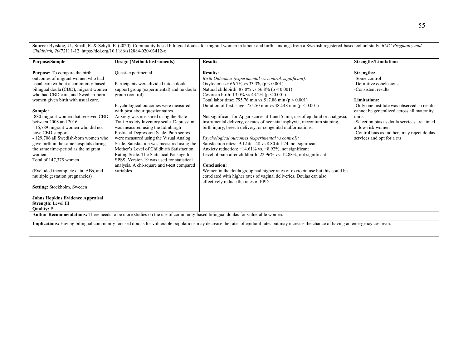**Source:** Byrskog, U., Small, R. & Schytt, E. (2020). Community-based bilingual doulas for migrant women in labour and birth- findings from a Swedish registered-based cohort study. *BMC Pregnancy and Childbirth, 20*(721) 1-12. https://doi.org/10.1186/s12884-020-03412-x

| <b>Purpose/Sample</b>                                                                                                                                                                                                                                                                                                                                                                                                                                                                                                                                                                                                                                                                                                             | Design (Method/Instruments)                                                                                                                                                                                                                                                                                                                                                                                                                                                                                                                                                                                                                                             | <b>Results</b>                                                                                                                                                                                                                                                                                                                                                                                                                                                                                                                                                                                                                                                                                                                                                                                                                                                                                                                                                                                                                                                                                 | <b>Strengths/Limitations</b>                                                                                                                                                                                                                                                                                                                        |  |
|-----------------------------------------------------------------------------------------------------------------------------------------------------------------------------------------------------------------------------------------------------------------------------------------------------------------------------------------------------------------------------------------------------------------------------------------------------------------------------------------------------------------------------------------------------------------------------------------------------------------------------------------------------------------------------------------------------------------------------------|-------------------------------------------------------------------------------------------------------------------------------------------------------------------------------------------------------------------------------------------------------------------------------------------------------------------------------------------------------------------------------------------------------------------------------------------------------------------------------------------------------------------------------------------------------------------------------------------------------------------------------------------------------------------------|------------------------------------------------------------------------------------------------------------------------------------------------------------------------------------------------------------------------------------------------------------------------------------------------------------------------------------------------------------------------------------------------------------------------------------------------------------------------------------------------------------------------------------------------------------------------------------------------------------------------------------------------------------------------------------------------------------------------------------------------------------------------------------------------------------------------------------------------------------------------------------------------------------------------------------------------------------------------------------------------------------------------------------------------------------------------------------------------|-----------------------------------------------------------------------------------------------------------------------------------------------------------------------------------------------------------------------------------------------------------------------------------------------------------------------------------------------------|--|
|                                                                                                                                                                                                                                                                                                                                                                                                                                                                                                                                                                                                                                                                                                                                   |                                                                                                                                                                                                                                                                                                                                                                                                                                                                                                                                                                                                                                                                         |                                                                                                                                                                                                                                                                                                                                                                                                                                                                                                                                                                                                                                                                                                                                                                                                                                                                                                                                                                                                                                                                                                |                                                                                                                                                                                                                                                                                                                                                     |  |
| Purpose: To compare the birth<br>outcomes of migrant women who had<br>usual care without a community-based<br>bilingual doula (CBD), migrant women<br>who had CBD care, and Swedish-born<br>women given birth with usual care.<br>Sample:<br>-880 migrant women that received CBD<br>between 2008 and 2016<br>- 16,789 migrant women who did not<br>have CBD support<br>- 129,706 all Swedish-born women who<br>gave birth in the same hospitals during<br>the same time-period as the migrant<br>women.<br>Total of 147,375 women<br>(Excluded incomplete data, ABs, and<br>multiple gestation pregnancies)<br>Setting: Stockholm, Sweden<br><b>Johns Hopkins Evidence Appraisal</b><br>Strength: Level III<br><b>Quality: B</b> | Quasi-experimental<br>Participants were divided into a doula<br>support group (experimental) and no doula<br>group (control).<br>Psychological outcomes were measured<br>with postlabour questionnaires.<br>Anxiety was measured using the State-<br>Trait Anxiety Inventory scale. Depression<br>was measured using the Edinburgh<br>Postnatal Depression Scale. Pain scores<br>were measured using the Visual Analog<br>Scale. Satisfaction was measured using the<br>Mother's Level of Childbirth Satisfaction<br>Rating Scale. The Statistical Package for<br>SPSS, Version 19 was used for statistical<br>analysis. A chi-square and t-test compared<br>variables. | <b>Results:</b><br>Birth Outcomes (experimental vs. control, significant):<br>Oxytocin use: 66.7% vs 33.3% ( $p < 0.001$ )<br>Natural childbirth: 87.0% vs 56.8% ( $p < 0.001$ )<br>Cesarean birth: 13.0% vs 43.2% ( $p < 0.001$ )<br>Total labor time: 795.76 min vs 517.86 min ( $p < 0.001$ )<br>Duration of first stage: 755.50 min vs 482.48 min ( $p < 0.001$ )<br>Not significant for Apgar scores at 1 and 5 min, use of epidural or analgesia,<br>instrumental delivery, or rates of neonatal asphyxia, meconium staining,<br>birth injury, breech delivery, or congenital malformations.<br>Psychological outcomes (experimental vs control):<br>Satisfaction rates: $9.12 \pm 1.48$ vs $8.80 \pm 1.74$ , not significant<br>Anxiety reduction: $-14.61\%$ vs. $-8.92\%$ , not significant<br>Level of pain after childbirth: 22.96% vs. 12.88%, not significant<br><b>Conclusion:</b><br>Women in the doula group had higher rates of oxytocin use but this could be<br>correlated with higher rates of vaginal deliveries. Doulas can also<br>effectively reduce the rates of PPD. | Strengths:<br>-Some control<br>-Definitive conclusions<br>-Consistent results<br>Limitations:<br>-Only one institute was observed so results<br>cannot be generalized across all maternity<br>units<br>-Selection bias as doula services are aimed<br>at low-risk women<br>-Control bias as mothers may reject doulas<br>services and opt for a c/s |  |
|                                                                                                                                                                                                                                                                                                                                                                                                                                                                                                                                                                                                                                                                                                                                   | Author Recommendations: There needs to be more studies on the use of community-based bilingual doulas for vulnerable women.                                                                                                                                                                                                                                                                                                                                                                                                                                                                                                                                             |                                                                                                                                                                                                                                                                                                                                                                                                                                                                                                                                                                                                                                                                                                                                                                                                                                                                                                                                                                                                                                                                                                |                                                                                                                                                                                                                                                                                                                                                     |  |
|                                                                                                                                                                                                                                                                                                                                                                                                                                                                                                                                                                                                                                                                                                                                   |                                                                                                                                                                                                                                                                                                                                                                                                                                                                                                                                                                                                                                                                         |                                                                                                                                                                                                                                                                                                                                                                                                                                                                                                                                                                                                                                                                                                                                                                                                                                                                                                                                                                                                                                                                                                |                                                                                                                                                                                                                                                                                                                                                     |  |
| Implications: Having bilingual community focused doulas for vulnerable populations may decrease the rates of epidural rates but may increase the chance of having an emergency cesarean.                                                                                                                                                                                                                                                                                                                                                                                                                                                                                                                                          |                                                                                                                                                                                                                                                                                                                                                                                                                                                                                                                                                                                                                                                                         |                                                                                                                                                                                                                                                                                                                                                                                                                                                                                                                                                                                                                                                                                                                                                                                                                                                                                                                                                                                                                                                                                                |                                                                                                                                                                                                                                                                                                                                                     |  |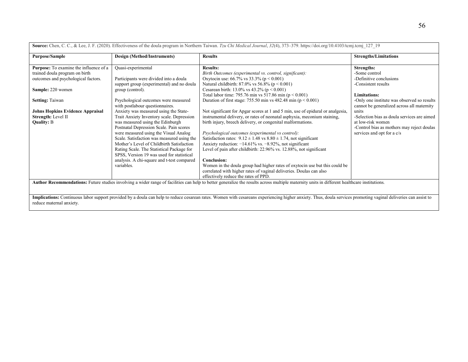| <b>Purpose/Sample</b>                  | Design (Method/Instruments)                | <b>Results</b>                                                                                                                                                                               | <b>Strengths/Limitations</b>                |
|----------------------------------------|--------------------------------------------|----------------------------------------------------------------------------------------------------------------------------------------------------------------------------------------------|---------------------------------------------|
| Purpose: To examine the influence of a | Quasi-experimental                         | <b>Results:</b>                                                                                                                                                                              | <b>Strengths:</b>                           |
| trained doula program on birth         |                                            | Birth Outcomes (experimental vs. control, significant):                                                                                                                                      | -Some control                               |
| outcomes and psychological factors.    | Participants were divided into a doula     | Oxytocin use: 66.7% vs 33.3% ( $p < 0.001$ )                                                                                                                                                 | -Definitive conclusions                     |
|                                        | support group (experimental) and no doula  | Natural childbirth: 87.0% vs 56.8% ( $p < 0.001$ )                                                                                                                                           | -Consistent results                         |
| Sample: 220 women                      | group (control).                           | Cesarean birth: 13.0% vs 43.2% ( $p < 0.001$ )                                                                                                                                               |                                             |
|                                        |                                            | Total labor time: 795.76 min vs 517.86 min ( $p < 0.001$ )                                                                                                                                   | <b>Limitations:</b>                         |
| <b>Setting: Taiwan</b>                 | Psychological outcomes were measured       | Duration of first stage: 755.50 min vs 482.48 min ( $p < 0.001$ )                                                                                                                            | -Only one institute was observed so results |
|                                        | with postlabour questionnaires.            |                                                                                                                                                                                              | cannot be generalized across all maternity  |
| Johns Hopkins Evidence Appraisal       | Anxiety was measured using the State-      | Not significant for Apgar scores at 1 and 5 min, use of epidural or analgesia,                                                                                                               | units                                       |
| Strength: Level II                     | Trait Anxiety Inventory scale. Depression  | instrumental delivery, or rates of neonatal asphyxia, meconium staining,                                                                                                                     | -Selection bias as doula services are aimed |
| <b>Quality: B</b>                      | was measured using the Edinburgh           | birth injury, breech delivery, or congenital malformations.                                                                                                                                  | at low-risk women                           |
|                                        | Postnatal Depression Scale. Pain scores    |                                                                                                                                                                                              | -Control bias as mothers may reject doulas  |
|                                        | were measured using the Visual Analog      | Psychological outcomes (experimental vs control):                                                                                                                                            | services and opt for a c/s                  |
|                                        | Scale. Satisfaction was measured using the | Satisfaction rates: $9.12 \pm 1.48$ vs $8.80 \pm 1.74$ , not significant                                                                                                                     |                                             |
|                                        | Mother's Level of Childbirth Satisfaction  | Anxiety reduction: $-14.61\%$ vs. $-8.92\%$ , not significant                                                                                                                                |                                             |
|                                        | Rating Scale. The Statistical Package for  | Level of pain after childbirth: 22.96% vs. 12.88%, not significant                                                                                                                           |                                             |
|                                        | SPSS, Version 19 was used for statistical  |                                                                                                                                                                                              |                                             |
|                                        | analysis. A chi-square and t-test compared | Conclusion:                                                                                                                                                                                  |                                             |
|                                        | variables.                                 | Women in the doula group had higher rates of oxytocin use but this could be                                                                                                                  |                                             |
|                                        |                                            | correlated with higher rates of vaginal deliveries. Doulas can also                                                                                                                          |                                             |
|                                        |                                            | effectively reduce the rates of PPD.                                                                                                                                                         |                                             |
|                                        |                                            | Author Recommendations: Future studies involving a wider range of facilities can help to better generalize the results across multiple maternity units in different healthcare institutions. |                                             |
|                                        |                                            |                                                                                                                                                                                              |                                             |
|                                        |                                            |                                                                                                                                                                                              |                                             |

56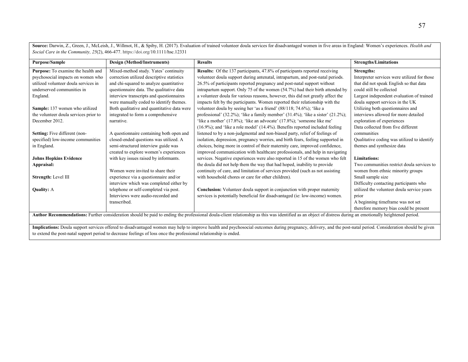**Source:** Darwin, Z., Green, J., McLeish, J., Willmot, H., & Spiby, H. (2017). Evaluation of trained volunteer doula services for disadvantaged women in five areas in England: Women's experiences. *Health and Social Care in the Community, 25*(2), 466-477. https://doi.org/10.1111/hsc.12331

| Purpose/Sample                                                                                                                                                                                             | Design (Method/Instruments)                 | <b>Results</b>                                                                              | <b>Strengths/Limitations</b>                 |  |
|------------------------------------------------------------------------------------------------------------------------------------------------------------------------------------------------------------|---------------------------------------------|---------------------------------------------------------------------------------------------|----------------------------------------------|--|
| Purpose: To examine the health and                                                                                                                                                                         | Mixed-method study. Yates' continuity       | Results: Of the 137 participants, 47.8% of participants reported receiving                  | Strengths:                                   |  |
| psychosocial impacts on women who                                                                                                                                                                          | correction utilized descriptive statistics  | volunteer doula support during antenatal, intrapartum, and post-natal periods.              | Interpreter services were utilized for those |  |
| utilized volunteer doula services in                                                                                                                                                                       | and chi-squared to analyze quantitative     | 26.5% of participants reported pregnancy and post-natal support without                     | that did not speak English so that data      |  |
| underserved communities in                                                                                                                                                                                 | questionnaire data. The qualitative data    | intrapartum support. Only 75 of the women (54.7%) had their birth attended by               | could still be collected                     |  |
| England.                                                                                                                                                                                                   | interview transcripts and questionnaires    | a volunteer doula for various reasons, however, this did not greatly affect the             | Largest independent evaluation of trained    |  |
|                                                                                                                                                                                                            | were manually coded to identify themes.     | impacts felt by the participants. Women reported their relationship with the                | doula support services in the UK             |  |
| Sample: 137 women who utilized                                                                                                                                                                             | Both qualitative and quantitative data were | volunteer doula by seeing her 'as a friend' (88/118; 74.6%); 'like a                        | Utilizing both questionnaires and            |  |
| the volunteer doula services prior to                                                                                                                                                                      | integrated to form a comprehensive          | professional' $(32.2\%)$ ; 'like a family member' $(31.4\%)$ ; 'like a sister' $(21.2\%)$ ; | interviews allowed for more detailed         |  |
| December 2012.                                                                                                                                                                                             | narrative.                                  | 'like a mother' (17.8%); 'like an advocate' (17.8%); 'someone like me'                      | exploration of experiences                   |  |
|                                                                                                                                                                                                            |                                             | (16.9%); and 'like a role model' (14.4%). Benefits reported included feeling                | Data collected from five different           |  |
| Setting: Five different (non-                                                                                                                                                                              | A questionnaire containing both open and    | listened to by a non-judgmental and non-biased party, relief of feelings of                 | communities                                  |  |
| specified) low-income communities                                                                                                                                                                          | closed-ended questions was utilized. A      | isolation, depression, pregnancy worries, and birth fears, feeling supported in             | Qualitative coding was utilized to identify  |  |
| in England.                                                                                                                                                                                                | semi-structured interview guide was         | choices, being more in control of their maternity care, improved confidence,                | themes and synthesize data                   |  |
|                                                                                                                                                                                                            | created to explore women's experiences      | improved communication with healthcare professionals, and help in navigating                |                                              |  |
| <b>Johns Hopkins Evidence</b>                                                                                                                                                                              | with key issues raised by informants.       | services. Negative experiences were also reported in 15 of the women who felt               | <b>Limitations:</b>                          |  |
| Appraisal:                                                                                                                                                                                                 |                                             | the doula did not help them the way that had hoped, inability to provide                    | Two communities restrict doula services to   |  |
|                                                                                                                                                                                                            | Women were invited to share their           | continuity of care, and limitation of services provided (such as not assisting              | women from ethnic minority groups            |  |
| Strength: Level III                                                                                                                                                                                        | experience via a questionnaire and/or       | with household chores or care for other children).                                          | Small sample size                            |  |
|                                                                                                                                                                                                            | interview which was completed either by     |                                                                                             | Difficulty contacting participants who       |  |
| <b>Quality: A</b>                                                                                                                                                                                          | telephone or self-completed via post.       | Conclusion: Volunteer doula support in conjunction with proper maternity                    | utilized the volunteer doula service years   |  |
|                                                                                                                                                                                                            | Interviews were audio-recorded and          | services is potentially beneficial for disadvantaged (ie: low-income) women.                | prior                                        |  |
|                                                                                                                                                                                                            | transcribed.                                |                                                                                             | A beginning timeframe was not set            |  |
|                                                                                                                                                                                                            |                                             |                                                                                             | therefore memory bias could be present       |  |
| Author Recommendations: Further consideration should be paid to ending the professional doula-client relationship as this was identified as an object of distress during an emotionally heightened period. |                                             |                                                                                             |                                              |  |

**Implications:** Doula support services offered to disadvantaged women may help to improve health and psychosocial outcomes during pregnancy, delivery, and the post-natal period. Consideration should be given to extend the post-natal support period to decrease feelings of loss once the professional relationship is ended.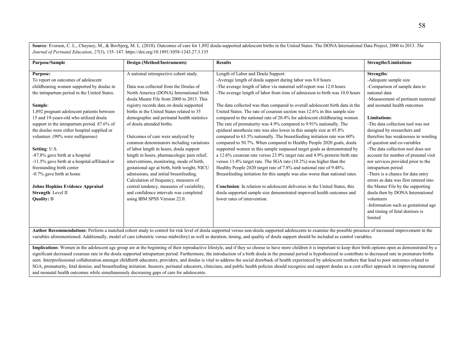**Source**: Everson, C. L., Cheyney, M., & Bovbjerg, M. L. (2018). Outcomes of care for 1,892 doula-supported adolescent births in the United States: The DONA International Data Project, 2000 to 2013. *The Journal of Perinatal Education*, *27*(3), 135–147. https://doi.org/10.1891/1058-1243.27.3.135

| <b>Purpose/Sample</b>                                                                                                                                                                                                                                                                                                                                                                                                                                                                                                                                                                                                                         | Design (Method/Instruments)                                                                                                                                                                                                                                                                                                                                                                                                                                                                                                                                                                                                                                                                                                                                                                                                      | <b>Results</b>                                                                                                                                                                                                                                                                                                                                                                                                                                                                                                                                                                                                                                                                                                                                                                                                                                                                                                                                                                                                                                                                                                                                                                                                                                                                                                                                                                        | <b>Strengths/Limitations</b>                                                                                                                                                                                                                                                                                                                                                                                                                                                                                                                                                                                                                                                                                                      |
|-----------------------------------------------------------------------------------------------------------------------------------------------------------------------------------------------------------------------------------------------------------------------------------------------------------------------------------------------------------------------------------------------------------------------------------------------------------------------------------------------------------------------------------------------------------------------------------------------------------------------------------------------|----------------------------------------------------------------------------------------------------------------------------------------------------------------------------------------------------------------------------------------------------------------------------------------------------------------------------------------------------------------------------------------------------------------------------------------------------------------------------------------------------------------------------------------------------------------------------------------------------------------------------------------------------------------------------------------------------------------------------------------------------------------------------------------------------------------------------------|---------------------------------------------------------------------------------------------------------------------------------------------------------------------------------------------------------------------------------------------------------------------------------------------------------------------------------------------------------------------------------------------------------------------------------------------------------------------------------------------------------------------------------------------------------------------------------------------------------------------------------------------------------------------------------------------------------------------------------------------------------------------------------------------------------------------------------------------------------------------------------------------------------------------------------------------------------------------------------------------------------------------------------------------------------------------------------------------------------------------------------------------------------------------------------------------------------------------------------------------------------------------------------------------------------------------------------------------------------------------------------------|-----------------------------------------------------------------------------------------------------------------------------------------------------------------------------------------------------------------------------------------------------------------------------------------------------------------------------------------------------------------------------------------------------------------------------------------------------------------------------------------------------------------------------------------------------------------------------------------------------------------------------------------------------------------------------------------------------------------------------------|
| <b>Purpose:</b><br>To report on outcomes of adolescent<br>childbearing women supported by doulas in<br>the intrapartum period in the United States.<br>Sample:<br>1,892 pregnant adolescent patients between<br>15 and 19-years-old who utilized doula<br>support in the intrapartum period. 87.6% of<br>the doulas were either hospital supplied or<br>volunteer. (90% were nulliparous)<br>Setting: U.S.<br>-87.8% gave birth at a hospital<br>-11.5% gave birth at a hospital-affiliated or<br>freestanding birth center<br>-0.7% gave birth at home<br><b>Johns Hopkins Evidence Appraisal</b><br>Strength: Level II<br><b>Quality: B</b> | A national retrospective cohort study.<br>Data was collected from the Doulas of<br>North America (DONA) International birth<br>doula Master File from 2000 to 2013. This<br>registry records data on doula supported<br>births in the United States related to 35<br>demographic and perinatal health statistics<br>of doula attended births.<br>Outcomes of care were analyzed by<br>common denominators including variations<br>of labor length in hours, doula support<br>length in hours, pharmacologic pain relief,<br>interventions, monitoring, mode of birth,<br>gestational age at birth, birth weight, NICU<br>admissions, and initial breastfeeding.<br>Calculation of frequency, measures of<br>central tendency, measures of variability,<br>and confidence intervals was completed<br>using IBM SPSS Version 22.0. | Length of Labor and Doula Support:<br>-Average length of doula support during labor was 8.0 hours<br>-The average length of labor via maternal self-report was 12.0 hours<br>-The average length of labor from time of admission to birth was 10.0 hours<br>The data collected was then compared to overall adolescent birth data in the<br>United States. The rate of cesarean section was 12.6% in this sample size<br>compared to the national rate of 20.4% for adolescent childbearing women.<br>The rate of prematurity was 4.9% compared to 9.91% nationally. The<br>epidural anesthesia rate was also lower in this sample size at 45.8%<br>compared to 63.5% nationally. The breastfeeding initiation rate was 60%<br>compared to 50.7%. When compared to Healthy People 2020 goals, doula<br>supported women in this sample surpassed target goals as demonstrated by<br>a 12.6% cesarean rate versus 23.9% target rate and 4.9% preterm birth rate<br>versus $11.4\%$ target rate. The SGA rate (10.2%) was higher than the<br>Healthy People 2020 target rate of 7.8% and national rate of 9.48%.<br>Breastfeeding initiation for this sample was also worse than national rates.<br>Conclusion: In relation to adolescent deliveries in the United States, this<br>doula supported sample size demonstrated improved health outcomes and<br>lower rates of intervention. | Strengths:<br>-Adequate sample size<br>-Comparison of sample data to<br>national data<br>-Measurement of pertinent maternal<br>and neonatal health outcomes<br><b>Limitations:</b><br>-The data collection tool was not<br>designed by researchers and<br>therefore has weaknesses in wording<br>of question and co-variables<br>-The data collection tool does not<br>account for number of prenatal visit<br>nor services provided prior to the<br>intrapartum period<br>-There is a chance for data entry<br>errors as data was first entered into<br>the Master File by the supporting<br>doula then by DONA International<br>volunteers<br>-Information such as gestational age<br>and timing of fetal demises is<br>limited |

Author Recommendations: Perform a matched cohort study to control for risk level of doula supported versus non-doula supported adolescents to examine the possible presence of increased improvement in the variables aforementioned. Additionally, model of care (obstetric versus midwifery) as well as duration, timing, and quality of doula support should be included as control variables.

Implications: Women in the adolescent age group are at the beginning of their reproductive lifestyle, and if they so choose to have more children it is important to keep their birth options open as demonstrated by a significant decreased cesarean rate in the doula supported intrapartum period. Furthermore, the introduction of a birth doula in the prenatal period is hypothesized to contribute to decreased rate in premature births seen. Interprofessional collaboration amongst childbirth educators, providers, and doulas is vital to address the social drawback of health experienced by adolescent mothers that lead to poor outcomes related to SGA, prematurity, fetal demise, and breastfeeding initiation. Insurers, perinatal educators, clinicians, and public health policies should recognize and support doulas as a cost-effect approach in improving maternal and neonatal health outcomes while simultaneously decreasing gaps of care for adolescents.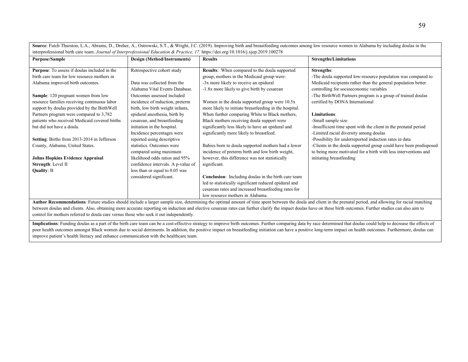Source: Futch Thurston, L.A., Abrams, D., Dreher, A., Ostrowski, S.T., & Wright, J.C. (2019). Improving birth and breastfeeding outcomes among low resource women in Alabama by including doulas in the interprofessional birth care team. *Journal of Interprofessional Education & Practice, 17.* https://doi.org/10.1016/j.xjep.2019.100278

| <b>Purpose/Sample</b>                                                                                                                                                                | <b>Design (Method/Instruments)</b>                                  | <b>Results</b>                                                                                               | <b>Strengths/Limitations</b>                                                                                                         |
|--------------------------------------------------------------------------------------------------------------------------------------------------------------------------------------|---------------------------------------------------------------------|--------------------------------------------------------------------------------------------------------------|--------------------------------------------------------------------------------------------------------------------------------------|
| Purpose: To assess if doulas included in the<br>birth care team for low resource mothers in                                                                                          | Retrospective cohort study                                          | Results: When compared to the doula supported<br>group, mothers in the Medicaid group were:                  | Strengths:<br>-The doula supported low-resource population was compared to                                                           |
| Alabama improved birth outcomes.                                                                                                                                                     | Data was collected from the<br>Alabama Vital Events Database.       | -3x more likely to receive an epidural<br>-1.8x more likely to give birth by cesarean                        | Medicaid recipients rather than the general population better<br>controlling for socioeconomic variables                             |
| Sample: 120 pregnant women from low                                                                                                                                                  | Outcomes assessed included                                          |                                                                                                              | -The BirthWell Partners program is a group of trained doulas                                                                         |
| resource families receiving continuous labor<br>support by doulas provided by the BirthWell                                                                                          | incidence of induction, preterm<br>birth, low birth weight infants, | Women in the doula supported group were 10.5x<br>more likely to initiate breastfeeding in the hospital.      | certified by DONA International                                                                                                      |
| Partners program were compared to 3,782                                                                                                                                              | epidural anesthesia, birth by                                       | When further comparing White to Black mothers,                                                               | <b>Limitations:</b>                                                                                                                  |
| patients who received Medicaid covered births<br>but did not have a doula.                                                                                                           | cesarean, and breastfeeding<br>initiation in the hospital.          | Black mothers receiving doula support were<br>significantly less likely to have an epidural and              | -Small sample size<br>-Insufficient time spent with the client in the prenatal period                                                |
|                                                                                                                                                                                      | Incidence percentages were                                          | significantly more likely to breastfeed.                                                                     | -Limited racial diversity among doulas                                                                                               |
| Setting: Births from 2013-2014 in Jefferson                                                                                                                                          | reported using descriptive                                          |                                                                                                              | -Possibility for underreported induction rates in data                                                                               |
| County, Alabama, United States.                                                                                                                                                      | statistics. Outcomes were<br>compared using maximum                 | Babies born to doula supported mothers had a lower<br>incidence of preterm birth and low birth weight,       | -Clients in the doula supported group could have been predisposed<br>to being more motivated for a birth with less interventions and |
| <b>Johns Hopkins Evidence Appraisal</b>                                                                                                                                              | likelihood odds ratios and 95%                                      | however, this difference was not statistically                                                               | initiating breastfeeding                                                                                                             |
| Strength: Level II                                                                                                                                                                   | confidence intervals. A p-value of                                  | significant.                                                                                                 |                                                                                                                                      |
| <b>Quality: B</b>                                                                                                                                                                    | less than or equal to 0.05 was                                      |                                                                                                              |                                                                                                                                      |
|                                                                                                                                                                                      | considered significant.                                             | <b>Conclusion:</b> Including doulas in the birth care team                                                   |                                                                                                                                      |
|                                                                                                                                                                                      |                                                                     | led to statistically significant reduced epidural and                                                        |                                                                                                                                      |
|                                                                                                                                                                                      |                                                                     | cesarean rates and increased breastfeeding rates for                                                         |                                                                                                                                      |
| $\mathbf{a}$ , $\mathbf{a}$ , $\mathbf{a}$ , $\mathbf{a}$ , $\mathbf{a}$ , $\mathbf{a}$ , $\mathbf{a}$ , $\mathbf{a}$ , $\mathbf{a}$ , $\mathbf{a}$<br>$\mathbf{r}$ and $\mathbf{r}$ | 1.1.1.11                                                            | low resource mothers in Alabama.<br>$\sim$ 1.0 $\sim$ 1.0 $\sim$ 1.0 $\sim$ 1.0 $\sim$ 1.0 $\sim$ 1.0 $\sim$ | $\cdots$ $\cdots$                                                                                                                    |

Author Recommendations: Future studies should include a larger sample size, determining the optimal amount of time spent between the doula and client in the prenatal period, and allowing for racial matching between doulas and clients. Also, obtaining more accurate reporting on induction and elective cesarean rates can further clarify the impact doulas have on these birth outcomes. Further studies can also aim to control for mothers referred to doula care versus those who seek it out independently.

Implications: Funding doulas as a part of the birth care team can be a cost-effective strategy to improve birth outcomes. Further comparing data by race determined that doulas could help to decrease the effects of poor health outcomes amongst Black women due to social detriments. In addition, the positive impact on breastfeeding initiation can have a positive long-term impact on health outcomes. Furthermore, doulas can improve patient's health literacy and enhance communication with the healthcare team.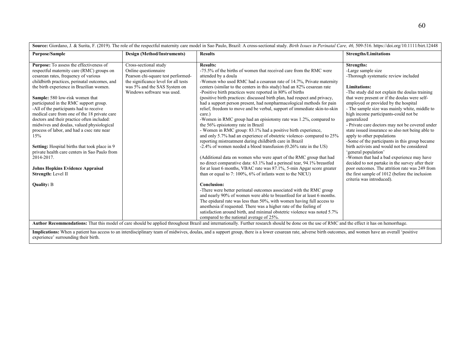| Source: Giordano, J. & Surita, F. (2019). The role of the respectful maternity care model in Sao Paulo, Brazil: A cross-sectional study. Birth Issues in Perinatal Care, 46, 509-516. https://doi.org/10.1111/birt.12448                                                                                                                                                                                                                                                                                                                                                                                                                                                                                                                                       |                                                                                                                                                                                           |                                                                                                                                                                                                                                                                                                                                                                                                                                                                                                                                                                                                                                                                                                                                                                                                                                                                                                                                                                                                                                                                                                                                                                                                                                                                                                                                                                                                                                                                                                                                                                                                                                                                                                    |                                                                                                                                                                                                                                                                                                                                                                                                                                                                                                                                                                                                                                                                                                                                                                                                                                                            |  |
|----------------------------------------------------------------------------------------------------------------------------------------------------------------------------------------------------------------------------------------------------------------------------------------------------------------------------------------------------------------------------------------------------------------------------------------------------------------------------------------------------------------------------------------------------------------------------------------------------------------------------------------------------------------------------------------------------------------------------------------------------------------|-------------------------------------------------------------------------------------------------------------------------------------------------------------------------------------------|----------------------------------------------------------------------------------------------------------------------------------------------------------------------------------------------------------------------------------------------------------------------------------------------------------------------------------------------------------------------------------------------------------------------------------------------------------------------------------------------------------------------------------------------------------------------------------------------------------------------------------------------------------------------------------------------------------------------------------------------------------------------------------------------------------------------------------------------------------------------------------------------------------------------------------------------------------------------------------------------------------------------------------------------------------------------------------------------------------------------------------------------------------------------------------------------------------------------------------------------------------------------------------------------------------------------------------------------------------------------------------------------------------------------------------------------------------------------------------------------------------------------------------------------------------------------------------------------------------------------------------------------------------------------------------------------------|------------------------------------------------------------------------------------------------------------------------------------------------------------------------------------------------------------------------------------------------------------------------------------------------------------------------------------------------------------------------------------------------------------------------------------------------------------------------------------------------------------------------------------------------------------------------------------------------------------------------------------------------------------------------------------------------------------------------------------------------------------------------------------------------------------------------------------------------------------|--|
| <b>Purpose/Sample</b>                                                                                                                                                                                                                                                                                                                                                                                                                                                                                                                                                                                                                                                                                                                                          | Design (Method/Instruments)                                                                                                                                                               | <b>Results</b>                                                                                                                                                                                                                                                                                                                                                                                                                                                                                                                                                                                                                                                                                                                                                                                                                                                                                                                                                                                                                                                                                                                                                                                                                                                                                                                                                                                                                                                                                                                                                                                                                                                                                     | <b>Strengths/Limitations</b>                                                                                                                                                                                                                                                                                                                                                                                                                                                                                                                                                                                                                                                                                                                                                                                                                               |  |
| <b>Purpose:</b> To assess the effectiveness of<br>respectful maternity care (RMC) groups on<br>cesarean rates, frequency of various<br>childbirth practices, perinatal outcomes, and<br>the birth experience in Brazilian women.<br>Sample: 580 low-risk women that<br>participated in the RMC support group.<br>-All of the participants had to receive<br>medical care from one of the 18 private care<br>doctors and their practice often included:<br>midwives and doulas, valued physiological<br>process of labor, and had a csec rate near<br>15%<br>Setting: Hospital births that took place in 9<br>private health care centers in Sao Paulo from<br>2014-2017.<br><b>Johns Hopkins Evidence Appraisal</b><br>Strength: Level II<br><b>Quality: B</b> | Cross-sectional study<br>Online questionnaire<br>Pearson chi-square test performed-<br>the significance level for all tests<br>was 5% and the SAS System on<br>Windows software was used. | <b>Results:</b><br>-75.5% of the births of women that received care from the RMC were<br>attended by a doula<br>-Women who used RMC had a cesarean rate of 14.7%, Private maternity<br>centers (similar to the centers in this study) had an 82% cesarean rate<br>-Positive birth practices were reported in 80% of births<br>(positive birth practices: discussed birth plan, had respect and privacy,<br>had a support person present, had nonpharmacological methods for pain<br>relief, freedom to move and be verbal, support of immediate skin-to-skin<br>care.)<br>-Women in RMC group had an episiotomy rate was 1.2%, compared to<br>the 56% episiotomy rate in Brazil<br>- Women in RMC group: 83.1% had a positive birth experience,<br>and only 5.7% had an experience of obstetric violence- compared to 25%<br>reporting mistreatment during childbirth care in Brazil<br>-2.4% of women needed a blood transfusion (0.26% rate in the US)<br>(Additional data on women who were apart of the RMC group that had<br>no direct comparative data: 63.1% had a perineal tear, 94.1% breastfed<br>for at least 6 months, VBAC rate was 87.1%, 5-min Apgar score greater<br>than or equal to $7:100\%$ , $6\%$ of infants went to the NICU)<br><b>Conclusion:</b><br>-There were better perinatal outcomes associated with the RMC group<br>and nearly 90% of women were able to breastfeed for at least 6 months.<br>The epidural rate was less than 50%, with women having full access to<br>anesthesia if requested. There was a higher rate of the feeling of<br>satisfaction around birth, and minimal obstetric violence was noted 5.7%<br>compared to the national average of 25%. | <b>Strengths:</b><br>-Large sample size<br>-Thorough systematic review included<br><b>Limitations:</b><br>-The study did not explain the doulas training<br>that were present or if the doulas were self-<br>employed or provided by the hospital<br>- The sample size was mainly white, middle to<br>high income participants-could not be<br>generalized<br>- Private care doctors may not be covered under<br>state issued insurance so also not being able to<br>apply to other populations<br>-Some of the participants in this group became<br>birth activists and would not be considered<br>'general population'<br>-Women that had a bad experience may have<br>decided to not partake in the survey after their<br>poor outcomes. The attrition rate was 249 from<br>the first sample of 1012 (before the inclusion<br>criteria was introduced). |  |
|                                                                                                                                                                                                                                                                                                                                                                                                                                                                                                                                                                                                                                                                                                                                                                |                                                                                                                                                                                           | Author Recommendations: That this model of care should be applied throughout Brazil and internationally. Further research should be done on the use of RMC and the effect it has on hemorrhage.                                                                                                                                                                                                                                                                                                                                                                                                                                                                                                                                                                                                                                                                                                                                                                                                                                                                                                                                                                                                                                                                                                                                                                                                                                                                                                                                                                                                                                                                                                    |                                                                                                                                                                                                                                                                                                                                                                                                                                                                                                                                                                                                                                                                                                                                                                                                                                                            |  |

**Implications:** When a patient has access to an interdisciplinary team of midwives, doulas, and a support group, there is a lower cesarean rate, adverse birth outcomes, and women have an overall 'positive experience' surrounding their birth.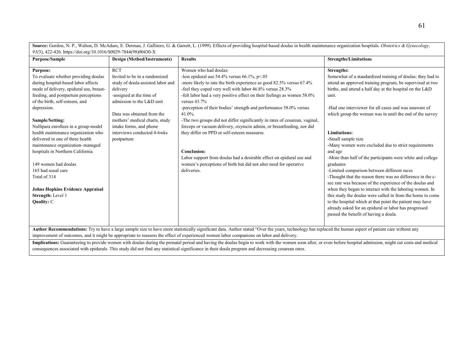**Source:** Gordon, N. P., Walton, D. McAdam, E. Derman, J. Gallitero, G. & Garrett, L. (1999). Effects of providing hospital-based doulas in health maintenance organization hospitals. *Obstetrics & Gynecology, 93(*3), 422-426. https://doi.org/10.1016/S0029-7844(98)00430-X

| Purpose/Sample                          | <b>Design (Method/Instruments)</b> | <b>Results</b>                                                                                                                                                                                           | <b>Strengths/Limitations</b>                               |
|-----------------------------------------|------------------------------------|----------------------------------------------------------------------------------------------------------------------------------------------------------------------------------------------------------|------------------------------------------------------------|
| <b>Purpose:</b>                         | <b>RCT</b>                         | Women who had doulas:                                                                                                                                                                                    | <b>Strengths:</b>                                          |
| To evaluate whether providing doulas    | Invited to be in a randomized      | -less epidural use $54.4\%$ versus $66.1\%$ , p<.05                                                                                                                                                      | Somewhat of a standardized training of doulas: they had to |
| during hospital-based labor affects     | study of doula-assisted labor and  | -more likely to rate the birth experience as good 82.5% versus 67.4%                                                                                                                                     | attend an approved training program, be supervised at two  |
| mode of delivery, epidural use, breast- | delivery                           | -feel they coped very well with labor 46.8% versus 28.3%                                                                                                                                                 | births, and attend a half day at the hospital on the L&D   |
| feeding, and postpartum perceptions     | -assigned at the time of           | -felt labor had a very positive effect on their feelings as women 58.0%                                                                                                                                  | unit.                                                      |
| of the birth, self-esteem, and          | admission to the L&D unit          | versus $43.7\%$                                                                                                                                                                                          |                                                            |
| depression.                             |                                    | -perception of their bodies' strength and performance 58.0% versus                                                                                                                                       | -Had one interviewer for all cases and was unaware of      |
|                                         | Data was obtained from the         | $41.0\%$ .                                                                                                                                                                                               | which group the woman was in until the end of the survey   |
| Sample/Setting:                         | mothers' medical charts, study     | -The two groups did not differ significantly in rates of cesarean, vaginal,                                                                                                                              |                                                            |
| Nullipara enrollees in a group-model    | intake forms, and phone            | forceps or vacuum delivery, oxytocin admin, or breastfeeding, nor did                                                                                                                                    |                                                            |
| health maintenance organization who     | interviews conducted 4-6wks        | they differ on PPD or self-esteem measures.                                                                                                                                                              | <b>Limitations:</b>                                        |
| delivered in one of three health        | postpartum                         |                                                                                                                                                                                                          | -Small sample size                                         |
| maintenance organization-managed        |                                    |                                                                                                                                                                                                          | -Many women were excluded due to strict requirements       |
| hospitals in Northern California        |                                    | <b>Conclusion:</b>                                                                                                                                                                                       | and age                                                    |
|                                         |                                    | Labor support from doulas had a desirable effect on epidural use and                                                                                                                                     | -More than half of the participants were white and college |
| 149 women had doulas                    |                                    | women's perceptions of birth but did not alter need for operative                                                                                                                                        | graduates                                                  |
| 165 had usual care                      |                                    | deliveries.                                                                                                                                                                                              | -Limited comparison between different races                |
| Total of 314                            |                                    |                                                                                                                                                                                                          | -Thought that the reason there was no difference in the c- |
|                                         |                                    |                                                                                                                                                                                                          | sec rate was because of the experience of the doulas and   |
| <b>Johns Hopkins Evidence Appraisal</b> |                                    |                                                                                                                                                                                                          | when they began to interact with the laboring women. In    |
| Strength: Level 1                       |                                    |                                                                                                                                                                                                          | this study the doulas were called in from the home to come |
| Quality: C                              |                                    |                                                                                                                                                                                                          | to the hospital which at that point the patient may have   |
|                                         |                                    |                                                                                                                                                                                                          | already asked for an epidural or labor has progressed      |
|                                         |                                    |                                                                                                                                                                                                          | passed the benefit of having a doula.                      |
|                                         |                                    |                                                                                                                                                                                                          |                                                            |
|                                         |                                    |                                                                                                                                                                                                          |                                                            |
|                                         |                                    | Author Recommendations: Try to have a large sample size to have more statistically significant data. Author stated "Over the years, technology has replaced the human aspect of patient care without any |                                                            |
|                                         |                                    | improvement of outcomes, and it might be appropriate to reassess the effect of experienced women labor companions on labor and delivery.                                                                 |                                                            |

Implications: Guaranteeing to provide women with doulas during the prenatal period and having the doulas begin to work with the women soon after, or even before hospital admission, might cut costs and medical consequences associated with epidurals. This study did not find any statistical significance in their doula program and decreasing cesarean rates.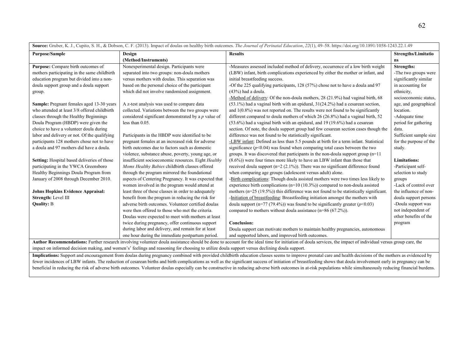|                                                                                                  |                                                                                                                                                                                                               | <b>Source.</b> Oraber, K. J., Capno, S. H., & Dobson, C. F. (2015). Impact of abans on heatiny often outcomes. <i>The Journal of Fermala Education</i> , 22(1), 49–90. https://aoi.org/10.1091/1090-1249.22.1.49               |                            |
|--------------------------------------------------------------------------------------------------|---------------------------------------------------------------------------------------------------------------------------------------------------------------------------------------------------------------|--------------------------------------------------------------------------------------------------------------------------------------------------------------------------------------------------------------------------------|----------------------------|
| <b>Purpose/Sample</b>                                                                            | Design                                                                                                                                                                                                        | <b>Results</b>                                                                                                                                                                                                                 | <b>Strengths/Limitatio</b> |
|                                                                                                  | (Method/Instruments)                                                                                                                                                                                          |                                                                                                                                                                                                                                | ns                         |
| Purpose: Compare birth outcomes of                                                               | Nonexperimental design. Participants were                                                                                                                                                                     | -Measures assessed included method of delivery, occurrence of a low birth weight                                                                                                                                               | Strengths:                 |
| mothers participating in the same childbirth                                                     | separated into two groups: non-doula mothers                                                                                                                                                                  | (LBW) infant, birth complications experienced by either the mother or infant, and                                                                                                                                              | -The two groups were       |
| education program but divided into a non-                                                        | versus mothers with doulas. This separation was                                                                                                                                                               | initial breastfeeding success.                                                                                                                                                                                                 | significantly similar      |
| doula support group and a doula support                                                          | based on the personal choice of the participant                                                                                                                                                               | -Of the 225 qualifying participants, 128 (57%) chose not to have a doula and 97                                                                                                                                                | in accounting for          |
| group.                                                                                           | which did not involve randomized assignment.                                                                                                                                                                  | $(43%)$ had a doula.                                                                                                                                                                                                           | ethnicity.                 |
|                                                                                                  |                                                                                                                                                                                                               | -Method of delivery: Of the non-doula mothers, 28 (21.9%) had vaginal birth, 68                                                                                                                                                | socioeconomic status,      |
| <b>Sample:</b> Pregnant females aged 13-30 years                                                 | A z-test analysis was used to compare data                                                                                                                                                                    | (53.1%) had a vaginal birth with an epidural, 31(24.2%) had a cesarean section,                                                                                                                                                | age, and geographical      |
| who attended at least 3/8 offered childbirth                                                     | collected. Variations between the two groups were                                                                                                                                                             | and $1(0.8\%)$ was not reported on. The results were not found to be significantly                                                                                                                                             | location.                  |
| classes through the Healthy Beginnings                                                           | considered significant demonstrated by a $p$ value of                                                                                                                                                         | different compared to doula mothers of which 26 (26.8%) had a vaginal birth, 52                                                                                                                                                | -Adequate time             |
| Doula Program (HBDP) were given the                                                              | less than $0.05$ .                                                                                                                                                                                            | $(53.6%)$ had a vaginal birth with an epidural, and 19 (19.6%) had a cesarean                                                                                                                                                  | period for gathering       |
| choice to have a volunteer doula during                                                          |                                                                                                                                                                                                               | section. Of note, the doula support group had few cesarean section cases though the                                                                                                                                            | data.                      |
| labor and delivery or not. Of the qualifying                                                     | Participants in the HBDP were identified to be                                                                                                                                                                | difference was not found to be statistically significant.                                                                                                                                                                      | Sufficient sample size     |
| participants 128 mothers chose not to have                                                       | pregnant females at an increased risk for adverse                                                                                                                                                             | -LBW infant: Defined as less than 5.5 pounds at birth for a term infant. Statistical                                                                                                                                           | for the purpose of the     |
| a doula and 97 mothers did have a doula.                                                         | birth outcomes due to factors such as domestic                                                                                                                                                                | significance $(p<0.04)$ was found when comparing total cases between the two                                                                                                                                                   | study.                     |
|                                                                                                  | violence, substance abuse, poverty, young age, or                                                                                                                                                             | groups. It was discovered that participants in the non-doula support group $(n=11)$                                                                                                                                            |                            |
| Setting: Hospital based deliveries of those                                                      | insufficient socioeconomic resources. Eight Healthy                                                                                                                                                           | $(8.6\%)$ were four times more likely to have an LBW infant than those that                                                                                                                                                    | <b>Limitations:</b>        |
| participating in the YWCA Greensboro                                                             | Moms Healthy Babies childbirth classes offered                                                                                                                                                                | received doula support ( $n=2$ (2.1%)). There was no significant difference found                                                                                                                                              | -Participant self-         |
| Healthy Beginnings Doula Program from                                                            | through the program mirrored the foundational                                                                                                                                                                 | when comparing age groups (adolescent versus adult) alone.                                                                                                                                                                     | selection to study         |
| January of 2008 through December 2010.                                                           | aspects of Centering Pregnancy. It was expected that                                                                                                                                                          | -Birth complications: Though doula assisted mothers were two times less likely to                                                                                                                                              | groups                     |
|                                                                                                  | women involved in the program would attend at                                                                                                                                                                 | experience birth complications ( $n=10$ (10.3%)) compared to non-doula assisted                                                                                                                                                | -Lack of control over      |
| <b>Johns Hopkins Evidence Appraisal:</b>                                                         | least three of these classes in order to adequately                                                                                                                                                           | mothers (n=25 (19.5%)) this difference was not found to be statistically significant.                                                                                                                                          | the influence of non-      |
| Strength: Level III                                                                              | benefit from the program in reducing the risk for                                                                                                                                                             | -Initiation of breastfeeding: Breastfeeding initiation amongst the mothers with                                                                                                                                                | doula support persons      |
| <b>Quality: B</b>                                                                                | adverse birth outcomes. Volunteer certified doulas                                                                                                                                                            | doula support ( $n=77$ (79.4%)) was found to be significantly greater ( $p<0.03$ )                                                                                                                                             | -Doula support was         |
|                                                                                                  | were then offered to those who met the criteria.                                                                                                                                                              | compared to mothers without doula assistance $(n=86 (67.2\%))$ .                                                                                                                                                               | not independent of         |
|                                                                                                  | Doulas were expected to meet with mothers at least                                                                                                                                                            |                                                                                                                                                                                                                                | other benefits of the      |
|                                                                                                  | twice during pregnancy, offer continuous support                                                                                                                                                              | <b>Conclusion:</b>                                                                                                                                                                                                             | program                    |
|                                                                                                  | during labor and delivery, and remain for at least                                                                                                                                                            | Doula support can motivate mothers to maintain healthy pregnancies, autonomous                                                                                                                                                 |                            |
|                                                                                                  | one hour during the immediate postpartum period.                                                                                                                                                              | and supported labors, and improved birth outcomes.                                                                                                                                                                             |                            |
| $\mathbf{r}$ and $\mathbf{r}$ and $\mathbf{r}$ and $\mathbf{r}$<br>$\mathbf{A}$ and $\mathbf{B}$ | $\frac{1}{2}$ , $\frac{1}{2}$ , $\frac{1}{2}$ , $\frac{1}{2}$ , $\frac{1}{2}$ , $\frac{1}{2}$ , $\frac{1}{2}$ , $\frac{1}{2}$ , $\frac{1}{2}$ , $\frac{1}{2}$ , $\frac{1}{2}$ , $\frac{1}{2}$ , $\frac{1}{2}$ | and district of the contract of the district of the state of the state of the state of the state of the state of the state of the state of the state of the state of the state of the state of the state of the state of the s | $\sqrt{1}$                 |

Source: Gruber, K. J., Cupito, S. H., & Dobson, C. F. (2013). Impact of doulas on healthy birth outcomes. *The Journal of Perinatal Education*, 22(1), 49–58. https://doi.org/10.1891/1058-1243.22.1.49

Author Recommendations: Further research involving volunteer doula assistance should be done to account for the ideal time for initiation of doula services, the impact of individual versus group care, the impact on informed decision making, and women's' feelings and reasoning for choosing to utilize doula support versus declining doula support.

Implications: Support and encouragement from doulas during pregnancy combined with provided childbirth education classes seems to improve prenatal care and health decisions of the mothers as evidenced by fewer incidences of LBW infants. The reduction of cesarean births and birth complications as well as the significant success of initiation of breastfeeding shows that doula involvement early in pregnancy can be beneficial in reducing the risk of adverse birth outcomes. Volunteer doulas especially can be constructive in reducing adverse birth outcomes in at-risk populations while simultaneously reducing financial burdens.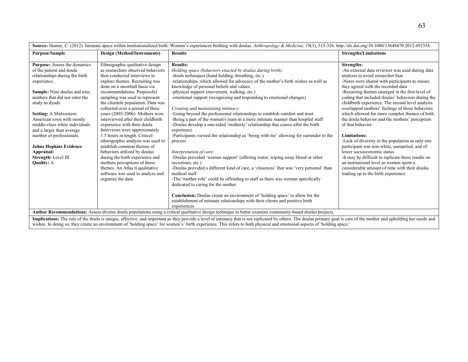| Source: Hunter, C. (2012). Intimate space within institutionalized birth: Women's experiences birthing with doulas. Anthropology & Medicine, 19(3), 315-326. http://dx.doi.org/10.1080/13648470.2012.692358                                                                                                                                                                                                                                       |                                                                                                                                                                                                                                                                                                                                                                                                                                                                                                                                                                                                                                                                                                                                                                 |                                                                                                                                                                                                                                                                                                                                                                                                                                                                                                                                                                                                                                                                                                                                                                                                                                                                                                                                                                                                                                                                                                                                                                                                                                                                                                                                                              |                                                                                                                                                                                                                                                                                                                                                                                                                                                                                                                                                                                                                                                                                                                                                                                                                                                                                          |  |
|---------------------------------------------------------------------------------------------------------------------------------------------------------------------------------------------------------------------------------------------------------------------------------------------------------------------------------------------------------------------------------------------------------------------------------------------------|-----------------------------------------------------------------------------------------------------------------------------------------------------------------------------------------------------------------------------------------------------------------------------------------------------------------------------------------------------------------------------------------------------------------------------------------------------------------------------------------------------------------------------------------------------------------------------------------------------------------------------------------------------------------------------------------------------------------------------------------------------------------|--------------------------------------------------------------------------------------------------------------------------------------------------------------------------------------------------------------------------------------------------------------------------------------------------------------------------------------------------------------------------------------------------------------------------------------------------------------------------------------------------------------------------------------------------------------------------------------------------------------------------------------------------------------------------------------------------------------------------------------------------------------------------------------------------------------------------------------------------------------------------------------------------------------------------------------------------------------------------------------------------------------------------------------------------------------------------------------------------------------------------------------------------------------------------------------------------------------------------------------------------------------------------------------------------------------------------------------------------------------|------------------------------------------------------------------------------------------------------------------------------------------------------------------------------------------------------------------------------------------------------------------------------------------------------------------------------------------------------------------------------------------------------------------------------------------------------------------------------------------------------------------------------------------------------------------------------------------------------------------------------------------------------------------------------------------------------------------------------------------------------------------------------------------------------------------------------------------------------------------------------------------|--|
| <b>Purpose/Sample</b>                                                                                                                                                                                                                                                                                                                                                                                                                             | Design (Method/Instruments)                                                                                                                                                                                                                                                                                                                                                                                                                                                                                                                                                                                                                                                                                                                                     | <b>Results</b>                                                                                                                                                                                                                                                                                                                                                                                                                                                                                                                                                                                                                                                                                                                                                                                                                                                                                                                                                                                                                                                                                                                                                                                                                                                                                                                                               | <b>Strengths/Limitations</b>                                                                                                                                                                                                                                                                                                                                                                                                                                                                                                                                                                                                                                                                                                                                                                                                                                                             |  |
| <b>Purpose:</b> Assess the dynamics<br>of the patient and doula<br>relationships during the birth<br>experience.<br>Sample: Nine doulas and nine<br>mothers that did not enter the<br>study as dyads.<br>Setting: A Midwestern<br>American town with mostly<br>middle-class white individuals<br>and a larger than average<br>number of professionals.<br><b>Johns Hopkins Evidence</b><br>Appraisal:<br>Strength: Level III<br><b>Quality: A</b> | Ethnographic qualitative design<br>as researchers observed behaviors<br>then conducted interviews to<br>explore themes. Recruiting was<br>done on a snowball basis via<br>recommendations. Purposeful<br>sampling was used to represent<br>the clientele population. Data was<br>collected over a period of three<br>years (2003-2006). Mothers were<br>interviewed after their childbirth<br>experience with their doula.<br>Interviews were approximately<br>1.5 hours in length. Critical<br>ethnographic analysis was used to<br>establish common themes of<br>behaviors utilized by doulas<br>during the birth experience and<br>mothers perceptions of those<br>themes. An Atlas ti qualitative<br>software was used to analyze and<br>organize the data. | <b>Results:</b><br>Holding space (behaviors enacted by doulas during birth):<br>-doula techniques (hand holding, breathing, etc.)<br>-relationships, which allowed for advocacy of the mother's birth wishes as well as<br>knowledge of personal beliefs and values<br>-physical support (movement, walking, etc.)<br>-emotional support (recognizing and responding to emotional changes)<br>Creating and maintaining intimacy:<br>-Going beyond the professional relationships to establish comfort and trust<br>-Being a part of the woman's team in a more intimate manner than hospital staff<br>-Doulas develop a one-sided 'motherly' relationship that ceases after the birth<br>experience<br>-Participants viewed the relationship as 'being with me' allowing for surrender to the<br>process<br>Interpretation of care:<br>-Doulas provided 'woman support' (offering water, wiping away blood or other<br>secretions, etc.)<br>-Doulas provided a different kind of care, a 'closeness' that was 'very personal' than<br>medical staff<br>-The 'mother role' could be offending to staff as there was woman specifically<br>dedicated to caring for the mother<br>Conclusion: Doulas create an environment of 'holding space' to allow for the<br>establishment of intimate relationships with their clients and positive birth<br>experiences. | <b>Strengths:</b><br>-An external data reviewer was used during data<br>analysis to avoid researcher bias<br>-Notes were shared with participants to ensure<br>they agreed with the recorded data<br>-Recurring themes emerged in the first level of<br>coding that included doulas' behaviors during the<br>childbirth experience. The second level analysis<br>overlapped mothers' feelings of those behaviors<br>which allowed for more complex themes of both<br>the doula behavior and the mothers' perception<br>of that behavior<br><b>Limitations:</b><br>-Lack of diversity in the population as only one<br>participant was non-white, unmarried, and of<br>lower socioeconomic status<br>-It may be difficult to replicate these results on<br>an institutional level as women spent a<br>considerable amount of time with their doulas<br>leading up to the birth experience |  |
|                                                                                                                                                                                                                                                                                                                                                                                                                                                   |                                                                                                                                                                                                                                                                                                                                                                                                                                                                                                                                                                                                                                                                                                                                                                 | Author Recommendations: Assess diverse doula populations using a critical qualitative design technique to better examine community-based doulas projects.                                                                                                                                                                                                                                                                                                                                                                                                                                                                                                                                                                                                                                                                                                                                                                                                                                                                                                                                                                                                                                                                                                                                                                                                    |                                                                                                                                                                                                                                                                                                                                                                                                                                                                                                                                                                                                                                                                                                                                                                                                                                                                                          |  |
| Implications: The role of the doula is unique, effective, and important as they provide a level of intimacy that is not replicated by others. The doulas primary goal is care of the mother and upholding her needs and<br>wishes. In doing so, they create an environment of 'holding space' for women's' birth experience. This refers to both physical and emotional aspects of 'holding space.'                                               |                                                                                                                                                                                                                                                                                                                                                                                                                                                                                                                                                                                                                                                                                                                                                                 |                                                                                                                                                                                                                                                                                                                                                                                                                                                                                                                                                                                                                                                                                                                                                                                                                                                                                                                                                                                                                                                                                                                                                                                                                                                                                                                                                              |                                                                                                                                                                                                                                                                                                                                                                                                                                                                                                                                                                                                                                                                                                                                                                                                                                                                                          |  |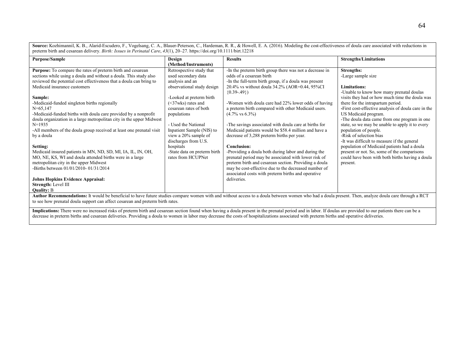Source: Kozhimannil, K. B., Alarid-Escudero, F., Vogelsang, C. A., Blauer-Peterson, C., Hardeman, R. R., & Howell, E. A. (2016). Modeling the cost-effectiveness of doula care associated with reductions in preterm birth and cesarean delivery. *Birth: Issues in Perinatal Care*, *43*(1), 20–27. https://doi.org/10.1111/birt.12218

| <b>Purpose/Sample</b>                                                                                                                                                                                                                                                                                                                                                                                                                                                           | Design                       | <b>Results</b>                                          | <b>Strengths/Limitations</b>                                         |  |
|---------------------------------------------------------------------------------------------------------------------------------------------------------------------------------------------------------------------------------------------------------------------------------------------------------------------------------------------------------------------------------------------------------------------------------------------------------------------------------|------------------------------|---------------------------------------------------------|----------------------------------------------------------------------|--|
|                                                                                                                                                                                                                                                                                                                                                                                                                                                                                 | (Method/Instruments)         |                                                         |                                                                      |  |
| <b>Purpose:</b> To compare the rates of preterm birth and cesarean                                                                                                                                                                                                                                                                                                                                                                                                              | Retrospective study that     | -In the preterm birth group there was not a decrease in | Strengths:                                                           |  |
| sections while using a doula and without a doula. This study also                                                                                                                                                                                                                                                                                                                                                                                                               | used secondary data          | odds of a cesarean birth                                | -Large sample size                                                   |  |
| reviewed the potential cost effectiveness that a doula can bring to                                                                                                                                                                                                                                                                                                                                                                                                             | analysis and an              | -In the full-term birth group, if a doula was present   |                                                                      |  |
| Medicaid insurance customers                                                                                                                                                                                                                                                                                                                                                                                                                                                    | observational study design   | 20.4% vs without doula 34.2% (AOR=0.44, 95%CI)          | <b>Limitations:</b>                                                  |  |
|                                                                                                                                                                                                                                                                                                                                                                                                                                                                                 |                              | $(0.39 - .49)$                                          | -Unable to know how many prenatal doulas                             |  |
| Sample:                                                                                                                                                                                                                                                                                                                                                                                                                                                                         | -Looked at preterm birth     |                                                         | visits they had or how much time the doula was                       |  |
| -Medicaid-funded singleton births regionally                                                                                                                                                                                                                                                                                                                                                                                                                                    | $(<37$ wks) rates and        | -Women with doula care had 22% lower odds of having     | there for the intrapartum period.                                    |  |
| $N = 65.147$                                                                                                                                                                                                                                                                                                                                                                                                                                                                    | cesarean rates of both       | a preterm birth compared with other Medicaid users.     | -First cost-effective analysis of doula care in the                  |  |
| -Medicaid-funded births with doula care provided by a nonprofit<br>doula organization in a large metropolitan city in the upper Midwest                                                                                                                                                                                                                                                                                                                                         | populations                  | $(4.7\% \text{ vs } 6.3\%)$                             | US Medicaid program.<br>-The doula data came from one program in one |  |
| $N=1935$                                                                                                                                                                                                                                                                                                                                                                                                                                                                        | - Used the National          | -The savings associated with doula care at births for   | state, so we may be unable to apply it to every                      |  |
| -All members of the doula group received at least one prenatal visit                                                                                                                                                                                                                                                                                                                                                                                                            | Inpatient Sample (NIS) to    | Medicaid patients would be \$58.4 million and have a    | population of people.                                                |  |
| by a doula                                                                                                                                                                                                                                                                                                                                                                                                                                                                      | view a 20% sample of         | decrease of 3,288 preterm births per year.              | -Risk of selection bias                                              |  |
|                                                                                                                                                                                                                                                                                                                                                                                                                                                                                 | discharges from U.S.         |                                                         | -It was difficult to measure if the general                          |  |
| Setting:                                                                                                                                                                                                                                                                                                                                                                                                                                                                        | hospitals                    | <b>Conclusion:</b>                                      | population of Medicaid patients had a doula                          |  |
| Medicaid insured patients in MN, ND, SD, MI, IA, IL, IN, OH,                                                                                                                                                                                                                                                                                                                                                                                                                    | -State data on preterm birth | -Providing a doula both during labor and during the     | present or not. So, some of the comparisons                          |  |
| MO, NE, KS, WI and doula attended births were in a large                                                                                                                                                                                                                                                                                                                                                                                                                        | rates from HCUPNet           | prenatal period may be associated with lower risk of    | could have been with both births having a doula                      |  |
| metropolitan city in the upper Midwest                                                                                                                                                                                                                                                                                                                                                                                                                                          |                              | preterm birth and cesarean section. Providing a doula   | present.                                                             |  |
| -Births between 01/01/2010-01/31/2014                                                                                                                                                                                                                                                                                                                                                                                                                                           |                              | may be cost-effective due to the decreased number of    |                                                                      |  |
|                                                                                                                                                                                                                                                                                                                                                                                                                                                                                 |                              | associated costs with preterm births and operative      |                                                                      |  |
| <b>Johns Hopkins Evidence Appraisal:</b>                                                                                                                                                                                                                                                                                                                                                                                                                                        |                              | deliveries.                                             |                                                                      |  |
| Strength: Level III                                                                                                                                                                                                                                                                                                                                                                                                                                                             |                              |                                                         |                                                                      |  |
| <b>Quality: B</b>                                                                                                                                                                                                                                                                                                                                                                                                                                                               |                              |                                                         |                                                                      |  |
| Author Recommendations: It would be beneficial to have future studies compare women with and without access to a doula between women who had a doula present. Then, analyze doula care through a RCT                                                                                                                                                                                                                                                                            |                              |                                                         |                                                                      |  |
| to see how prenatal doula support can affect cesarean and preterm birth rates.                                                                                                                                                                                                                                                                                                                                                                                                  |                              |                                                         |                                                                      |  |
| $\mathbf{r} = \mathbf{r} \mathbf{r}$ and $\mathbf{r} = \mathbf{r} \mathbf{r}$<br>$\mathbf{a}$ and $\mathbf{a}$ are a set of $\mathbf{a}$<br>$\mathbf{r}$ and $\mathbf{r}$ are the second second to the second second second second second second second second second second second second second second second second second second second second second second second second se<br><b>Contract Contract</b><br><b>Service Control</b><br>$-1$ $-1$ $-1$<br><b>SALE STORES</b> |                              |                                                         |                                                                      |  |

**Implications:** There were no increased risks of preterm birth and cesarean section found when having a doula present in the prenatal period and in labor. If doulas are provided to our patients there can be a decrease in preterm births and cesarean deliveries. Providing a doula to women in labor may decrease the costs of hospitalizations associated with preterm births and operative deliveries.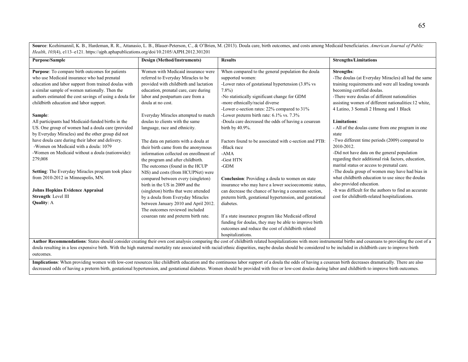**Source**: Kozhimannil, K. B., Hardeman, R. R., Attanasio, L. B., Blauer-Peterson, C., & O'Brien, M. (2013). Doula care, birth outcomes, and costs among Medicaid beneficiaries. *American Journal of Public Health*, *103*(4), e113–e121. https://ajph.aphapublications.org/doi/10.2105/AJPH.2012.301201

| <b>Purpose/Sample</b>                                                                                                                                                                                            | Design (Method/Instruments)            | <b>Results</b>                                           | <b>Strengths/Limitations</b>                          |
|------------------------------------------------------------------------------------------------------------------------------------------------------------------------------------------------------------------|----------------------------------------|----------------------------------------------------------|-------------------------------------------------------|
|                                                                                                                                                                                                                  |                                        |                                                          |                                                       |
| Purpose: To compare birth outcomes for patients                                                                                                                                                                  | Women with Medicaid insurance were     | When compared to the general population the doula        | Strengths:                                            |
| who use Medicaid insurance who had prenatal                                                                                                                                                                      | referred to Everyday Miracles to be    | supported women:                                         | -The doulas (at Everyday Miracles) all had the same   |
| education and labor support from trained doulas with                                                                                                                                                             | provided with childbirth and lactation | -Lower rates of gestational hypertension (3.8% vs        | training requirements and were all leading towards    |
| a similar sample of women nationally. Then the                                                                                                                                                                   | education, prenatal care, care during  | $7.8\%$                                                  | becoming certified doulas.                            |
| authors estimated the cost savings of using a doula for                                                                                                                                                          | labor and postpartum care from a       | -No statistically significant change for GDM             | -There were doulas of different nationalities         |
| childbirth education and labor support.                                                                                                                                                                          | doula at no cost.                      | -more ethnically/racial diverse                          | assisting women of different nationalities:12 white,  |
|                                                                                                                                                                                                                  |                                        | -Lower c-section rates: 22% compared to 31%              | 4 Latino, 3 Somali 2 Hmong and 1 Black                |
| Sample:                                                                                                                                                                                                          | Everyday Miracles attempted to match   | -Lower preterm birth rate: 6.1% vs. 7.3%                 |                                                       |
| All participants had Medicaid-funded births in the                                                                                                                                                               | doulas to clients with the same        | -Doula care decreased the odds of having a cesarean      | <b>Limitations:</b>                                   |
| US. One group of women had a doula care (provided                                                                                                                                                                | language, race and ethnicity.          | birth by 40.9%.                                          | - All of the doulas came from one program in one      |
| by Everyday Miracles) and the other group did not                                                                                                                                                                |                                        |                                                          | state                                                 |
| have doula care during their labor and delivery.                                                                                                                                                                 | The data on patients with a doula at   | Factors found to be associated with c-section and PTB:   | -Two different time periods (2009) compared to        |
| -Women on Medicaid with a doula: 1079                                                                                                                                                                            | their birth came from the anonymous    | -Black race                                              | 2010-2012.                                            |
| -Women on Medicaid without a doula (nationwide):                                                                                                                                                                 | information collected on enrollment of | $-AMA$                                                   | -Did not have data on the general population          |
| 279,008                                                                                                                                                                                                          | the program and after childbirth.      | -Gest HTN                                                | regarding their additional risk factors, education,   |
|                                                                                                                                                                                                                  | The outcomes (found in the HCUP        | $-GDM$                                                   | marital status or access to prenatal care.            |
| Setting: The Everyday Miracles program took place                                                                                                                                                                | NIS) and costs (from HCUPNet) were     |                                                          | -The doula group of women may have had bias in        |
| from 2010-2012 in Minneapolis, MN.                                                                                                                                                                               | compared between every (singleton)     | Conclusion: Providing a doula to women on state          | what childbirth education to use since the doulas     |
|                                                                                                                                                                                                                  | birth in the US in 2009 and the        | insurance who may have a lower socioeconomic status,     | also provided education.                              |
| <b>Johns Hopkins Evidence Appraisal</b>                                                                                                                                                                          | (singleton) births that were attended  | can decrease the chance of having a cesarean section,    | -It was difficult for the authors to find an accurate |
| Strength: Level III                                                                                                                                                                                              | by a doula from Everyday Miracles      | preterm birth, gestational hypertension, and gestational | cost for childbirth-related hospitalizations.         |
| <b>Quality: A</b>                                                                                                                                                                                                | between January 2010 and April 2012.   | diabetes.                                                |                                                       |
|                                                                                                                                                                                                                  | The outcomes reviewed included         |                                                          |                                                       |
|                                                                                                                                                                                                                  | cesarean rate and preterm birth rate.  | If a state insurance program like Medicaid offered       |                                                       |
|                                                                                                                                                                                                                  |                                        | funding for doulas, they may be able to improve birth    |                                                       |
|                                                                                                                                                                                                                  |                                        | outcomes and reduce the cost of childbirth related       |                                                       |
|                                                                                                                                                                                                                  |                                        | hospitalizations.                                        |                                                       |
| Author Recommendations: States should consider creating their own cost analysis comparing the cost of childhirth related bosnitalizations with more instrumental births and cesareans to providing the cost of a |                                        |                                                          |                                                       |

dations: States should consider creating their own cost analysis comparing the cost of childbirth related hospitalizations with more instrumental births and cesareans to providing the cost of a doula resulting in a less expensive birth. With the high maternal mortality rate associated with racial/ethnic disparities, maybe doulas should be considered to be included in childbirth care to improve birth outcomes.

Implications: When providing women with low-cost resources like childbirth education and the continuous labor support of a doula the odds of having a cesarean birth decreases dramatically. There are also decreased odds of having a preterm birth, gestational hypertension, and gestational diabetes. Women should be provided with free or low-cost doulas during labor and childbirth to improve birth outcomes.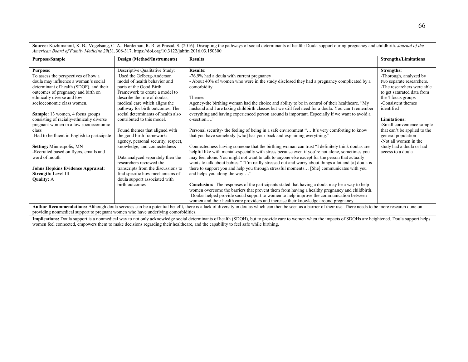**Source:** Kozhimannil, K. B., Vogelsang, C. A., Hardeman, R. R. & Prasad, S. (2016). Disrupting the pathways of social determinants of health: Doula support during pregnancy and childbirth. *Journal of the American Board of Family Medicine 29*(3), 308-317. https://doi.org/10.3122/jabfm.2016.03.150300

| <b>Purpose/Sample</b>                                                                                                                                                                                                                                                                                                                                                                                                                                                                                                                                                                                        | Design (Method/Instruments)                                                                                                                                                                                                                                                                                                                                                                                                                                                                                                                                                                                                                                          | <b>Results</b>                                                                                                                                                                                                                                                                                                                                                                                                                                                                                                                                                                                                                                                                                                                                                                                                                                                                                                                                                                                                                                                                                                                                                                                                                                                                                                                            | <b>Strengths/Limitations</b>                                                                                                                                                                                                                                                                                                                                         |
|--------------------------------------------------------------------------------------------------------------------------------------------------------------------------------------------------------------------------------------------------------------------------------------------------------------------------------------------------------------------------------------------------------------------------------------------------------------------------------------------------------------------------------------------------------------------------------------------------------------|----------------------------------------------------------------------------------------------------------------------------------------------------------------------------------------------------------------------------------------------------------------------------------------------------------------------------------------------------------------------------------------------------------------------------------------------------------------------------------------------------------------------------------------------------------------------------------------------------------------------------------------------------------------------|-------------------------------------------------------------------------------------------------------------------------------------------------------------------------------------------------------------------------------------------------------------------------------------------------------------------------------------------------------------------------------------------------------------------------------------------------------------------------------------------------------------------------------------------------------------------------------------------------------------------------------------------------------------------------------------------------------------------------------------------------------------------------------------------------------------------------------------------------------------------------------------------------------------------------------------------------------------------------------------------------------------------------------------------------------------------------------------------------------------------------------------------------------------------------------------------------------------------------------------------------------------------------------------------------------------------------------------------|----------------------------------------------------------------------------------------------------------------------------------------------------------------------------------------------------------------------------------------------------------------------------------------------------------------------------------------------------------------------|
| <b>Purpose:</b><br>To assess the perspectives of how a<br>doula may influence a woman's social<br>determinant of health (SDOF), and their<br>outcomes of pregnancy and birth on<br>ethnically diverse and low<br>socioeconomic class women.<br>Sample: 13 women, 4 focus groups<br>consisting of racially/ethnically diverse<br>pregnant women in a low socioeconomic<br>class<br>-Had to be fluent in English to participate<br>Setting: Minneapolis, MN<br>-Recruited based on flyers, emails and<br>word of mouth<br><b>Johns Hopkins Evidence Appraisal:</b><br>Strength: Level III<br><b>Quality: A</b> | Descriptive Qualitative Study:<br>Used the Gelberg-Anderson<br>model of health behavior and<br>parts of the Good Birth<br>Framework to create a model to<br>describe the role of doulas.<br>medical care which aligns the<br>pathway for birth outcomes. The<br>social determinants of health also<br>contributed to this model.<br>Found themes that aligned with<br>the good birth framework:<br>agency, personal security, respect,<br>knowledge, and connectedness<br>Data analyzed separately then the<br>researchers reviewed the<br>transcripts from the discussions to<br>find specific how mechanisms of<br>doula support associated with<br>birth outcomes | <b>Results:</b><br>-76.9% had a doula with current pregnancy<br>- About 40% of women who were in the study disclosed they had a pregnancy complicated by a<br>comorbidity.<br>Themes:<br>Agency-the birthing woman had the choice and ability to be in control of their healthcare. "My<br>husband and I are taking childbirth classes but we still feel need for a doula. You can't remember<br>everything and having experienced person around is important. Especially if we want to avoid a<br>$c$ -section"<br>Personal security- the feeling of being in a safe environment " It's very comforting to know<br>that you have somebody [who] has your back and explaining everything."<br>Connectedness-having someone that the birthing woman can trust "I definitely think doulas are<br>helpful like with mental-especially with stress because even if you're not alone, sometimes you<br>may feel alone. You might not want to talk to anyone else except for the person that actually<br>wants to talk about babies." "I'm really stressed out and worry about things a lot and [a] doula is<br>there to support you and help you through stressful moments [She] communicates with you<br>and helps you along the way"<br><b>Conclusion:</b> The responses of the participants stated that having a doula may be a way to help | Strengths:<br>-Thorough, analyzed by<br>two separate researchers.<br>-The researchers were able<br>to get saturated data from<br>the 4 focus groups<br>-Consistent themes<br>identified<br>Limitations:<br>-Small convenience sample<br>that can't be applied to the<br>general population<br>-Not all women in the<br>study had a doula or had<br>access to a doula |
|                                                                                                                                                                                                                                                                                                                                                                                                                                                                                                                                                                                                              |                                                                                                                                                                                                                                                                                                                                                                                                                                                                                                                                                                                                                                                                      | women overcome the barriers that prevent them from having a healthy pregnancy and childbirth.<br>-Doulas helped provide social support to women to help improve the communication between<br>women and their health care providers and increase their knowledge around pregnancy.                                                                                                                                                                                                                                                                                                                                                                                                                                                                                                                                                                                                                                                                                                                                                                                                                                                                                                                                                                                                                                                         |                                                                                                                                                                                                                                                                                                                                                                      |
| Author Recommendations: Although doula services can be a potential benefit, there is a lack of diversity in doulas which can then be seen as a barrier of their use. There needs to be more research done on<br>providing nonmedical support to pregnant women who have underlying comorbidities.                                                                                                                                                                                                                                                                                                            |                                                                                                                                                                                                                                                                                                                                                                                                                                                                                                                                                                                                                                                                      |                                                                                                                                                                                                                                                                                                                                                                                                                                                                                                                                                                                                                                                                                                                                                                                                                                                                                                                                                                                                                                                                                                                                                                                                                                                                                                                                           |                                                                                                                                                                                                                                                                                                                                                                      |
|                                                                                                                                                                                                                                                                                                                                                                                                                                                                                                                                                                                                              |                                                                                                                                                                                                                                                                                                                                                                                                                                                                                                                                                                                                                                                                      | Implications: Doula support is a nonmedical way to not only acknowledge social determinants of health (SDOH), but to provide care to women when the impacts of SDOHs are heightened. Doula support helps<br>women feel connected, empowers them to make decisions regarding their healthcare, and the capability to feel safe while birthing.                                                                                                                                                                                                                                                                                                                                                                                                                                                                                                                                                                                                                                                                                                                                                                                                                                                                                                                                                                                             |                                                                                                                                                                                                                                                                                                                                                                      |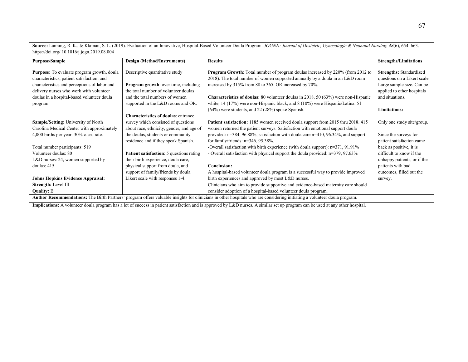**Source:** Lanning, R. K., & Klaman, S. L. (2019). Evaluation of an Innovative, Hospital-Based Volunteer Doula Program. *JOGNN: Journal of Obstetric, Gynecologic & Neonatal Nursing*, *48*(6), 654–663. https://doi.org/ 10.1016/j.jogn.2019.08.004

| <b>Purpose/Sample</b>                                                                                                                                                           | Design (Method/Instruments)                     | <b>Results</b>                                                                            | <b>Strengths/Limitations</b>   |
|---------------------------------------------------------------------------------------------------------------------------------------------------------------------------------|-------------------------------------------------|-------------------------------------------------------------------------------------------|--------------------------------|
|                                                                                                                                                                                 |                                                 |                                                                                           |                                |
| Purpose: To evaluate program growth, doula                                                                                                                                      | Descriptive quantitative study                  | Program Growth: Total number of program doulas increased by 220% (from 2012 to            | <b>Strengths: Standardized</b> |
| characteristics, patient satisfaction, and                                                                                                                                      |                                                 | 2018). The total number of women supported annually by a doula in an $L&D$ room           | questions on a Likert scale.   |
| characteristics and perceptions of labor and                                                                                                                                    | Program growth: over time, including            | increased by 315% from 88 to 365. OR increased by 70%.                                    | Large sample size. Can be      |
| delivery nurses who work with volunteer                                                                                                                                         | the total number of volunteer doulas            |                                                                                           | applied to other hospitals     |
| doulas in a hospital-based volunteer doula                                                                                                                                      | and the total numbers of women                  | <b>Characteristics of doulas:</b> 80 volunteer doulas in 2018. 50 (63%) were non-Hispanic | and situations.                |
| program                                                                                                                                                                         | supported in the L&D rooms and OR.              | white, 14 (17%) were non-Hispanic black, and 8 (10%) were Hispanic/Latina. 51             |                                |
|                                                                                                                                                                                 |                                                 | $(64%)$ were students, and 22 (28%) spoke Spanish.                                        | <b>Limitations:</b>            |
|                                                                                                                                                                                 | <b>Characteristics of doulas: entrance</b>      |                                                                                           |                                |
| Sample/Setting: University of North                                                                                                                                             | survey which consisted of questions             | <b>Patient satisfaction:</b> 1185 women received doula support from 2015 thru 2018. 415   | Only one study site/group.     |
| Carolina Medical Center with approximately                                                                                                                                      | about race, ethnicity, gender, and age of       | women returned the patient surveys. Satisfaction with emotional support doula             |                                |
| 4,000 births per year. $30\%$ c-sec rate.                                                                                                                                       | the doulas, students or community               | provided: $n=384$ , 96.88%, satisfaction with doula care $n=410$ , 96.34%, and support    | Since the surveys for          |
|                                                                                                                                                                                 | residence and if they speak Spanish.            | for family/friends: $n=346$ , 95.38%.                                                     | patient satisfaction came      |
| Total number participants: 519                                                                                                                                                  |                                                 | -Overall satisfaction with birth experience (with doula support): $n=371$ , 91.91%        | back as positive, it is        |
| Volunteer doulas: 80                                                                                                                                                            | <b>Patient satisfaction:</b> 5 questions rating | - Overall satisfaction with physical support the doula provided: n=379, 97.63%            | difficult to know if the       |
| L&D nurses: 24, women supported by                                                                                                                                              | their birth experience, doula care,             |                                                                                           | unhappy patients, or if the    |
| doulas: $415$ .                                                                                                                                                                 | physical support from doula, and                | Conclusion:                                                                               | patients with bad              |
|                                                                                                                                                                                 | support of family/friends by doula.             | A hospital-based volunteer doula program is a successful way to provide improved          | outcomes, filled out the       |
| <b>Johns Hopkins Evidence Appraisal:</b>                                                                                                                                        | Likert scale with responses 1-4.                | birth experiences and approved by most L&D nurses.                                        | survey.                        |
| Strength: Level III                                                                                                                                                             |                                                 | Clinicians who aim to provide supportive and evidence-based maternity care should         |                                |
| <b>Quality: B</b>                                                                                                                                                               |                                                 | consider adoption of a hospital-based volunteer doula program.                            |                                |
| Author Recommendations: The Birth Partners' program offers valuable insights for clinicians in other hospitals who are considering initiating a volunteer doula program.        |                                                 |                                                                                           |                                |
| Implications: A volunteer doula program has a lot of success in patient satisfaction and is approved by L&D nurses. A similar set up program can be used at any other hospital. |                                                 |                                                                                           |                                |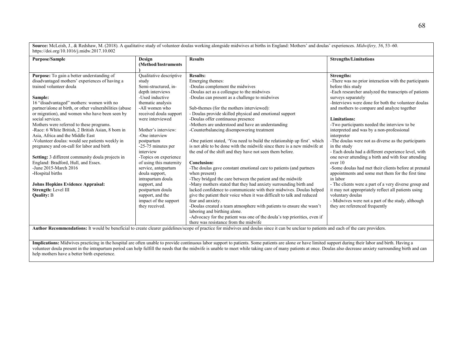**Source:** McLeish, J., & Redshaw, M. (2018). A qualitative study of volunteer doulas working alongside midwives at births in England: Mothers' and doulas' experiences. *Midwifery, 56*, 53–60. https://doi.org/10.1016/j.midw.2017.10.002

| <b>Purpose/Sample</b>                                   | Design                  | <b>Results</b>                                                            | <b>Strengths/Limitations</b>                          |
|---------------------------------------------------------|-------------------------|---------------------------------------------------------------------------|-------------------------------------------------------|
|                                                         | (Method/Instruments)    |                                                                           |                                                       |
|                                                         |                         |                                                                           |                                                       |
| Purpose: To gain a better understanding of              | Qualitative descriptive | <b>Results:</b>                                                           | <b>Strengths:</b>                                     |
| disadvantaged mothers' experiences of having a          | study                   | Emerging themes:                                                          | -There was no prior interaction with the participants |
| trained volunteer doula                                 | Semi-structured, in-    | -Doulas complement the midwives                                           | before this study                                     |
|                                                         | depth interviews        | -Doulas act as a colleague to the midwives                                | -Each researcher analyzed the transcripts of patients |
| Sample:                                                 | -Used inductive         | -Doulas can present as a challenge to midwives                            | surveys separately                                    |
| 16 "disadvantaged" mothers: women with no               | thematic analysis       |                                                                           | -Interviews were done for both the volunteer doulas   |
| partner/alone at birth, or other vulnerabilities (abuse | -All women who          | Sub-themes (for the mothers interviewed):                                 | and mothers to compare and analyze together           |
| or migration), and women who have been seen by          | received doula support  | - Doulas provide skilled physical and emotional support                   |                                                       |
| social services.                                        | were interviewed        | -Doulas offer continuous presence                                         | Limitations:                                          |
| Mothers were referred to these programs.                |                         | -Mothers are understood and have an understanding                         | -Two participants needed the interview to be          |
| -Race: 6 White British, 2 British Asian, 8 born in      | Mother's interview:     | -Counterbalancing disempowering treatment                                 | interpreted and was by a non-professional             |
| Asia, Africa and the Middle East                        | -One interview          |                                                                           | interpreter                                           |
| -Volunteer doulas: would see patients weekly in         | postpartum              | -One patient stated, 'You need to build the relationship up first'. which | -The doulas were not as diverse as the participants   |
| pregnancy and on-call for labor and birth               | -25-75 minutes per      | is not able to be done with the midwife since there is a new midwife at   | in the study                                          |
|                                                         | interview               | the end of the shift and they have not seen them before.                  | - Each doula had a different experience level, with   |
| Setting: 3 different community doula projects in        | -Topics on experience   |                                                                           | one never attending a birth and with four attending   |
| England: Bradford, Hull, and Essex.                     | of using this maternity | <b>Conclusion:</b>                                                        | over 10                                               |
| -June 2015-March 2016                                   | service, antepartum     | -The doulas gave constant emotional care to patients (and partners        | -Some doulas had met their clients before at prenatal |
| -Hospital births                                        | doula support,          | when present)                                                             | appointments and some met them for the first time     |
|                                                         | intrapartum doula       | -They bridged the care between the patient and the midwife                | in labor                                              |
| <b>Johns Hopkins Evidence Appraisal:</b>                | support, and            | -Many mothers stated that they had anxiety surrounding birth and          | - The clients were a part of a very diverse group and |
| Strength: Level III                                     | postpartum doula        | lacked confidence to communicate with their midwives. Doulas helped       | it may not appropriately reflect all patients using   |
| <b>Quality: B</b>                                       | support, and the        | give the patient their voice when it was difficult to talk and reduced    | voluntary doulas                                      |
|                                                         | impact of the support   | fear and anxiety.                                                         | - Midwives were not a part of the study, although     |
|                                                         | they received.          | -Doulas created a team atmosphere with patients to ensure she wasn't      | they are referenced frequently                        |
|                                                         |                         | laboring and birthing alone.                                              |                                                       |
|                                                         |                         | -Advocacy for the patient was one of the doula's top priorities, even if  |                                                       |
|                                                         |                         | there was resistance from the midwife                                     |                                                       |

Author Recommendations: It would be beneficial to create clearer guidelines/scope of practice for midwives and doulas since it can be unclear to patients and each of the care providers.

**Implications:** Midwives practicing in the hospital are often unable to provide continuous labor support to patients. Some patients are alone or have limited support during their labor and birth. Having a volunteer doula present in the intrapartum period can help fulfill the needs that the midwife is unable to meet while taking care of many patients at once. Doulas also decrease anxiety surrounding birth and can volunteer d help mothers have a better birth experience.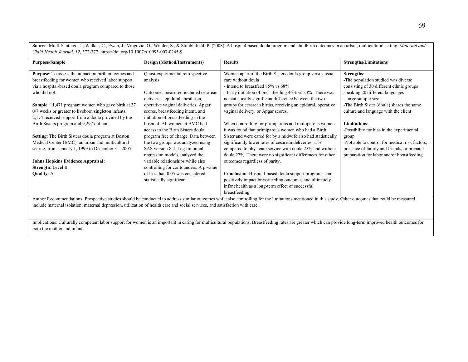**Source**: Mottl-Santiago, J., Walker, C., Ewan, J., Vragovic, O., Winder, S., & Stubblefield, P. (2008). A hospital-based doula program and childbirth outcomes in an urban, multicultural setting. *Maternal and Child Health Journal, 12,* 372-377. https://doi.org/10.1007/s10995-007-0245-9

| <b>Purpose/Sample</b>                                                                                                                                                                                 | Design (Method/Instruments)            | <b>Results</b>                                                | <b>Strengths/Limitations</b>                   |
|-------------------------------------------------------------------------------------------------------------------------------------------------------------------------------------------------------|----------------------------------------|---------------------------------------------------------------|------------------------------------------------|
|                                                                                                                                                                                                       |                                        |                                                               |                                                |
| Purpose: To assess the impact on birth outcomes and                                                                                                                                                   | Quasi-experimental retrospective       | Women apart of the Birth Sisters doula group versus usual     | Strengths:                                     |
| breastfeeding for women who received labor support                                                                                                                                                    | analysis                               | care without doula                                            | -The population studied was diverse            |
| via a hospital-based doula program compared to those                                                                                                                                                  |                                        | - Intend to breastfeed 85% vs 68%                             | consisting of 30 different ethnic groups       |
| who did not.                                                                                                                                                                                          | Outcomes measured included cesarean    | - Early initiation of breastfeeding 46% vs 23% - There was    | speaking 20 different languages                |
|                                                                                                                                                                                                       | deliveries, epidural anesthesia,       | no statistically significant difference between the two       | -Large sample size                             |
| <b>Sample:</b> 11,471 pregnant women who gave birth at 37                                                                                                                                             | operative vaginal deliveries, Apgar    | groups for cesarean births, receiving an epidural, operative  | -The Birth Sister (doula) shares the same      |
| 0/7 weeks or greater to liveborn singleton infants.                                                                                                                                                   | scores, breastfeeding intent, and      | vaginal delivery, or Apgar scores.                            | culture and language with the client           |
| 2,174 received support from a doula provided by the                                                                                                                                                   | initiation of breastfeeding in the     |                                                               |                                                |
| Birth Sisters program and 9,297 did not.                                                                                                                                                              | hospital. All women at BMC had         | When controlling for primiparous and multiparous women        | <b>Limitations:</b>                            |
|                                                                                                                                                                                                       | access to the Birth Sisters doula      | it was found that primiparous women who had a Birth           | -Possibility for bias in the experimental      |
| <b>Setting:</b> The Birth Sisters doula program at Boston                                                                                                                                             | program free of charge. Data between   | Sister and were cared for by a midwife also had statistically | group                                          |
| Medical Center (BMC), an urban and multicultural                                                                                                                                                      | the two groups was analyzed using      | significantly lower rates of cesarean deliveries 15%          | -Not able to control for medical risk factors. |
| setting, from January 1, 1999 to December 31, 2005.                                                                                                                                                   | SAS version 8.2. Log-binomial          | compared to physician service with doula 25% and without      | presence of family and friends, or prenatal    |
|                                                                                                                                                                                                       | regression models analyzed the         | doula 27%. There were no significant differences for other    | preparation for labor and/or breastfeeding     |
| <b>Johns Hopkins Evidence Appraisal:</b>                                                                                                                                                              | variable relationships while also      | outcomes regardless of parity.                                |                                                |
| Strength: Level II                                                                                                                                                                                    | controlling for confounders. A p-value |                                                               |                                                |
| <b>Quality: A</b>                                                                                                                                                                                     | of less than 0.05 was considered       | Conclusion: Hospital-based doula support programs can         |                                                |
|                                                                                                                                                                                                       | statistically significant.             | positively impact breastfeeding outcomes and ultimately       |                                                |
|                                                                                                                                                                                                       |                                        | infant health as a long-term effect of successful             |                                                |
|                                                                                                                                                                                                       |                                        | breastfeeding.                                                |                                                |
| Author Recommendations: Prospective studies should be conducted to address similar outcomes while also controlling for the limitations mentioned in this study. Other outcomes that could be measured |                                        |                                                               |                                                |

include maternal isolation, maternal depression, utilization of health care and social services, and satisfaction with care.

Implications: Culturally competent labor support for women is an important in caring for multicultural populations. Breastfeeding rates are greater which can provide long-term improved health outcomes for both the mother and infant.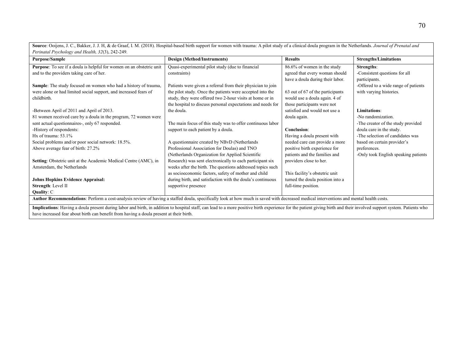| Perinatal Psychology and Health, 32(3), 242-249.                                                                                                                                                                      |                                                             |                                  |                                      |
|-----------------------------------------------------------------------------------------------------------------------------------------------------------------------------------------------------------------------|-------------------------------------------------------------|----------------------------------|--------------------------------------|
| <b>Purpose/Sample</b>                                                                                                                                                                                                 | <b>Design (Method/Instruments)</b>                          | <b>Results</b>                   | <b>Strengths/Limitations</b>         |
| Purpose: To see if a doula is helpful for women on an obstetric unit                                                                                                                                                  | Quasi-experimental pilot study (due to financial            | 86.6% of women in the study      | <b>Strengths:</b>                    |
| and to the providers taking care of her.                                                                                                                                                                              | constraints)                                                | agreed that every woman should   | -Consistent questions for all        |
|                                                                                                                                                                                                                       |                                                             | have a doula during their labor. | participants.                        |
| <b>Sample:</b> The study focused on women who had a history of trauma,                                                                                                                                                | Patients were given a referral from their physician to join |                                  | -Offered to a wide range of patients |
| were alone or had limited social support, and increased fears of                                                                                                                                                      | the pilot study. Once the patients were accepted into the   | 63 out of 67 of the participants | with varying histories.              |
| childbirth.                                                                                                                                                                                                           | study, they were offered two 2-hour visits at home or in    | would use a doula again. 4 of    |                                      |
|                                                                                                                                                                                                                       | the hospital to discuss personal expectations and needs for | those participants were not      |                                      |
| -Between April of 2011 and April of 2013.                                                                                                                                                                             | the doula.                                                  | satisfied and would not use a    | Limitations:                         |
| 81 women received care by a doula in the program, 72 women were                                                                                                                                                       |                                                             | doula again.                     | -No randomization.                   |
| sent actual questionnaires-, only 67 responded.                                                                                                                                                                       | The main focus of this study was to offer continuous labor  |                                  | -The creator of the study provided   |
| -History of respondents:                                                                                                                                                                                              | support to each patient by a doula.                         | <b>Conclusion:</b>               | doula care in the study.             |
| Hx of trauma: 53.1%                                                                                                                                                                                                   |                                                             | Having a doula present with      | -The selection of candidates was     |
| Social problems and/or poor social network: 18.5%.                                                                                                                                                                    | A questionnaire created by NBvD (Netherlands                | needed care can provide a more   | based on certain provider's          |
| Above average fear of birth: 27.2%                                                                                                                                                                                    | Professional Association for Doulas) and TNO                | positive birth experience for    | preferences.                         |
|                                                                                                                                                                                                                       | (Netherlands Organization for Applied Scientific            | patients and the families and    | -Only took English speaking patients |
| Setting: Obstetric unit at the Academic Medical Centre (AMC), in                                                                                                                                                      | Research) was sent electronically to each participant six   | providers close to her.          |                                      |
| Amsterdam, the Netherlands                                                                                                                                                                                            | weeks after the birth. The questions addressed topics such  |                                  |                                      |
|                                                                                                                                                                                                                       | as socioeconomic factors, safety of mother and child        | This facility's obstetric unit   |                                      |
| <b>Johns Hopkins Evidence Appraisal:</b>                                                                                                                                                                              | during birth, and satisfaction with the doula's continuous  | turned the doula position into a |                                      |
| Strength: Level II                                                                                                                                                                                                    | supportive presence                                         | full-time position.              |                                      |
| Quality: C                                                                                                                                                                                                            |                                                             |                                  |                                      |
| Author Recommendations: Perform a cost-analysis review of having a staffed doula, specifically look at how much is saved with decreased medical interventions and mental health costs.                                |                                                             |                                  |                                      |
| Implications: Having a doula present during labor and birth, in addition to hospital staff, can lead to a more positive birth experience for the patient giving birth and their involved support system. Patients who |                                                             |                                  |                                      |

**Source**: Ooijens, J. C., Bakker, J. J. H, & de Graaf, I. M. (2018). Hospital-based birth support for women with trauma: A pilot study of a clinical doula program in the Netherlands. *Journal of Prenatal and* 

have increased fear about birth can benefit from having a doula present at their birth.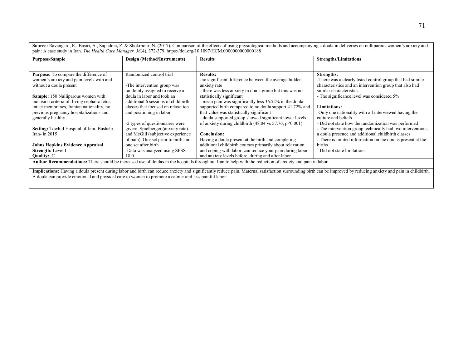**Source:** Ravangard, R., Basiri, A., Sajjadnia, Z. & Shokrpour, N. (2017). Comparison of the effects of using physiological methods and accompanying a doula in deliveries on nulliparous women's anxiety and pain: A case study in Iran. *The Health Care Manager, 36*(4), 372-379. https://doi.org/10.1097/HCM.0000000000000188

| Purpose/Sample                                                                                                                                            | Design (Method/Instruments)          | <b>Results</b>                                                              | <b>Strengths/Limitations</b>                                |
|-----------------------------------------------------------------------------------------------------------------------------------------------------------|--------------------------------------|-----------------------------------------------------------------------------|-------------------------------------------------------------|
|                                                                                                                                                           |                                      |                                                                             |                                                             |
| <b>Purpose:</b> To compare the difference of                                                                                                              | Randomized control trial             | <b>Results:</b>                                                             | <b>Strengths:</b>                                           |
| women's anxiety and pain levels with and                                                                                                                  |                                      | -no significant difference between the average hidden                       | -There was a clearly listed control group that had similar  |
| without a doula present                                                                                                                                   | -The intervention group was          | anxiety rate                                                                | characteristics and an intervention group that also had     |
|                                                                                                                                                           | randomly assigned to receive a       | - there was less anxiety in doula group but this was not                    | similar characteristics                                     |
| Sample: 150 Nulliparous women with                                                                                                                        | doula in labor and took an           | statistically significant                                                   | - The significance level was considered 5%                  |
| inclusion criteria of: living cephalic fetus,                                                                                                             | additional 6 sessions of childbirth  | - mean pain was significantly less 36.52% in the doula-                     |                                                             |
| intact membranes, Iranian nationality, no                                                                                                                 | classes that focused on relaxation   | supported birth compared to no doula support 41.72% and                     | <b>Limitations:</b>                                         |
| previous pregnancy hospitalizations and                                                                                                                   | and positioning in labor             | that value was statistically significant                                    | -Only one nationality with all interviewed having the       |
| generally healthy.                                                                                                                                        |                                      | - doula supported group showed significant lower levels                     | culture and beliefs                                         |
|                                                                                                                                                           | -2 types of questionnaires were      | of anxiety during childbirth $(48.04 \text{ vs } 57.76, \text{ p} < 0.001)$ | - Did not state how the randomization was performed         |
| Setting: Towhid Hospital of Jam, Bushehr,                                                                                                                 | given: Spielberger (anxiety rate)    |                                                                             | - The intervention group technically had two interventions, |
| Iran-in $2015$                                                                                                                                            | and McGill (subjective experience    | <b>Conclusion:</b>                                                          | a doula presence and additional childbirth classes          |
|                                                                                                                                                           | of pain). One set prior to birth and | Having a doula present at the birth and completing                          | - There is limited information on the doulas present at the |
| <b>Johns Hopkins Evidence Appraisal</b>                                                                                                                   | one set after birth                  | additional childbirth courses primarily about relaxation                    | births                                                      |
| Strength: Level I                                                                                                                                         | -Data was analyzed using SPSS        | and coping with labor, can reduce your pain during labor                    | - Did not state limitations                                 |
| <b>Quality: C</b>                                                                                                                                         | 18.0                                 | and anxiety levels before, during and after labor.                          |                                                             |
| Author Recommendations: There should be increased use of doulas in the hospitals throughout Iran to help with the reduction of anxiety and pain in labor. |                                      |                                                                             |                                                             |

**Implications:** Having a doula present during labor and birth can reduce anxiety and significantly reduce pain. Maternal satisfaction surrounding birth can be improved by reducing anxiety and pain in childbirth. A doula can provide emotional and physical care to women to promote a calmer and less painful labor.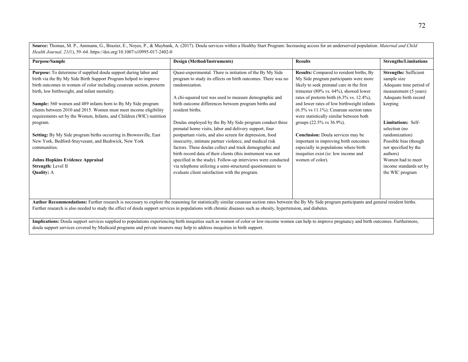**Source:** Thomas, M. P., Ammann, G., Brazier, E., Noyes, P., & Maybank, A. (2017). Doula services within a Healthy Start Program: Increasing access for an underserved population. *Maternal and Child Health Journal, 21(*1), 59–64. https://doi.org/10.1007/s10995-017-2402-0

| <b>Purpose/Sample</b>                                                                                                                                                                                                                                                                                                                                                                                                                                                                                                                                                                                                                                                                                                     | Design (Method/Instruments)                                                                                                                                                                                                                                                                                                                                                                                                                                                                                                                                                                                                                                                                                                                                                                                                            | <b>Results</b>                                                                                                                                                                                                                                                                                                                                                                                                                                                                                                                                                                                                                       | <b>Strengths/Limitations</b>                                                                                                                                                                                                                                                                                                        |  |
|---------------------------------------------------------------------------------------------------------------------------------------------------------------------------------------------------------------------------------------------------------------------------------------------------------------------------------------------------------------------------------------------------------------------------------------------------------------------------------------------------------------------------------------------------------------------------------------------------------------------------------------------------------------------------------------------------------------------------|----------------------------------------------------------------------------------------------------------------------------------------------------------------------------------------------------------------------------------------------------------------------------------------------------------------------------------------------------------------------------------------------------------------------------------------------------------------------------------------------------------------------------------------------------------------------------------------------------------------------------------------------------------------------------------------------------------------------------------------------------------------------------------------------------------------------------------------|--------------------------------------------------------------------------------------------------------------------------------------------------------------------------------------------------------------------------------------------------------------------------------------------------------------------------------------------------------------------------------------------------------------------------------------------------------------------------------------------------------------------------------------------------------------------------------------------------------------------------------------|-------------------------------------------------------------------------------------------------------------------------------------------------------------------------------------------------------------------------------------------------------------------------------------------------------------------------------------|--|
| Purpose: To determine if supplied doula support during labor and<br>birth via the By My Side Birth Support Program helped to improve<br>birth outcomes in women of color including cesarean section, preterm<br>birth, low birthweight, and infant mortality.<br><b>Sample:</b> 560 women and 489 infants born to By My Side program<br>clients between 2010 and 2015. Women must meet income eligibility<br>requirements set by the Women, Infants, and Children (WIC) nutrition<br>program.<br>Setting: By My Side program births occurring in Brownsville, East<br>New York, Bedford-Stuyvesant, and Bushwick, New York<br>communities.<br>Johns Hopkins Evidence Appraisal<br>Strength: Level II<br><b>Quality: A</b> | Quasi-experimental. There is initiation of the By My Side<br>program to study its effects on birth outcomes. There was no<br>randomization.<br>A chi-squared test was used to measure demographic and<br>birth outcome differences between program births and<br>resident births.<br>Doulas employed by the By My Side program conduct three<br>prenatal home visits, labor and delivery support, four<br>postpartum visits, and also screen for depression, food<br>insecurity, intimate partner violence, and medical risk<br>factors. These doulas collect and track demographic and<br>birth record data of their clients (this instrument was not<br>specified in the study). Follow-up interviews were conducted<br>via telephone utilizing a semi-structured questionnaire to<br>evaluate client satisfaction with the program. | Results: Compared to resident births, By<br>My Side program participants were more<br>likely to seek prenatal care in the first<br>trimester $(80\% \text{ vs. } 64\%)$ , showed lower<br>rates of preterm birth $(6.3\% \text{ vs. } 12.4\%),$<br>and lower rates of low birthweight infants<br>$(6.5\% \text{ vs } 11.1\%)$ . Cesarean section rates<br>were statistically similar between both<br>groups $(22.5\% \text{ vs } 36.9\%).$<br><b>Conclusion:</b> Doula services may be<br>important in improving birth outcomes<br>especially in populations where birth<br>inequities exist (ie: low income and<br>women of color). | <b>Strengths: Sufficient</b><br>sample size<br>Adequate time period of<br>measurement (5 years)<br>Adequate birth record<br>keeping<br><b>Limitations: Self-</b><br>selection (no<br>randomization)<br>Possible bias (though<br>not specified by the<br>authors)<br>Women had to meet<br>income standards set by<br>the WIC program |  |
| Author Recommendations: Further research is necessary to explore the reasoning for statistically similar cesarean section rates between the By My Side program participants and general resident births.<br>Further research is also needed to study the effect of doula support services in populations with chronic diseases such as obesity, hypertension, and diabetes.                                                                                                                                                                                                                                                                                                                                               |                                                                                                                                                                                                                                                                                                                                                                                                                                                                                                                                                                                                                                                                                                                                                                                                                                        |                                                                                                                                                                                                                                                                                                                                                                                                                                                                                                                                                                                                                                      |                                                                                                                                                                                                                                                                                                                                     |  |

**Implications:** Doula support services supplied to populations experiencing birth inequities such as women of color or low-income women can help to improve pregnancy and birth outcomes. Furthermore, doula support services covered by Medicaid programs and private insurers may help to address inequities in birth support.